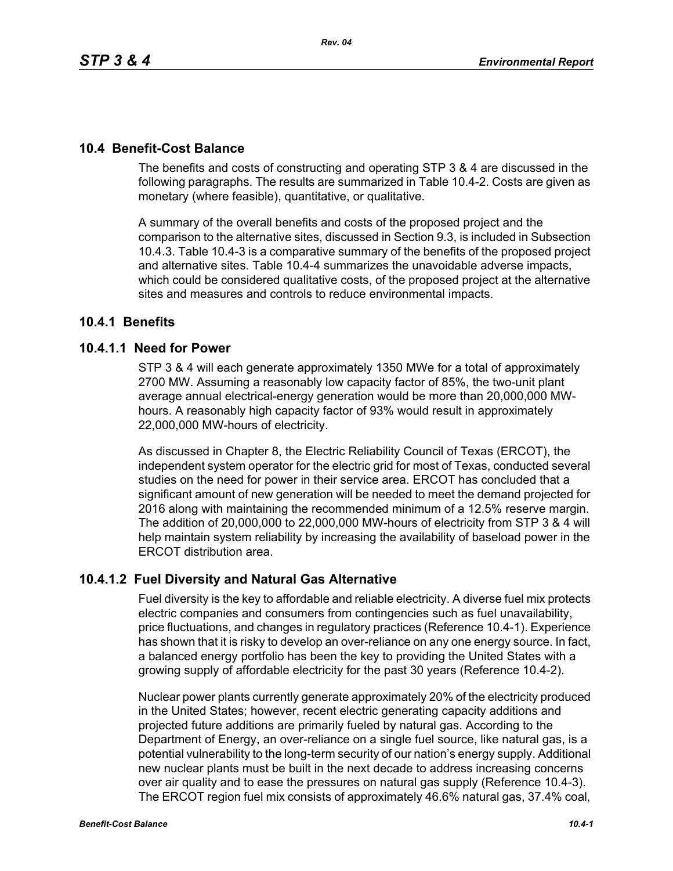# **10.4 Benefit-Cost Balance**

The benefits and costs of constructing and operating STP 3 & 4 are discussed in the following paragraphs. The results are summarized in Table 10.4-2. Costs are given as monetary (where feasible), quantitative, or qualitative.

A summary of the overall benefits and costs of the proposed project and the comparison to the alternative sites, discussed in Section 9.3, is included in Subsection 10.4.3. Table 10.4-3 is a comparative summary of the benefits of the proposed project and alternative sites. Table 10.4-4 summarizes the unavoidable adverse impacts, which could be considered qualitative costs, of the proposed project at the alternative sites and measures and controls to reduce environmental impacts.

# **10.4.1 Benefits**

# **10.4.1.1 Need for Power**

STP 3 & 4 will each generate approximately 1350 MWe for a total of approximately 2700 MW. Assuming a reasonably low capacity factor of 85%, the two-unit plant average annual electrical-energy generation would be more than 20,000,000 MWhours. A reasonably high capacity factor of 93% would result in approximately 22,000,000 MW-hours of electricity.

As discussed in Chapter 8, the Electric Reliability Council of Texas (ERCOT), the independent system operator for the electric grid for most of Texas, conducted several studies on the need for power in their service area. ERCOT has concluded that a significant amount of new generation will be needed to meet the demand projected for 2016 along with maintaining the recommended minimum of a 12.5% reserve margin. The addition of 20,000,000 to 22,000,000 MW-hours of electricity from STP 3 & 4 will help maintain system reliability by increasing the availability of baseload power in the ERCOT distribution area.

# **10.4.1.2 Fuel Diversity and Natural Gas Alternative**

Fuel diversity is the key to affordable and reliable electricity. A diverse fuel mix protects electric companies and consumers from contingencies such as fuel unavailability, price fluctuations, and changes in regulatory practices (Reference 10.4-1). Experience has shown that it is risky to develop an over-reliance on any one energy source. In fact, a balanced energy portfolio has been the key to providing the United States with a growing supply of affordable electricity for the past 30 years (Reference 10.4-2).

Nuclear power plants currently generate approximately 20% of the electricity produced in the United States; however, recent electric generating capacity additions and projected future additions are primarily fueled by natural gas. According to the Department of Energy, an over-reliance on a single fuel source, like natural gas, is a potential vulnerability to the long-term security of our nation's energy supply. Additional new nuclear plants must be built in the next decade to address increasing concerns over air quality and to ease the pressures on natural gas supply (Reference 10.4-3). The ERCOT region fuel mix consists of approximately 46.6% natural gas, 37.4% coal,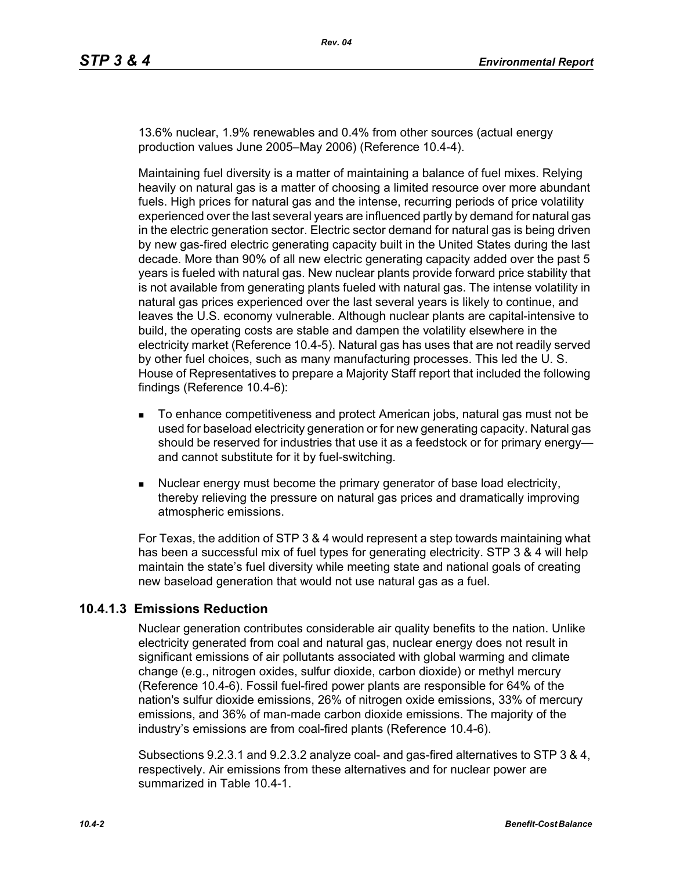13.6% nuclear, 1.9% renewables and 0.4% from other sources (actual energy production values June 2005–May 2006) (Reference 10.4-4).

Maintaining fuel diversity is a matter of maintaining a balance of fuel mixes. Relying heavily on natural gas is a matter of choosing a limited resource over more abundant fuels. High prices for natural gas and the intense, recurring periods of price volatility experienced over the last several years are influenced partly by demand for natural gas in the electric generation sector. Electric sector demand for natural gas is being driven by new gas-fired electric generating capacity built in the United States during the last decade. More than 90% of all new electric generating capacity added over the past 5 years is fueled with natural gas. New nuclear plants provide forward price stability that is not available from generating plants fueled with natural gas. The intense volatility in natural gas prices experienced over the last several years is likely to continue, and leaves the U.S. economy vulnerable. Although nuclear plants are capital-intensive to build, the operating costs are stable and dampen the volatility elsewhere in the electricity market (Reference 10.4-5). Natural gas has uses that are not readily served by other fuel choices, such as many manufacturing processes. This led the U. S. House of Representatives to prepare a Majority Staff report that included the following findings (Reference 10.4-6):

- To enhance competitiveness and protect American jobs, natural gas must not be used for baseload electricity generation or for new generating capacity. Natural gas should be reserved for industries that use it as a feedstock or for primary energy and cannot substitute for it by fuel-switching.
- Nuclear energy must become the primary generator of base load electricity, thereby relieving the pressure on natural gas prices and dramatically improving atmospheric emissions.

For Texas, the addition of STP 3 & 4 would represent a step towards maintaining what has been a successful mix of fuel types for generating electricity. STP 3 & 4 will help maintain the state's fuel diversity while meeting state and national goals of creating new baseload generation that would not use natural gas as a fuel.

# **10.4.1.3 Emissions Reduction**

Nuclear generation contributes considerable air quality benefits to the nation. Unlike electricity generated from coal and natural gas, nuclear energy does not result in significant emissions of air pollutants associated with global warming and climate change (e.g., nitrogen oxides, sulfur dioxide, carbon dioxide) or methyl mercury (Reference 10.4-6). Fossil fuel-fired power plants are responsible for 64% of the nation's sulfur dioxide emissions, 26% of nitrogen oxide emissions, 33% of mercury emissions, and 36% of man-made carbon dioxide emissions. The majority of the industry's emissions are from coal-fired plants (Reference 10.4-6).

Subsections 9.2.3.1 and 9.2.3.2 analyze coal- and gas-fired alternatives to STP 3 & 4, respectively. Air emissions from these alternatives and for nuclear power are summarized in Table 10.4-1.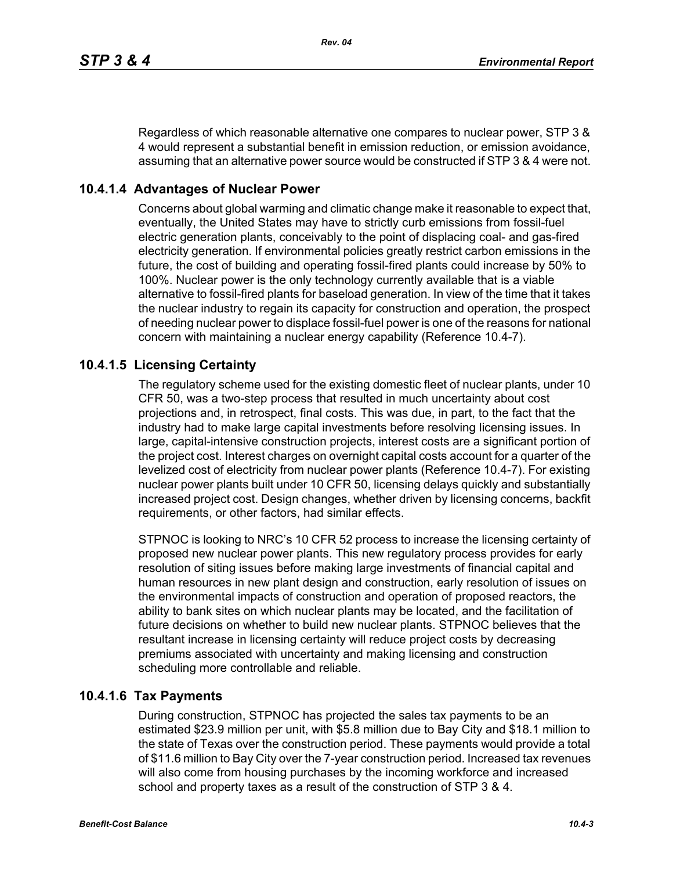Regardless of which reasonable alternative one compares to nuclear power, STP 3 & 4 would represent a substantial benefit in emission reduction, or emission avoidance, assuming that an alternative power source would be constructed if STP 3 & 4 were not.

# **10.4.1.4 Advantages of Nuclear Power**

Concerns about global warming and climatic change make it reasonable to expect that, eventually, the United States may have to strictly curb emissions from fossil-fuel electric generation plants, conceivably to the point of displacing coal- and gas-fired electricity generation. If environmental policies greatly restrict carbon emissions in the future, the cost of building and operating fossil-fired plants could increase by 50% to 100%. Nuclear power is the only technology currently available that is a viable alternative to fossil-fired plants for baseload generation. In view of the time that it takes the nuclear industry to regain its capacity for construction and operation, the prospect of needing nuclear power to displace fossil-fuel power is one of the reasons for national concern with maintaining a nuclear energy capability (Reference 10.4-7).

# **10.4.1.5 Licensing Certainty**

The regulatory scheme used for the existing domestic fleet of nuclear plants, under 10 CFR 50, was a two-step process that resulted in much uncertainty about cost projections and, in retrospect, final costs. This was due, in part, to the fact that the industry had to make large capital investments before resolving licensing issues. In large, capital-intensive construction projects, interest costs are a significant portion of the project cost. Interest charges on overnight capital costs account for a quarter of the levelized cost of electricity from nuclear power plants (Reference 10.4-7). For existing nuclear power plants built under 10 CFR 50, licensing delays quickly and substantially increased project cost. Design changes, whether driven by licensing concerns, backfit requirements, or other factors, had similar effects.

STPNOC is looking to NRC's 10 CFR 52 process to increase the licensing certainty of proposed new nuclear power plants. This new regulatory process provides for early resolution of siting issues before making large investments of financial capital and human resources in new plant design and construction, early resolution of issues on the environmental impacts of construction and operation of proposed reactors, the ability to bank sites on which nuclear plants may be located, and the facilitation of future decisions on whether to build new nuclear plants. STPNOC believes that the resultant increase in licensing certainty will reduce project costs by decreasing premiums associated with uncertainty and making licensing and construction scheduling more controllable and reliable.

# **10.4.1.6 Tax Payments**

During construction, STPNOC has projected the sales tax payments to be an estimated \$23.9 million per unit, with \$5.8 million due to Bay City and \$18.1 million to the state of Texas over the construction period. These payments would provide a total of \$11.6 million to Bay City over the 7-year construction period. Increased tax revenues will also come from housing purchases by the incoming workforce and increased school and property taxes as a result of the construction of STP 3 & 4.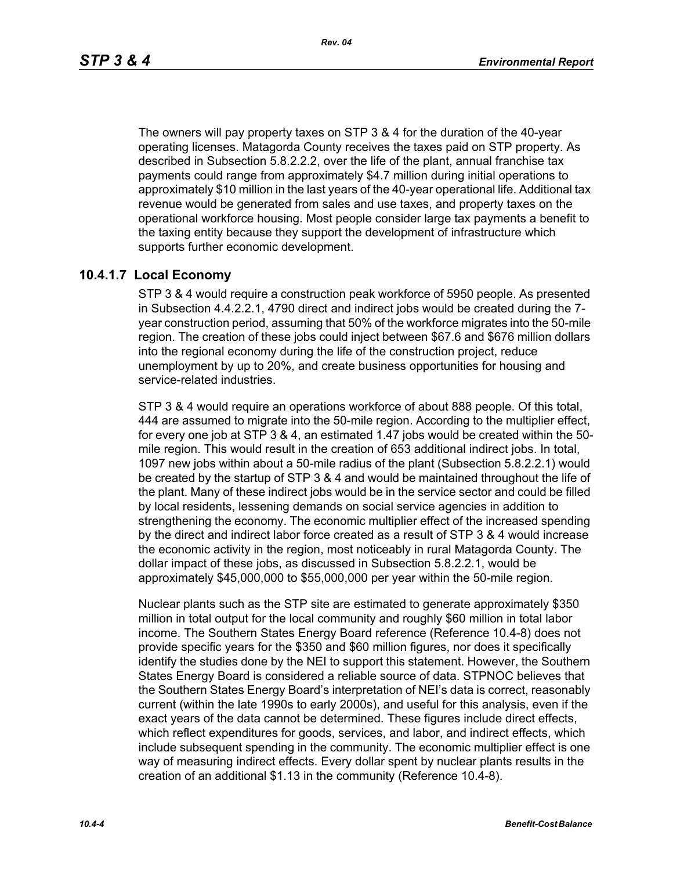*Rev. 04*

The owners will pay property taxes on STP 3 & 4 for the duration of the 40-year operating licenses. Matagorda County receives the taxes paid on STP property. As described in Subsection 5.8.2.2.2, over the life of the plant, annual franchise tax payments could range from approximately \$4.7 million during initial operations to approximately \$10 million in the last years of the 40-year operational life. Additional tax revenue would be generated from sales and use taxes, and property taxes on the operational workforce housing. Most people consider large tax payments a benefit to the taxing entity because they support the development of infrastructure which supports further economic development.

# **10.4.1.7 Local Economy**

STP 3 & 4 would require a construction peak workforce of 5950 people. As presented in Subsection 4.4.2.2.1, 4790 direct and indirect jobs would be created during the 7 year construction period, assuming that 50% of the workforce migrates into the 50-mile region. The creation of these jobs could inject between \$67.6 and \$676 million dollars into the regional economy during the life of the construction project, reduce unemployment by up to 20%, and create business opportunities for housing and service-related industries.

STP 3 & 4 would require an operations workforce of about 888 people. Of this total, 444 are assumed to migrate into the 50-mile region. According to the multiplier effect, for every one job at STP 3 & 4, an estimated 1.47 jobs would be created within the 50 mile region. This would result in the creation of 653 additional indirect jobs. In total, 1097 new jobs within about a 50-mile radius of the plant (Subsection 5.8.2.2.1) would be created by the startup of STP 3 & 4 and would be maintained throughout the life of the plant. Many of these indirect jobs would be in the service sector and could be filled by local residents, lessening demands on social service agencies in addition to strengthening the economy. The economic multiplier effect of the increased spending by the direct and indirect labor force created as a result of STP 3 & 4 would increase the economic activity in the region, most noticeably in rural Matagorda County. The dollar impact of these jobs, as discussed in Subsection 5.8.2.2.1, would be approximately \$45,000,000 to \$55,000,000 per year within the 50-mile region.

Nuclear plants such as the STP site are estimated to generate approximately \$350 million in total output for the local community and roughly \$60 million in total labor income. The Southern States Energy Board reference (Reference 10.4-8) does not provide specific years for the \$350 and \$60 million figures, nor does it specifically identify the studies done by the NEI to support this statement. However, the Southern States Energy Board is considered a reliable source of data. STPNOC believes that the Southern States Energy Board's interpretation of NEI's data is correct, reasonably current (within the late 1990s to early 2000s), and useful for this analysis, even if the exact years of the data cannot be determined. These figures include direct effects, which reflect expenditures for goods, services, and labor, and indirect effects, which include subsequent spending in the community. The economic multiplier effect is one way of measuring indirect effects. Every dollar spent by nuclear plants results in the creation of an additional \$1.13 in the community (Reference 10.4-8).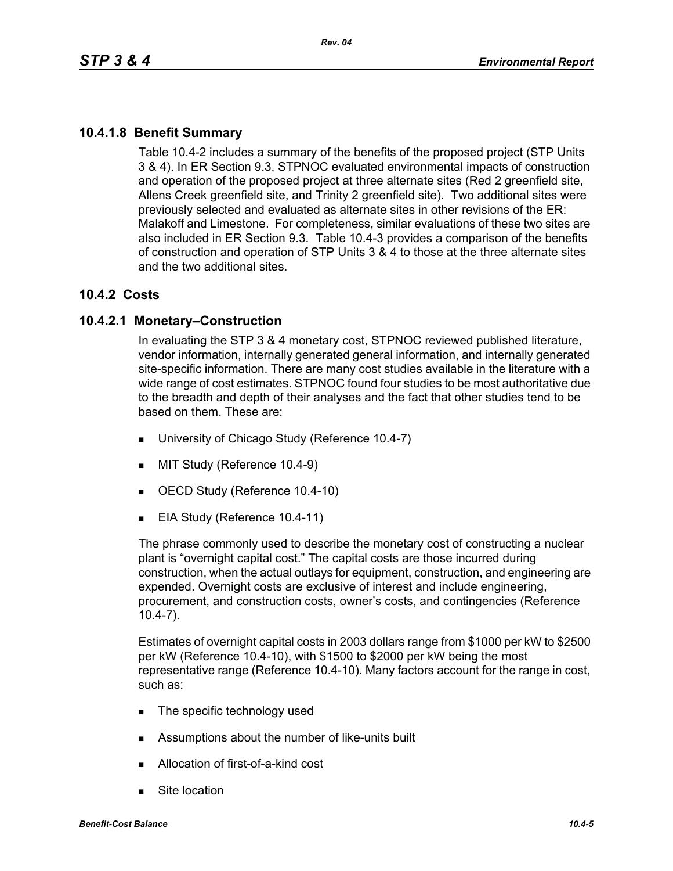# **10.4.1.8 Benefit Summary**

Table 10.4-2 includes a summary of the benefits of the proposed project (STP Units 3 & 4). In ER Section 9.3, STPNOC evaluated environmental impacts of construction and operation of the proposed project at three alternate sites (Red 2 greenfield site, Allens Creek greenfield site, and Trinity 2 greenfield site). Two additional sites were previously selected and evaluated as alternate sites in other revisions of the ER: Malakoff and Limestone. For completeness, similar evaluations of these two sites are also included in ER Section 9.3. Table 10.4-3 provides a comparison of the benefits of construction and operation of STP Units 3 & 4 to those at the three alternate sites and the two additional sites.

# **10.4.2 Costs**

# **10.4.2.1 Monetary–Construction**

In evaluating the STP 3 & 4 monetary cost, STPNOC reviewed published literature, vendor information, internally generated general information, and internally generated site-specific information. There are many cost studies available in the literature with a wide range of cost estimates. STPNOC found four studies to be most authoritative due to the breadth and depth of their analyses and the fact that other studies tend to be based on them. These are:

- **University of Chicago Study (Reference 10.4-7)**
- **MIT Study (Reference 10.4-9)**
- OECD Study (Reference 10.4-10)
- EIA Study (Reference 10.4-11)

The phrase commonly used to describe the monetary cost of constructing a nuclear plant is "overnight capital cost." The capital costs are those incurred during construction, when the actual outlays for equipment, construction, and engineering are expended. Overnight costs are exclusive of interest and include engineering, procurement, and construction costs, owner's costs, and contingencies (Reference 10.4-7).

Estimates of overnight capital costs in 2003 dollars range from \$1000 per kW to \$2500 per kW (Reference 10.4-10), with \$1500 to \$2000 per kW being the most representative range (Reference 10.4-10). Many factors account for the range in cost, such as:

- The specific technology used
- **EXECUTE:** Assumptions about the number of like-units built
- Allocation of first-of-a-kind cost
- Site location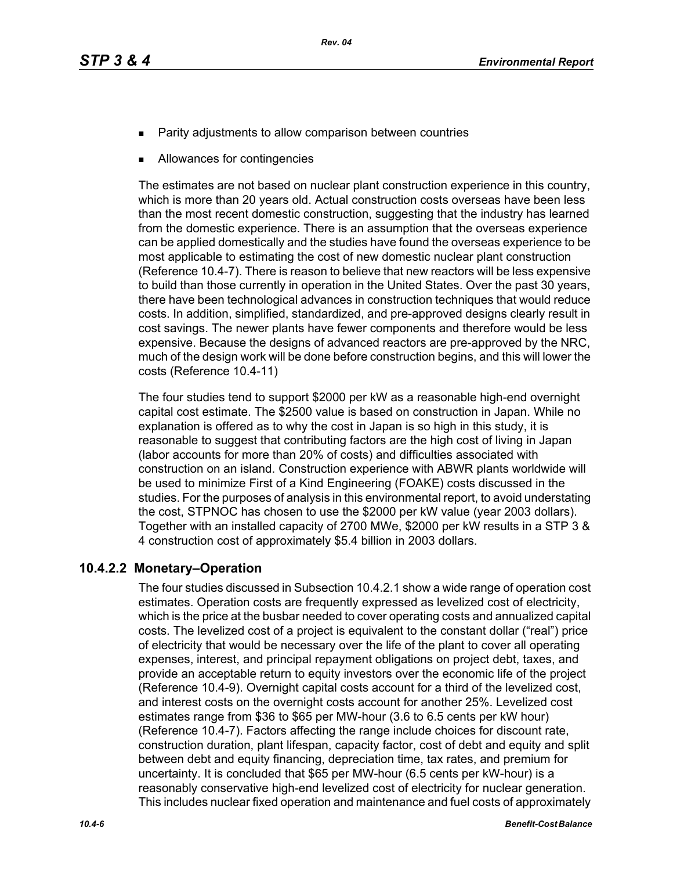- Parity adjustments to allow comparison between countries
- Allowances for contingencies

The estimates are not based on nuclear plant construction experience in this country, which is more than 20 years old. Actual construction costs overseas have been less than the most recent domestic construction, suggesting that the industry has learned from the domestic experience. There is an assumption that the overseas experience can be applied domestically and the studies have found the overseas experience to be most applicable to estimating the cost of new domestic nuclear plant construction (Reference 10.4-7). There is reason to believe that new reactors will be less expensive to build than those currently in operation in the United States. Over the past 30 years, there have been technological advances in construction techniques that would reduce costs. In addition, simplified, standardized, and pre-approved designs clearly result in cost savings. The newer plants have fewer components and therefore would be less expensive. Because the designs of advanced reactors are pre-approved by the NRC, much of the design work will be done before construction begins, and this will lower the costs (Reference 10.4-11)

The four studies tend to support \$2000 per kW as a reasonable high-end overnight capital cost estimate. The \$2500 value is based on construction in Japan. While no explanation is offered as to why the cost in Japan is so high in this study, it is reasonable to suggest that contributing factors are the high cost of living in Japan (labor accounts for more than 20% of costs) and difficulties associated with construction on an island. Construction experience with ABWR plants worldwide will be used to minimize First of a Kind Engineering (FOAKE) costs discussed in the studies. For the purposes of analysis in this environmental report, to avoid understating the cost, STPNOC has chosen to use the \$2000 per kW value (year 2003 dollars). Together with an installed capacity of 2700 MWe, \$2000 per kW results in a STP 3 & 4 construction cost of approximately \$5.4 billion in 2003 dollars.

# **10.4.2.2 Monetary–Operation**

The four studies discussed in Subsection 10.4.2.1 show a wide range of operation cost estimates. Operation costs are frequently expressed as levelized cost of electricity, which is the price at the busbar needed to cover operating costs and annualized capital costs. The levelized cost of a project is equivalent to the constant dollar ("real") price of electricity that would be necessary over the life of the plant to cover all operating expenses, interest, and principal repayment obligations on project debt, taxes, and provide an acceptable return to equity investors over the economic life of the project (Reference 10.4-9). Overnight capital costs account for a third of the levelized cost, and interest costs on the overnight costs account for another 25%. Levelized cost estimates range from \$36 to \$65 per MW-hour (3.6 to 6.5 cents per kW hour) (Reference 10.4-7). Factors affecting the range include choices for discount rate, construction duration, plant lifespan, capacity factor, cost of debt and equity and split between debt and equity financing, depreciation time, tax rates, and premium for uncertainty. It is concluded that \$65 per MW-hour (6.5 cents per kW-hour) is a reasonably conservative high-end levelized cost of electricity for nuclear generation. This includes nuclear fixed operation and maintenance and fuel costs of approximately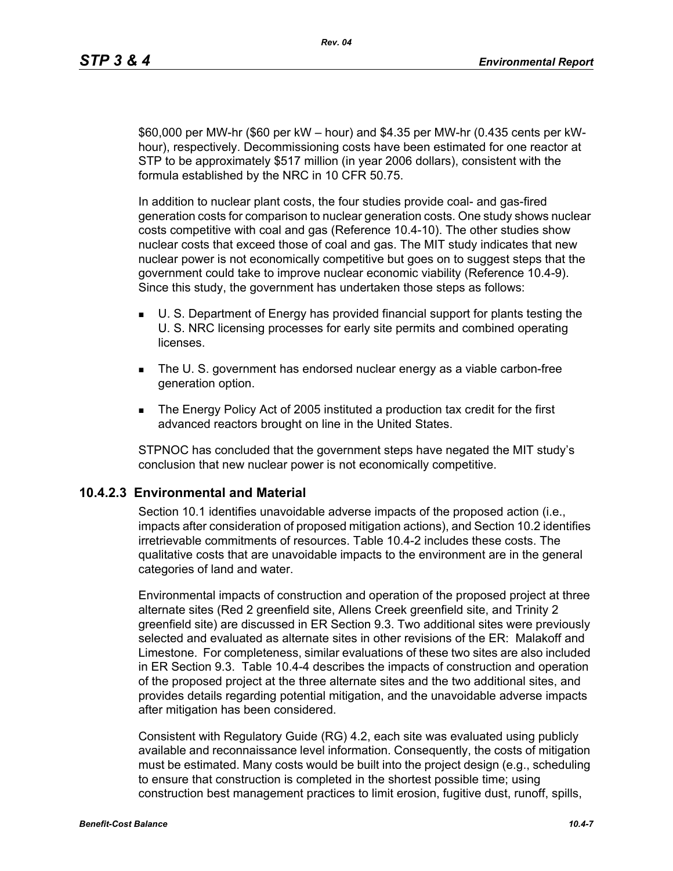\$60,000 per MW-hr (\$60 per kW – hour) and \$4.35 per MW-hr (0.435 cents per kWhour), respectively. Decommissioning costs have been estimated for one reactor at STP to be approximately \$517 million (in year 2006 dollars), consistent with the formula established by the NRC in 10 CFR 50.75.

In addition to nuclear plant costs, the four studies provide coal- and gas-fired generation costs for comparison to nuclear generation costs. One study shows nuclear costs competitive with coal and gas (Reference 10.4-10). The other studies show nuclear costs that exceed those of coal and gas. The MIT study indicates that new nuclear power is not economically competitive but goes on to suggest steps that the government could take to improve nuclear economic viability (Reference 10.4-9). Since this study, the government has undertaken those steps as follows:

- U. S. Department of Energy has provided financial support for plants testing the U. S. NRC licensing processes for early site permits and combined operating **licenses**
- The U. S. government has endorsed nuclear energy as a viable carbon-free generation option.
- The Energy Policy Act of 2005 instituted a production tax credit for the first advanced reactors brought on line in the United States.

STPNOC has concluded that the government steps have negated the MIT study's conclusion that new nuclear power is not economically competitive.

# **10.4.2.3 Environmental and Material**

Section 10.1 identifies unavoidable adverse impacts of the proposed action (i.e., impacts after consideration of proposed mitigation actions), and Section 10.2 identifies irretrievable commitments of resources. Table 10.4-2 includes these costs. The qualitative costs that are unavoidable impacts to the environment are in the general categories of land and water.

Environmental impacts of construction and operation of the proposed project at three alternate sites (Red 2 greenfield site, Allens Creek greenfield site, and Trinity 2 greenfield site) are discussed in ER Section 9.3. Two additional sites were previously selected and evaluated as alternate sites in other revisions of the ER: Malakoff and Limestone. For completeness, similar evaluations of these two sites are also included in ER Section 9.3. Table 10.4-4 describes the impacts of construction and operation of the proposed project at the three alternate sites and the two additional sites, and provides details regarding potential mitigation, and the unavoidable adverse impacts after mitigation has been considered.

Consistent with Regulatory Guide (RG) 4.2, each site was evaluated using publicly available and reconnaissance level information. Consequently, the costs of mitigation must be estimated. Many costs would be built into the project design (e.g., scheduling to ensure that construction is completed in the shortest possible time; using construction best management practices to limit erosion, fugitive dust, runoff, spills,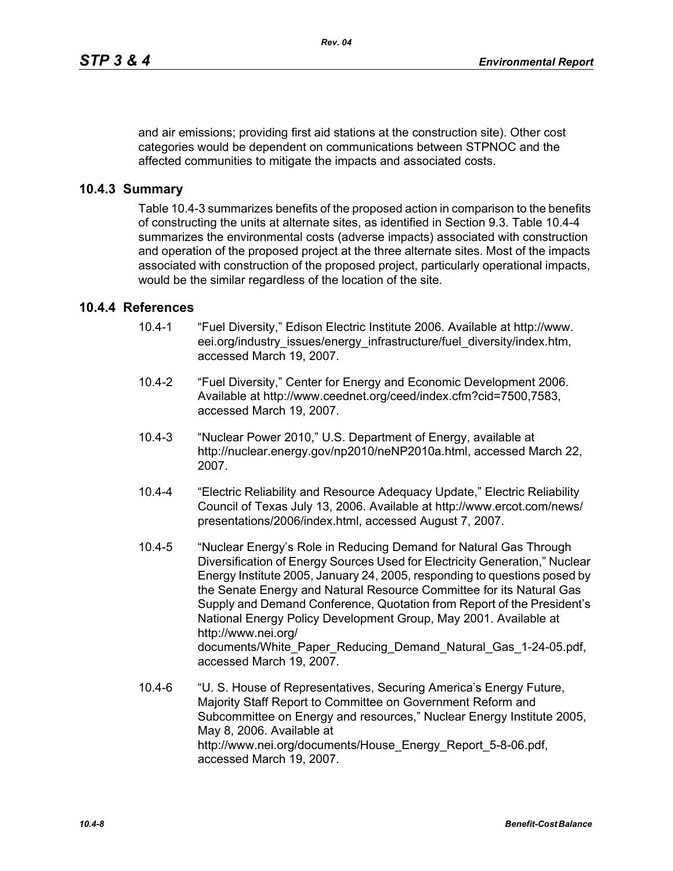and air emissions; providing first aid stations at the construction site). Other cost categories would be dependent on communications between STPNOC and the affected communities to mitigate the impacts and associated costs.

# **10.4.3 Summary**

Table 10.4-3 summarizes benefits of the proposed action in comparison to the benefits of constructing the units at alternate sites, as identified in Section 9.3. Table 10.4-4 summarizes the environmental costs (adverse impacts) associated with construction and operation of the proposed project at the three alternate sites. Most of the impacts associated with construction of the proposed project, particularly operational impacts, would be the similar regardless of the location of the site.

# **10.4.4 References**

- 10.4-1 "Fuel Diversity," Edison Electric Institute 2006. Available at http://www. eei.org/industry\_issues/energy\_infrastructure/fuel\_diversity/index.htm, accessed March 19, 2007.
- 10.4-2 "Fuel Diversity," Center for Energy and Economic Development 2006. Available at http://www.ceednet.org/ceed/index.cfm?cid=7500,7583, accessed March 19, 2007.
- 10.4-3 "Nuclear Power 2010," U.S. Department of Energy, available at http://nuclear.energy.gov/np2010/neNP2010a.html, accessed March 22, 2007.
- 10.4-4 "Electric Reliability and Resource Adequacy Update," Electric Reliability Council of Texas July 13, 2006. Available at http://www.ercot.com/news/ presentations/2006/index.html, accessed August 7, 2007.
- 10.4-5 "Nuclear Energy's Role in Reducing Demand for Natural Gas Through Diversification of Energy Sources Used for Electricity Generation," Nuclear Energy Institute 2005, January 24, 2005, responding to questions posed by the Senate Energy and Natural Resource Committee for its Natural Gas Supply and Demand Conference, Quotation from Report of the President's National Energy Policy Development Group, May 2001. Available at http://www.nei.org/ documents/White\_Paper\_Reducing\_Demand\_Natural\_Gas\_1-24-05.pdf, accessed March 19, 2007.
- 10.4-6 "U. S. House of Representatives, Securing America's Energy Future, Majority Staff Report to Committee on Government Reform and Subcommittee on Energy and resources," Nuclear Energy Institute 2005, May 8, 2006. Available at http://www.nei.org/documents/House\_Energy\_Report\_5-8-06.pdf, accessed March 19, 2007.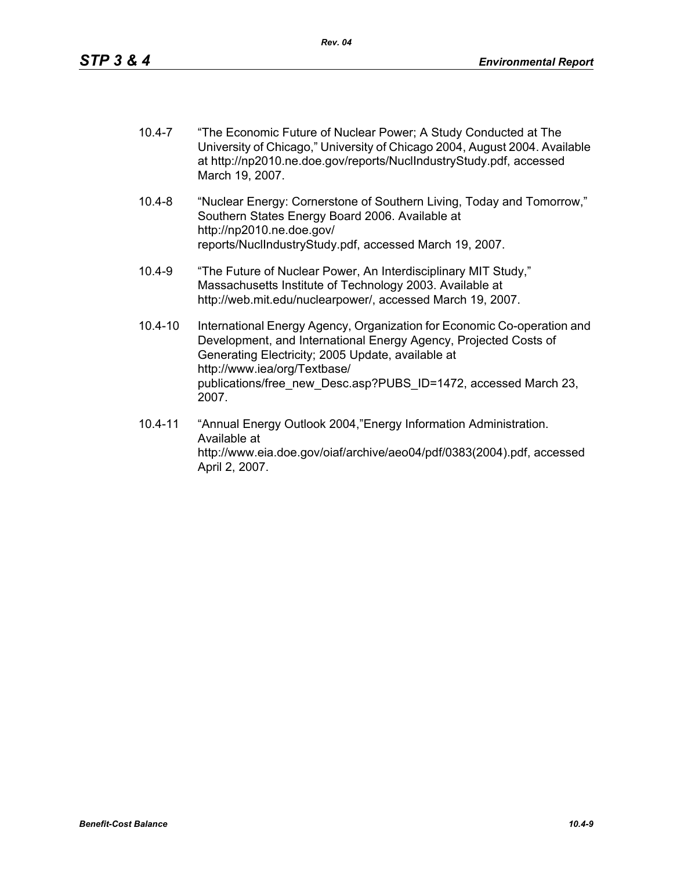- 10.4-7 "The Economic Future of Nuclear Power; A Study Conducted at The University of Chicago," University of Chicago 2004, August 2004. Available at http://np2010.ne.doe.gov/reports/NuclIndustryStudy.pdf, accessed March 19, 2007.
- 10.4-8 "Nuclear Energy: Cornerstone of Southern Living, Today and Tomorrow," Southern States Energy Board 2006. Available at http://np2010.ne.doe.gov/ reports/NuclIndustryStudy.pdf, accessed March 19, 2007.
- 10.4-9 "The Future of Nuclear Power, An Interdisciplinary MIT Study," Massachusetts Institute of Technology 2003. Available at http://web.mit.edu/nuclearpower/, accessed March 19, 2007.
- 10.4-10 International Energy Agency, Organization for Economic Co-operation and Development, and International Energy Agency, Projected Costs of Generating Electricity; 2005 Update, available at http://www.iea/org/Textbase/ publications/free\_new\_Desc.asp?PUBS\_ID=1472, accessed March 23, 2007.
- 10.4-11 "Annual Energy Outlook 2004,"Energy Information Administration. Available at http://www.eia.doe.gov/oiaf/archive/aeo04/pdf/0383(2004).pdf, accessed April 2, 2007.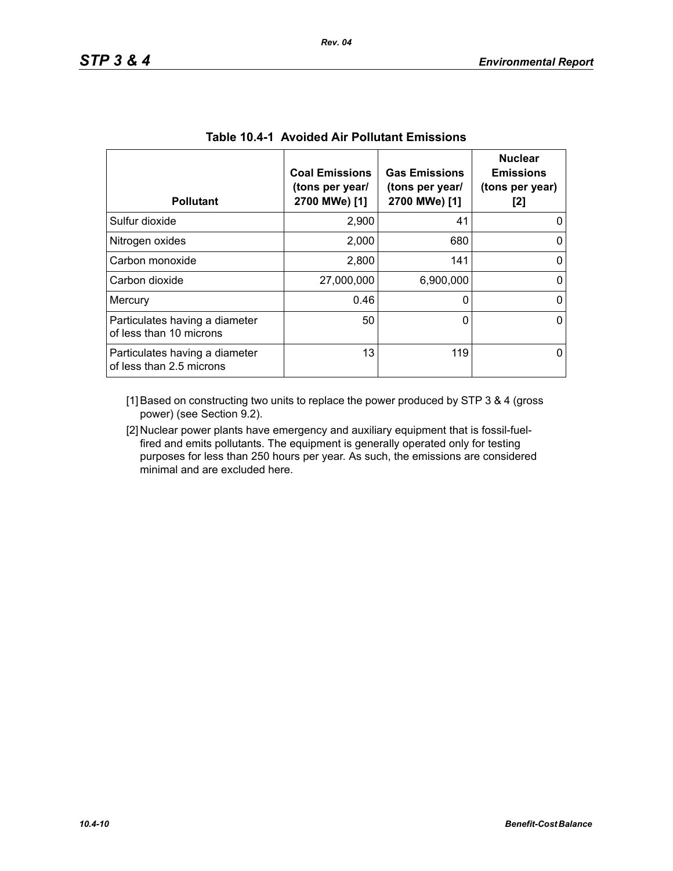| <b>Pollutant</b>                                           | <b>Coal Emissions</b><br>(tons per year/<br>2700 MWe) [1] | <b>Gas Emissions</b><br>(tons per year/<br>2700 MWe) [1] | <b>Nuclear</b><br><b>Emissions</b><br>(tons per year)<br>[2] |
|------------------------------------------------------------|-----------------------------------------------------------|----------------------------------------------------------|--------------------------------------------------------------|
| Sulfur dioxide                                             | 2,900                                                     | 41                                                       | O                                                            |
| Nitrogen oxides                                            | 2,000                                                     | 680                                                      | 0                                                            |
| Carbon monoxide                                            | 2,800                                                     | 141                                                      | 0                                                            |
| Carbon dioxide                                             | 27,000,000                                                | 6,900,000                                                | 0                                                            |
| Mercury                                                    | 0.46                                                      | 0                                                        | 0                                                            |
| Particulates having a diameter<br>of less than 10 microns  | 50                                                        | 0                                                        | 0                                                            |
| Particulates having a diameter<br>of less than 2.5 microns | 13                                                        | 119                                                      | O                                                            |

## **Table 10.4-1 Avoided Air Pollutant Emissions**

*Rev. 04*

[1] Based on constructing two units to replace the power produced by STP 3 & 4 (gross power) (see Section 9.2).

[2] Nuclear power plants have emergency and auxiliary equipment that is fossil-fuelfired and emits pollutants. The equipment is generally operated only for testing purposes for less than 250 hours per year. As such, the emissions are considered minimal and are excluded here.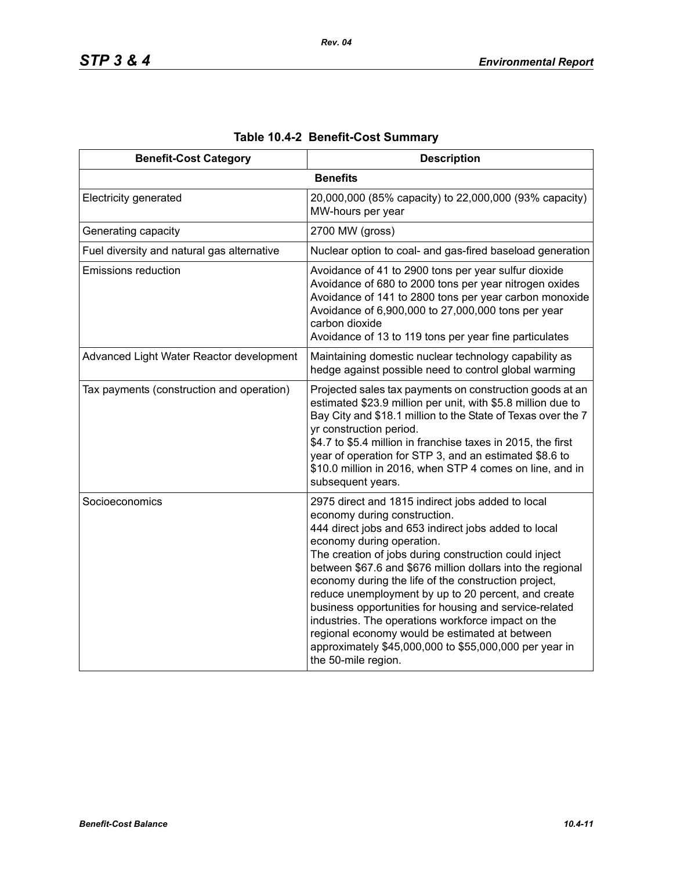| <b>Benefit-Cost Category</b>               | <b>Description</b>                                                                                                                                                                                                                                                                                                                                                                                                                                                                                                                                                                                                                                              |
|--------------------------------------------|-----------------------------------------------------------------------------------------------------------------------------------------------------------------------------------------------------------------------------------------------------------------------------------------------------------------------------------------------------------------------------------------------------------------------------------------------------------------------------------------------------------------------------------------------------------------------------------------------------------------------------------------------------------------|
|                                            | <b>Benefits</b>                                                                                                                                                                                                                                                                                                                                                                                                                                                                                                                                                                                                                                                 |
| <b>Electricity generated</b>               | 20,000,000 (85% capacity) to 22,000,000 (93% capacity)<br>MW-hours per year                                                                                                                                                                                                                                                                                                                                                                                                                                                                                                                                                                                     |
| Generating capacity                        | 2700 MW (gross)                                                                                                                                                                                                                                                                                                                                                                                                                                                                                                                                                                                                                                                 |
| Fuel diversity and natural gas alternative | Nuclear option to coal- and gas-fired baseload generation                                                                                                                                                                                                                                                                                                                                                                                                                                                                                                                                                                                                       |
| <b>Emissions reduction</b>                 | Avoidance of 41 to 2900 tons per year sulfur dioxide<br>Avoidance of 680 to 2000 tons per year nitrogen oxides<br>Avoidance of 141 to 2800 tons per year carbon monoxide<br>Avoidance of 6,900,000 to 27,000,000 tons per year<br>carbon dioxide<br>Avoidance of 13 to 119 tons per year fine particulates                                                                                                                                                                                                                                                                                                                                                      |
| Advanced Light Water Reactor development   | Maintaining domestic nuclear technology capability as<br>hedge against possible need to control global warming                                                                                                                                                                                                                                                                                                                                                                                                                                                                                                                                                  |
| Tax payments (construction and operation)  | Projected sales tax payments on construction goods at an<br>estimated \$23.9 million per unit, with \$5.8 million due to<br>Bay City and \$18.1 million to the State of Texas over the 7<br>yr construction period.<br>\$4.7 to \$5.4 million in franchise taxes in 2015, the first<br>year of operation for STP 3, and an estimated \$8.6 to<br>\$10.0 million in 2016, when STP 4 comes on line, and in<br>subsequent years.                                                                                                                                                                                                                                  |
| Socioeconomics                             | 2975 direct and 1815 indirect jobs added to local<br>economy during construction.<br>444 direct jobs and 653 indirect jobs added to local<br>economy during operation.<br>The creation of jobs during construction could inject<br>between \$67.6 and \$676 million dollars into the regional<br>economy during the life of the construction project,<br>reduce unemployment by up to 20 percent, and create<br>business opportunities for housing and service-related<br>industries. The operations workforce impact on the<br>regional economy would be estimated at between<br>approximately \$45,000,000 to \$55,000,000 per year in<br>the 50-mile region. |

# **Table 10.4-2 Benefit-Cost Summary**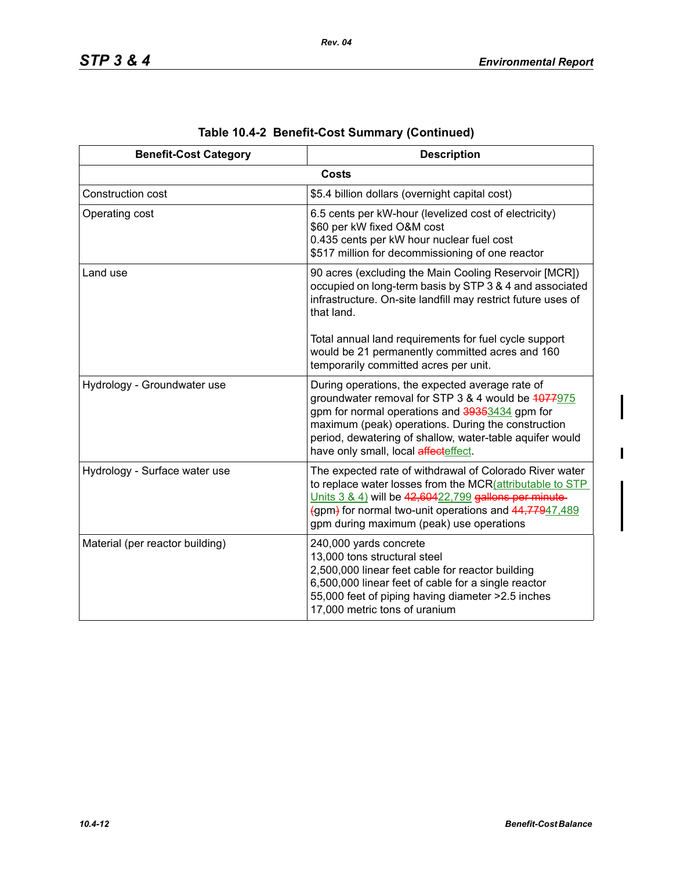ı

 $\mathbf I$ 

| <b>Benefit-Cost Category</b>    | <b>Description</b>                                                                                                                                                                                                                                                                                                |
|---------------------------------|-------------------------------------------------------------------------------------------------------------------------------------------------------------------------------------------------------------------------------------------------------------------------------------------------------------------|
|                                 | <b>Costs</b>                                                                                                                                                                                                                                                                                                      |
| Construction cost               | \$5.4 billion dollars (overnight capital cost)                                                                                                                                                                                                                                                                    |
| Operating cost                  | 6.5 cents per kW-hour (levelized cost of electricity)<br>\$60 per kW fixed O&M cost<br>0.435 cents per kW hour nuclear fuel cost<br>\$517 million for decommissioning of one reactor                                                                                                                              |
| Land use                        | 90 acres (excluding the Main Cooling Reservoir [MCR])<br>occupied on long-term basis by STP 3 & 4 and associated<br>infrastructure. On-site landfill may restrict future uses of<br>that land.                                                                                                                    |
|                                 | Total annual land requirements for fuel cycle support<br>would be 21 permanently committed acres and 160<br>temporarily committed acres per unit.                                                                                                                                                                 |
| Hydrology - Groundwater use     | During operations, the expected average rate of<br>groundwater removal for STP 3 & 4 would be 4077975<br>gpm for normal operations and 39353434 gpm for<br>maximum (peak) operations. During the construction<br>period, dewatering of shallow, water-table aquifer would<br>have only small, local affecteffect. |
| Hydrology - Surface water use   | The expected rate of withdrawal of Colorado River water<br>to replace water losses from the MCR(attributable to STP<br>Units 3 & 4) will be 42,60422,799 gallons per minute-<br>(gpm) for normal two-unit operations and 44,77947,489<br>gpm during maximum (peak) use operations                                 |
| Material (per reactor building) | 240,000 yards concrete<br>13,000 tons structural steel<br>2,500,000 linear feet cable for reactor building<br>6,500,000 linear feet of cable for a single reactor<br>55,000 feet of piping having diameter > 2.5 inches<br>17,000 metric tons of uranium                                                          |

|  | Table 10.4-2 Benefit-Cost Summary (Continued) |  |  |
|--|-----------------------------------------------|--|--|
|--|-----------------------------------------------|--|--|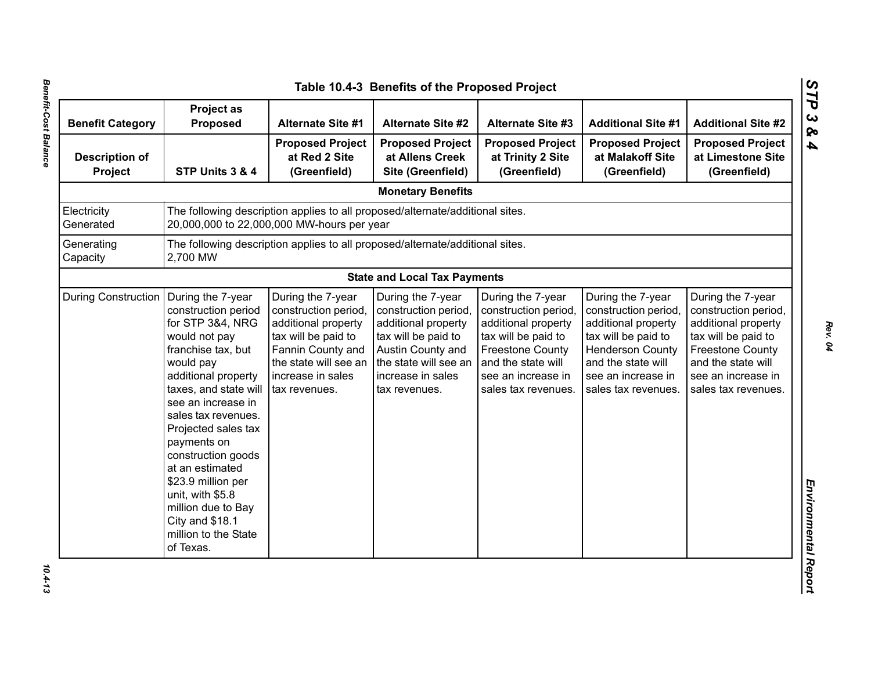| <b>Benefit Category</b>          | Project as<br><b>Proposed</b>                                                                                                                                                                                                                                                                                                                                                                                        | <b>Alternate Site #1</b>                                                                                                                                                   | <b>Alternate Site #2</b>                                                                                                                                                    | <b>Alternate Site #3</b>                                                                                                                                                              | <b>Additional Site #1</b>                                                                                                                                                             | <b>Additional Site #2</b>                                                                                                                                                             |
|----------------------------------|----------------------------------------------------------------------------------------------------------------------------------------------------------------------------------------------------------------------------------------------------------------------------------------------------------------------------------------------------------------------------------------------------------------------|----------------------------------------------------------------------------------------------------------------------------------------------------------------------------|-----------------------------------------------------------------------------------------------------------------------------------------------------------------------------|---------------------------------------------------------------------------------------------------------------------------------------------------------------------------------------|---------------------------------------------------------------------------------------------------------------------------------------------------------------------------------------|---------------------------------------------------------------------------------------------------------------------------------------------------------------------------------------|
| <b>Description of</b><br>Project | STP Units 3 & 4                                                                                                                                                                                                                                                                                                                                                                                                      | <b>Proposed Project</b><br>at Red 2 Site<br>(Greenfield)                                                                                                                   | <b>Proposed Project</b><br>at Allens Creek<br>Site (Greenfield)                                                                                                             | <b>Proposed Project</b><br>at Trinity 2 Site<br>(Greenfield)                                                                                                                          | <b>Proposed Project</b><br>at Malakoff Site<br>(Greenfield)                                                                                                                           | <b>Proposed Project</b><br>at Limestone Site<br>(Greenfield)                                                                                                                          |
|                                  |                                                                                                                                                                                                                                                                                                                                                                                                                      |                                                                                                                                                                            | <b>Monetary Benefits</b>                                                                                                                                                    |                                                                                                                                                                                       |                                                                                                                                                                                       |                                                                                                                                                                                       |
| Electricity<br>Generated         |                                                                                                                                                                                                                                                                                                                                                                                                                      | The following description applies to all proposed/alternate/additional sites.<br>20,000,000 to 22,000,000 MW-hours per year                                                |                                                                                                                                                                             |                                                                                                                                                                                       |                                                                                                                                                                                       |                                                                                                                                                                                       |
| Generating<br>Capacity           | 2,700 MW                                                                                                                                                                                                                                                                                                                                                                                                             | The following description applies to all proposed/alternate/additional sites.                                                                                              |                                                                                                                                                                             |                                                                                                                                                                                       |                                                                                                                                                                                       |                                                                                                                                                                                       |
|                                  |                                                                                                                                                                                                                                                                                                                                                                                                                      |                                                                                                                                                                            | <b>State and Local Tax Payments</b>                                                                                                                                         |                                                                                                                                                                                       |                                                                                                                                                                                       |                                                                                                                                                                                       |
| <b>During Construction</b>       | During the 7-year<br>construction period<br>for STP 3&4, NRG<br>would not pay<br>franchise tax, but<br>would pay<br>additional property<br>taxes, and state will<br>see an increase in<br>sales tax revenues.<br>Projected sales tax<br>payments on<br>construction goods<br>at an estimated<br>\$23.9 million per<br>unit, with \$5.8<br>million due to Bay<br>City and \$18.1<br>million to the State<br>of Texas. | During the 7-year<br>construction period<br>additional property<br>tax will be paid to<br>Fannin County and<br>the state will see an<br>increase in sales<br>tax revenues. | During the 7-year<br>construction period,<br>additional property<br>tax will be paid to<br>Austin County and<br>the state will see an<br>increase in sales<br>tax revenues. | During the 7-year<br>construction period,<br>additional property<br>tax will be paid to<br><b>Freestone County</b><br>and the state will<br>see an increase in<br>sales tax revenues. | During the 7-year<br>construction period,<br>additional property<br>tax will be paid to<br><b>Henderson County</b><br>and the state will<br>see an increase in<br>sales tax revenues. | During the 7-year<br>construction period,<br>additional property<br>tax will be paid to<br><b>Freestone County</b><br>and the state will<br>see an increase in<br>sales tax revenues. |

*STP 3 & 4*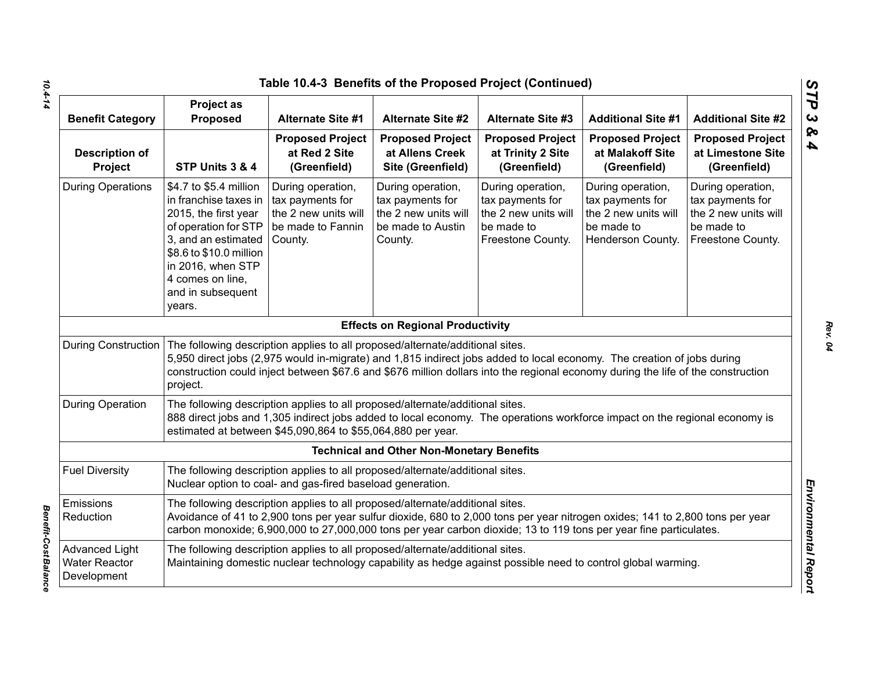|                                                              |                                                                                                                                                                                                                           | Table 10.4-3 Benefits of the Proposed Project (Continued)                                                                                    |                                                                                               |                                                                                                                                                                                                                                                            |                                                                                                  |                                                                                                  |
|--------------------------------------------------------------|---------------------------------------------------------------------------------------------------------------------------------------------------------------------------------------------------------------------------|----------------------------------------------------------------------------------------------------------------------------------------------|-----------------------------------------------------------------------------------------------|------------------------------------------------------------------------------------------------------------------------------------------------------------------------------------------------------------------------------------------------------------|--------------------------------------------------------------------------------------------------|--------------------------------------------------------------------------------------------------|
| <b>Benefit Category</b>                                      | <b>Project as</b><br>Proposed                                                                                                                                                                                             | <b>Alternate Site #1</b>                                                                                                                     | <b>Alternate Site #2</b>                                                                      | <b>Alternate Site #3</b>                                                                                                                                                                                                                                   | <b>Additional Site #1</b>                                                                        | <b>Additional Site #2</b>                                                                        |
| <b>Description of</b><br>Project                             | STP Units 3 & 4                                                                                                                                                                                                           | <b>Proposed Project</b><br>at Red 2 Site<br>(Greenfield)                                                                                     | <b>Proposed Project</b><br>at Allens Creek<br>Site (Greenfield)                               | <b>Proposed Project</b><br>at Trinity 2 Site<br>(Greenfield)                                                                                                                                                                                               | <b>Proposed Project</b><br>at Malakoff Site<br>(Greenfield)                                      | <b>Proposed Project</b><br>at Limestone Site<br>(Greenfield)                                     |
| <b>During Operations</b>                                     | \$4.7 to \$5.4 million<br>in franchise taxes in<br>2015, the first year<br>of operation for STP<br>3, and an estimated<br>\$8.6 to \$10.0 million<br>in 2016, when STP<br>4 comes on line,<br>and in subsequent<br>years. | During operation,<br>tax payments for<br>the 2 new units will<br>be made to Fannin<br>County.                                                | During operation,<br>tax payments for<br>the 2 new units will<br>be made to Austin<br>County. | During operation,<br>tax payments for<br>the 2 new units will<br>be made to<br>Freestone County.                                                                                                                                                           | During operation,<br>tax payments for<br>the 2 new units will<br>be made to<br>Henderson County. | During operation,<br>tax payments for<br>the 2 new units will<br>be made to<br>Freestone County. |
|                                                              |                                                                                                                                                                                                                           |                                                                                                                                              | <b>Effects on Regional Productivity</b>                                                       |                                                                                                                                                                                                                                                            |                                                                                                  |                                                                                                  |
| <b>During Construction</b>                                   | project.                                                                                                                                                                                                                  | The following description applies to all proposed/alternate/additional sites.                                                                |                                                                                               | 5,950 direct jobs (2,975 would in-migrate) and 1,815 indirect jobs added to local economy. The creation of jobs during<br>construction could inject between \$67.6 and \$676 million dollars into the regional economy during the life of the construction |                                                                                                  |                                                                                                  |
| <b>During Operation</b>                                      |                                                                                                                                                                                                                           | The following description applies to all proposed/alternate/additional sites.<br>estimated at between \$45,090,864 to \$55,064,880 per year. |                                                                                               | 888 direct jobs and 1,305 indirect jobs added to local economy. The operations workforce impact on the regional economy is                                                                                                                                 |                                                                                                  |                                                                                                  |
|                                                              |                                                                                                                                                                                                                           |                                                                                                                                              | <b>Technical and Other Non-Monetary Benefits</b>                                              |                                                                                                                                                                                                                                                            |                                                                                                  |                                                                                                  |
| <b>Fuel Diversity</b>                                        |                                                                                                                                                                                                                           | The following description applies to all proposed/alternate/additional sites.<br>Nuclear option to coal- and gas-fired baseload generation.  |                                                                                               |                                                                                                                                                                                                                                                            |                                                                                                  |                                                                                                  |
| Emissions<br>Reduction                                       |                                                                                                                                                                                                                           | The following description applies to all proposed/alternate/additional sites.                                                                |                                                                                               | Avoidance of 41 to 2,900 tons per year sulfur dioxide, 680 to 2,000 tons per year nitrogen oxides; 141 to 2,800 tons per year<br>carbon monoxide; 6,900,000 to 27,000,000 tons per year carbon dioxide; 13 to 119 tons per year fine particulates.         |                                                                                                  |                                                                                                  |
| <b>Advanced Light</b><br><b>Water Reactor</b><br>Development |                                                                                                                                                                                                                           | The following description applies to all proposed/alternate/additional sites.                                                                |                                                                                               | Maintaining domestic nuclear technology capability as hedge against possible need to control global warming.                                                                                                                                               |                                                                                                  |                                                                                                  |

*Benefit-Cost Balance* 

**Benefit-Cost Balance** 

*STP 3 & 4*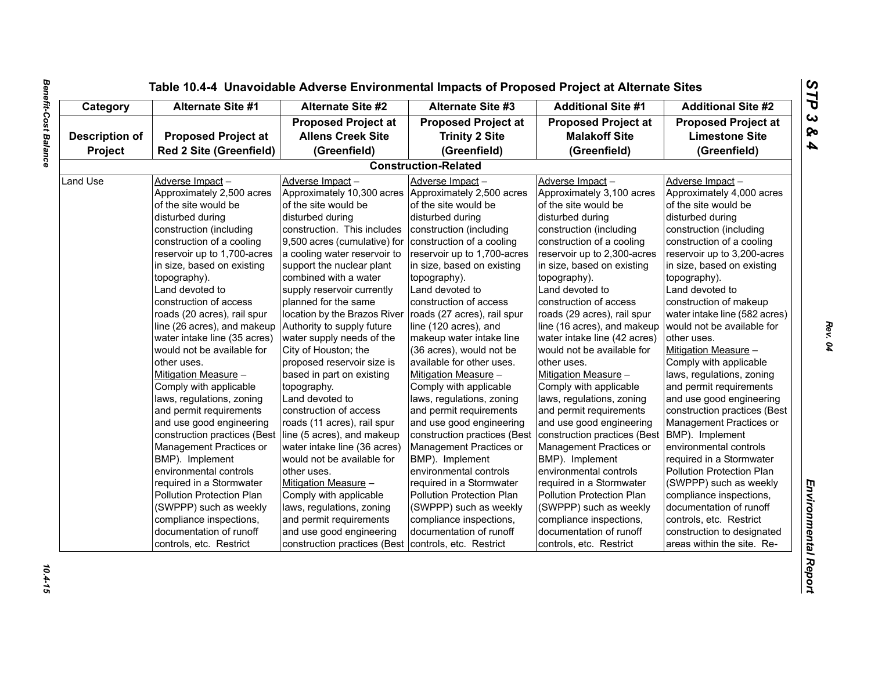| Category              | <b>Alternate Site #1</b>       | <b>Alternate Site #2</b>                             | <b>Alternate Site #3</b>     | <b>Additional Site #1</b>                      | <b>Additional Site #2</b>     |
|-----------------------|--------------------------------|------------------------------------------------------|------------------------------|------------------------------------------------|-------------------------------|
|                       |                                | <b>Proposed Project at</b>                           | <b>Proposed Project at</b>   | <b>Proposed Project at</b>                     | <b>Proposed Project at</b>    |
| <b>Description of</b> | <b>Proposed Project at</b>     | <b>Allens Creek Site</b>                             | <b>Trinity 2 Site</b>        | <b>Malakoff Site</b>                           | <b>Limestone Site</b>         |
| Project               | <b>Red 2 Site (Greenfield)</b> | (Greenfield)                                         | (Greenfield)                 | (Greenfield)                                   | (Greenfield)                  |
|                       |                                |                                                      | <b>Construction-Related</b>  |                                                |                               |
| Land Use              | Adverse Impact-                | Adverse Impact-                                      | Adverse Impact-              | Adverse Impact-                                | Adverse Impact-               |
|                       | Approximately 2,500 acres      | Approximately 10,300 acres Approximately 2,500 acres |                              | Approximately 3,100 acres                      | Approximately 4,000 acres     |
|                       | of the site would be           | of the site would be                                 | of the site would be         | of the site would be                           | of the site would be          |
|                       | disturbed during               | disturbed during                                     | disturbed during             | disturbed during                               | disturbed during              |
|                       | construction (including        | construction. This includes                          | construction (including      | construction (including                        | construction (including       |
|                       | construction of a cooling      | 9,500 acres (cumulative) for                         | construction of a cooling    | construction of a cooling                      | construction of a cooling     |
|                       | reservoir up to 1,700-acres    | a cooling water reservoir to                         | reservoir up to 1,700-acres  | reservoir up to 2,300-acres                    | reservoir up to 3,200-acres   |
|                       | in size, based on existing     | support the nuclear plant                            | in size, based on existing   | in size, based on existing                     | in size, based on existing    |
|                       | topography).                   | combined with a water                                | topography).                 | topography).                                   | topography).                  |
|                       | Land devoted to                | supply reservoir currently                           | Land devoted to              | Land devoted to                                | Land devoted to               |
|                       | construction of access         | planned for the same                                 | construction of access       | construction of access                         | construction of makeup        |
|                       | roads (20 acres), rail spur    | location by the Brazos River                         | roads (27 acres), rail spur  | roads (29 acres), rail spur                    | water intake line (582 acres) |
|                       | line (26 acres), and makeup    | Authority to supply future                           | line (120 acres), and        | line (16 acres), and makeup                    | would not be available for    |
|                       | water intake line (35 acres)   | water supply needs of the                            | makeup water intake line     | water intake line (42 acres)                   | other uses.                   |
|                       | would not be available for     | City of Houston; the                                 | (36 acres), would not be     | would not be available for                     | Mitigation Measure -          |
|                       | other uses.                    | proposed reservoir size is                           | available for other uses.    | other uses.                                    | Comply with applicable        |
|                       | Mitigation Measure -           | based in part on existing                            | Mitigation Measure -         | Mitigation Measure -                           | laws, regulations, zoning     |
|                       | Comply with applicable         | topography.                                          | Comply with applicable       | Comply with applicable                         | and permit requirements       |
|                       | laws, regulations, zoning      | Land devoted to                                      | laws, regulations, zoning    | laws, regulations, zoning                      | and use good engineering      |
|                       | and permit requirements        | construction of access                               | and permit requirements      | and permit requirements                        | construction practices (Best  |
|                       |                                |                                                      |                              |                                                |                               |
|                       | and use good engineering       | roads (11 acres), rail spur                          | and use good engineering     | and use good engineering                       | Management Practices or       |
|                       | construction practices (Best   | line (5 acres), and makeup                           | construction practices (Best | construction practices (Best   BMP). Implement |                               |
|                       | Management Practices or        | water intake line (36 acres)                         | Management Practices or      | Management Practices or                        | environmental controls        |
|                       | BMP). Implement                | would not be available for                           | BMP). Implement              | BMP). Implement                                | required in a Stormwater      |
|                       | environmental controls         | other uses.                                          | environmental controls       | environmental controls                         | Pollution Protection Plan     |
|                       | required in a Stormwater       | Mitigation Measure -                                 | required in a Stormwater     | required in a Stormwater                       | (SWPPP) such as weekly        |
|                       | Pollution Protection Plan      | Comply with applicable                               | Pollution Protection Plan    | Pollution Protection Plan                      | compliance inspections,       |
|                       | (SWPPP) such as weekly         | laws, regulations, zoning                            | (SWPPP) such as weekly       | (SWPPP) such as weekly                         | documentation of runoff       |
|                       | compliance inspections,        | and permit requirements                              | compliance inspections,      | compliance inspections,                        | controls, etc. Restrict       |
|                       | documentation of runoff        | and use good engineering                             | documentation of runoff      | documentation of runoff                        | construction to designated    |
|                       | controls, etc. Restrict        | construction practices (Best                         | controls, etc. Restrict      | controls, etc. Restrict                        | areas within the site. Re-    |

10.4-15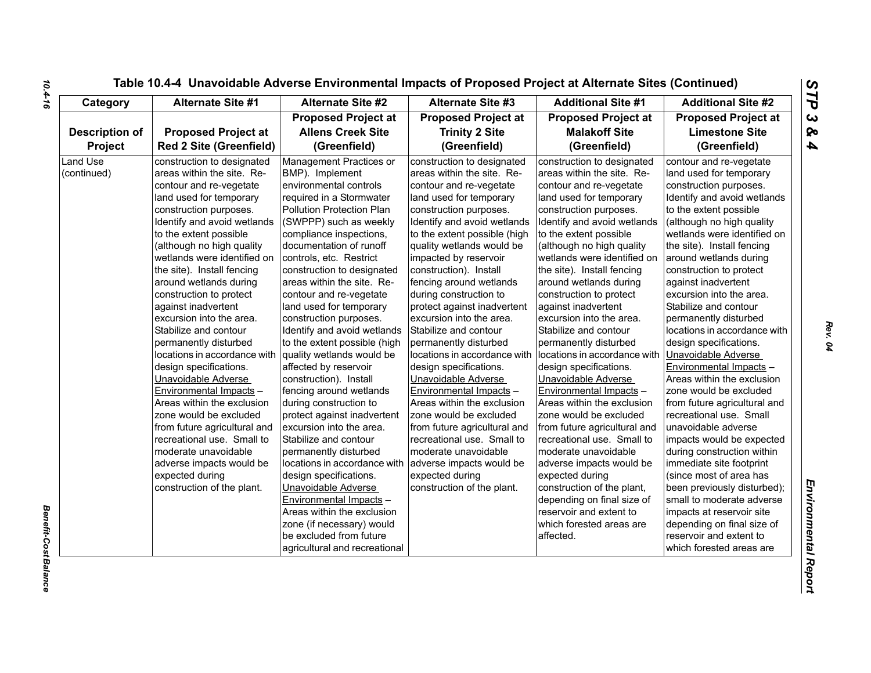| Category                       | <b>Alternate Site #1</b>                                                                                                                                                                                                                                                                                                                                                                                                                                                                                                                                          | <b>Alternate Site #2</b>                                                                                                                                                                                                                                                                                                                                                                                                                                                                                                                                       | Alternate Site #3                                                                                                                                                                                                                                                                                                                                                                                                                                                                                                                                                     | <b>Additional Site #1</b>                                                                                                                                                                                                                                                                                                                                                                                                                                                                                                                                         | <b>Additional Site #2</b>                                                                                                                                                                                                                                                                                                                                                                                                                                                                                                                                            |
|--------------------------------|-------------------------------------------------------------------------------------------------------------------------------------------------------------------------------------------------------------------------------------------------------------------------------------------------------------------------------------------------------------------------------------------------------------------------------------------------------------------------------------------------------------------------------------------------------------------|----------------------------------------------------------------------------------------------------------------------------------------------------------------------------------------------------------------------------------------------------------------------------------------------------------------------------------------------------------------------------------------------------------------------------------------------------------------------------------------------------------------------------------------------------------------|-----------------------------------------------------------------------------------------------------------------------------------------------------------------------------------------------------------------------------------------------------------------------------------------------------------------------------------------------------------------------------------------------------------------------------------------------------------------------------------------------------------------------------------------------------------------------|-------------------------------------------------------------------------------------------------------------------------------------------------------------------------------------------------------------------------------------------------------------------------------------------------------------------------------------------------------------------------------------------------------------------------------------------------------------------------------------------------------------------------------------------------------------------|----------------------------------------------------------------------------------------------------------------------------------------------------------------------------------------------------------------------------------------------------------------------------------------------------------------------------------------------------------------------------------------------------------------------------------------------------------------------------------------------------------------------------------------------------------------------|
|                                |                                                                                                                                                                                                                                                                                                                                                                                                                                                                                                                                                                   | <b>Proposed Project at</b>                                                                                                                                                                                                                                                                                                                                                                                                                                                                                                                                     | <b>Proposed Project at</b>                                                                                                                                                                                                                                                                                                                                                                                                                                                                                                                                            | <b>Proposed Project at</b>                                                                                                                                                                                                                                                                                                                                                                                                                                                                                                                                        | <b>Proposed Project at</b>                                                                                                                                                                                                                                                                                                                                                                                                                                                                                                                                           |
| <b>Description of</b>          | <b>Proposed Project at</b>                                                                                                                                                                                                                                                                                                                                                                                                                                                                                                                                        | <b>Allens Creek Site</b>                                                                                                                                                                                                                                                                                                                                                                                                                                                                                                                                       | <b>Trinity 2 Site</b>                                                                                                                                                                                                                                                                                                                                                                                                                                                                                                                                                 | <b>Malakoff Site</b>                                                                                                                                                                                                                                                                                                                                                                                                                                                                                                                                              | <b>Limestone Site</b>                                                                                                                                                                                                                                                                                                                                                                                                                                                                                                                                                |
| Project                        | <b>Red 2 Site (Greenfield)</b>                                                                                                                                                                                                                                                                                                                                                                                                                                                                                                                                    | (Greenfield)                                                                                                                                                                                                                                                                                                                                                                                                                                                                                                                                                   | (Greenfield)                                                                                                                                                                                                                                                                                                                                                                                                                                                                                                                                                          | (Greenfield)                                                                                                                                                                                                                                                                                                                                                                                                                                                                                                                                                      | (Greenfield)                                                                                                                                                                                                                                                                                                                                                                                                                                                                                                                                                         |
| <b>Land Use</b><br>(continued) | construction to designated<br>areas within the site. Re-<br>contour and re-vegetate<br>land used for temporary<br>construction purposes.<br>Identify and avoid wetlands<br>to the extent possible<br>(although no high quality<br>wetlands were identified on<br>the site). Install fencing<br>around wetlands during<br>construction to protect<br>against inadvertent<br>excursion into the area.<br>Stabilize and contour<br>permanently disturbed<br>locations in accordance with<br>design specifications.<br>Unavoidable Adverse<br>Environmental Impacts - | Management Practices or<br>BMP). Implement<br>environmental controls<br>required in a Stormwater<br>Pollution Protection Plan<br>(SWPPP) such as weekly<br>compliance inspections,<br>documentation of runoff<br>controls, etc. Restrict<br>construction to designated<br>areas within the site. Re-<br>contour and re-vegetate<br>land used for temporary<br>construction purposes.<br>Identify and avoid wetlands<br>to the extent possible (high<br>quality wetlands would be<br>affected by reservoir<br>construction). Install<br>fencing around wetlands | construction to designated<br>areas within the site. Re-<br>contour and re-vegetate<br>land used for temporary<br>construction purposes.<br>Identify and avoid wetlands<br>to the extent possible (high<br>quality wetlands would be<br>impacted by reservoir<br>construction). Install<br>fencing around wetlands<br>during construction to<br>protect against inadvertent<br>excursion into the area.<br>Stabilize and contour<br>permanently disturbed<br>locations in accordance with<br>design specifications.<br>Unavoidable Adverse<br>Environmental Impacts - | construction to designated<br>areas within the site. Re-<br>contour and re-vegetate<br>land used for temporary<br>construction purposes.<br>Identify and avoid wetlands<br>to the extent possible<br>(although no high quality<br>wetlands were identified on<br>the site). Install fencing<br>around wetlands during<br>construction to protect<br>against inadvertent<br>excursion into the area.<br>Stabilize and contour<br>permanently disturbed<br>locations in accordance with<br>design specifications.<br>Unavoidable Adverse<br>Environmental Impacts - | contour and re-vegetate<br>land used for temporary<br>construction purposes.<br>Identify and avoid wetlands<br>to the extent possible<br>(although no high quality<br>wetlands were identified on<br>the site). Install fencing<br>around wetlands during<br>construction to protect<br>against inadvertent<br>excursion into the area.<br>Stabilize and contour<br>permanently disturbed<br>locations in accordance with<br>design specifications.<br>Unavoidable Adverse<br><b>Environmental Impacts -</b><br>Areas within the exclusion<br>zone would be excluded |
|                                | Areas within the exclusion<br>zone would be excluded<br>from future agricultural and<br>recreational use. Small to<br>moderate unavoidable<br>adverse impacts would be<br>expected during<br>construction of the plant.                                                                                                                                                                                                                                                                                                                                           | during construction to<br>protect against inadvertent<br>excursion into the area.<br>Stabilize and contour<br>permanently disturbed<br>locations in accordance with<br>design specifications.<br>Unavoidable Adverse<br>Environmental Impacts -<br>Areas within the exclusion<br>zone (if necessary) would<br>be excluded from future<br>agricultural and recreational                                                                                                                                                                                         | Areas within the exclusion<br>zone would be excluded<br>from future agricultural and<br>recreational use. Small to<br>moderate unavoidable<br>adverse impacts would be<br>expected during<br>construction of the plant.                                                                                                                                                                                                                                                                                                                                               | Areas within the exclusion<br>zone would be excluded<br>from future agricultural and<br>recreational use. Small to<br>moderate unavoidable<br>adverse impacts would be<br>expected during<br>construction of the plant,<br>depending on final size of<br>reservoir and extent to<br>which forested areas are<br>affected.                                                                                                                                                                                                                                         | from future agricultural and<br>recreational use. Small<br>unavoidable adverse<br>impacts would be expected<br>during construction within<br>immediate site footprint<br>(since most of area has<br>been previously disturbed);<br>small to moderate adverse<br>impacts at reservoir site<br>depending on final size of<br>reservoir and extent to<br>which forested areas are                                                                                                                                                                                       |

*Benefit-Cost Balance* 

**Benefit-Cost Balance**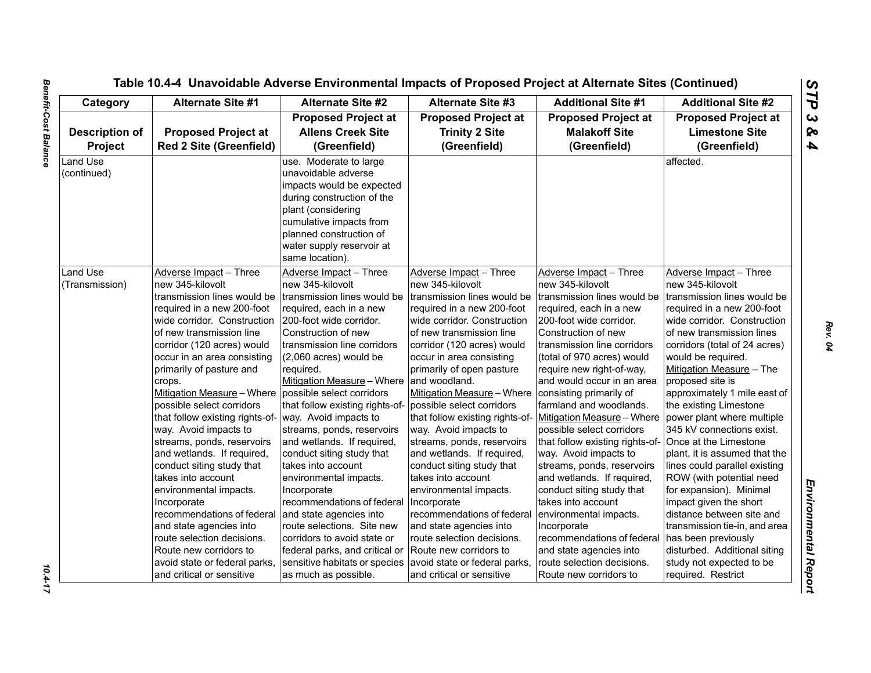| Category              | <b>Alternate Site #1</b>                                 | Alternate Site #2                                   | <b>Alternate Site #3</b>                                 | <b>Additional Site #1</b>                               | <b>Additional Site #2</b>                               |
|-----------------------|----------------------------------------------------------|-----------------------------------------------------|----------------------------------------------------------|---------------------------------------------------------|---------------------------------------------------------|
|                       |                                                          | <b>Proposed Project at</b>                          | <b>Proposed Project at</b>                               | <b>Proposed Project at</b>                              | <b>Proposed Project at</b>                              |
| <b>Description of</b> | <b>Proposed Project at</b>                               | <b>Allens Creek Site</b>                            | <b>Trinity 2 Site</b>                                    | <b>Malakoff Site</b>                                    | <b>Limestone Site</b>                                   |
| <b>Project</b>        | <b>Red 2 Site (Greenfield)</b>                           | (Greenfield)                                        | (Greenfield)                                             | (Greenfield)                                            | (Greenfield)                                            |
| Land Use              |                                                          | use. Moderate to large                              |                                                          |                                                         | affected.                                               |
| (continued)           |                                                          | unavoidable adverse                                 |                                                          |                                                         |                                                         |
|                       |                                                          | impacts would be expected                           |                                                          |                                                         |                                                         |
|                       |                                                          | during construction of the                          |                                                          |                                                         |                                                         |
|                       |                                                          | plant (considering                                  |                                                          |                                                         |                                                         |
|                       |                                                          | cumulative impacts from                             |                                                          |                                                         |                                                         |
|                       |                                                          | planned construction of                             |                                                          |                                                         |                                                         |
|                       |                                                          | water supply reservoir at                           |                                                          |                                                         |                                                         |
|                       |                                                          | same location).                                     |                                                          |                                                         |                                                         |
| Land Use              | Adverse Impact - Three                                   | Adverse Impact - Three                              | Adverse Impact - Three                                   | Adverse Impact - Three                                  | Adverse Impact - Three                                  |
| (Transmission)        | new 345-kilovolt                                         | new 345-kilovolt                                    | new 345-kilovolt                                         | new 345-kilovolt                                        | new 345-kilovolt                                        |
|                       | transmission lines would be                              | transmission lines would be                         | transmission lines would be                              | transmission lines would be                             | transmission lines would be                             |
|                       | required in a new 200-foot                               | required, each in a new                             | required in a new 200-foot                               | required, each in a new                                 | required in a new 200-foot                              |
|                       | wide corridor. Construction                              | 200-foot wide corridor.                             | wide corridor. Construction                              | 200-foot wide corridor.                                 | wide corridor. Construction                             |
|                       | of new transmission line                                 | Construction of new                                 | of new transmission line                                 | Construction of new                                     | of new transmission lines                               |
|                       | corridor (120 acres) would                               | transmission line corridors                         | corridor (120 acres) would                               | transmission line corridors                             | corridors (total of 24 acres)                           |
|                       | occur in an area consisting                              | $(2,060$ acres) would be                            | occur in area consisting                                 | (total of 970 acres) would                              | would be required.                                      |
|                       | primarily of pasture and                                 | required.                                           | primarily of open pasture                                | require new right-of-way,                               | Mitigation Measure - The                                |
|                       | crops.                                                   | Mitigation Measure - Where and woodland.            |                                                          | and would occur in an area                              | proposed site is                                        |
|                       | Mitigation Measure – Where possible select corridors     |                                                     | Mitigation Measure - Where                               | consisting primarily of                                 | approximately 1 mile east of                            |
|                       | possible select corridors                                | that follow existing rights-of-                     | possible select corridors                                | farmland and woodlands.                                 | the existing Limestone                                  |
|                       | that follow existing rights-of-<br>way. Avoid impacts to | way. Avoid impacts to<br>streams, ponds, reservoirs | that follow existing rights-of-<br>way. Avoid impacts to | Mitigation Measure - Where<br>possible select corridors | power plant where multiple<br>345 kV connections exist. |
|                       | streams, ponds, reservoirs                               | and wetlands. If required,                          | streams, ponds, reservoirs                               | that follow existing rights-of-                         | Once at the Limestone                                   |
|                       | and wetlands. If required,                               | conduct siting study that                           | and wetlands. If required,                               | way. Avoid impacts to                                   | plant, it is assumed that the                           |
|                       | conduct siting study that                                | takes into account                                  | conduct siting study that                                | streams, ponds, reservoirs                              | lines could parallel existing                           |
|                       | takes into account                                       | environmental impacts.                              | takes into account                                       | and wetlands. If required,                              | ROW (with potential need                                |
|                       | environmental impacts.                                   | Incorporate                                         | environmental impacts.                                   | conduct siting study that                               | for expansion). Minimal                                 |
|                       | Incorporate                                              | recommendations of federal                          | Incorporate                                              | takes into account                                      | impact given the short                                  |
|                       | recommendations of federal                               | and state agencies into                             | recommendations of federal                               | environmental impacts.                                  | distance between site and                               |
|                       | and state agencies into                                  | route selections. Site new                          | and state agencies into                                  | Incorporate                                             | transmission tie-in, and area                           |
|                       | route selection decisions.                               | corridors to avoid state or                         | route selection decisions.                               | recommendations of federal   has been previously        |                                                         |
|                       | Route new corridors to                                   | federal parks, and critical or                      | Route new corridors to                                   | and state agencies into                                 | disturbed. Additional siting                            |
|                       | avoid state or federal parks,                            | sensitive habitats or species                       | avoid state or federal parks,                            | route selection decisions.                              | study not expected to be                                |
|                       | and critical or sensitive                                | as much as possible.                                | and critical or sensitive                                | Route new corridors to                                  | required. Restrict                                      |

10.4-17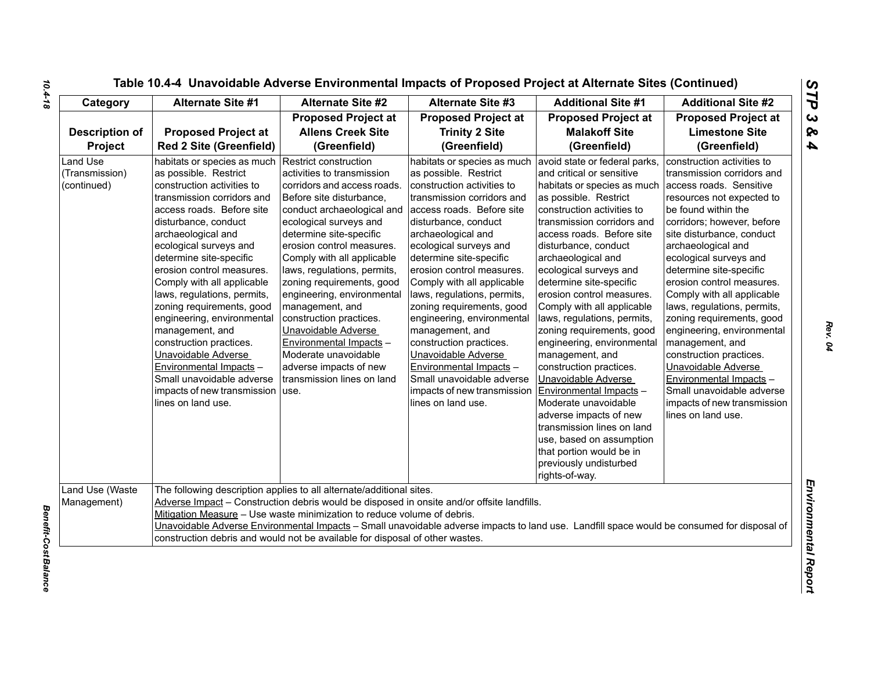| Table 10.4-4 Unavoidable Adverse Environmental Impacts of Proposed Project at Alternate Sites (Continued) |  |  |  |
|-----------------------------------------------------------------------------------------------------------|--|--|--|
|-----------------------------------------------------------------------------------------------------------|--|--|--|

| Category                                  | <b>Alternate Site #1</b>                                                                                                                                                                                                                                                                                                                                                                                                                                                                                                                                                                | <b>Alternate Site #2</b>                                                                                                                                                                                                                                                                                                                                                                                                                                                                                                                              | <b>Alternate Site #3</b>                                                                                                                                                                                                                                                                                                                                                                                                                                                                                                                                                                | <b>Additional Site #1</b>                                                                                                                                                                                                                                                                                                                                                                                                                                                                                                                                                                                                                                                                                                                                                       | <b>Additional Site #2</b>                                                                                                                                                                                                                                                                                                                                                                                                                                                                                                                                                                 |
|-------------------------------------------|-----------------------------------------------------------------------------------------------------------------------------------------------------------------------------------------------------------------------------------------------------------------------------------------------------------------------------------------------------------------------------------------------------------------------------------------------------------------------------------------------------------------------------------------------------------------------------------------|-------------------------------------------------------------------------------------------------------------------------------------------------------------------------------------------------------------------------------------------------------------------------------------------------------------------------------------------------------------------------------------------------------------------------------------------------------------------------------------------------------------------------------------------------------|-----------------------------------------------------------------------------------------------------------------------------------------------------------------------------------------------------------------------------------------------------------------------------------------------------------------------------------------------------------------------------------------------------------------------------------------------------------------------------------------------------------------------------------------------------------------------------------------|---------------------------------------------------------------------------------------------------------------------------------------------------------------------------------------------------------------------------------------------------------------------------------------------------------------------------------------------------------------------------------------------------------------------------------------------------------------------------------------------------------------------------------------------------------------------------------------------------------------------------------------------------------------------------------------------------------------------------------------------------------------------------------|-------------------------------------------------------------------------------------------------------------------------------------------------------------------------------------------------------------------------------------------------------------------------------------------------------------------------------------------------------------------------------------------------------------------------------------------------------------------------------------------------------------------------------------------------------------------------------------------|
|                                           |                                                                                                                                                                                                                                                                                                                                                                                                                                                                                                                                                                                         | <b>Proposed Project at</b>                                                                                                                                                                                                                                                                                                                                                                                                                                                                                                                            | <b>Proposed Project at</b>                                                                                                                                                                                                                                                                                                                                                                                                                                                                                                                                                              | <b>Proposed Project at</b>                                                                                                                                                                                                                                                                                                                                                                                                                                                                                                                                                                                                                                                                                                                                                      | <b>Proposed Project at</b>                                                                                                                                                                                                                                                                                                                                                                                                                                                                                                                                                                |
| <b>Description of</b>                     | <b>Proposed Project at</b>                                                                                                                                                                                                                                                                                                                                                                                                                                                                                                                                                              | <b>Allens Creek Site</b>                                                                                                                                                                                                                                                                                                                                                                                                                                                                                                                              | <b>Trinity 2 Site</b>                                                                                                                                                                                                                                                                                                                                                                                                                                                                                                                                                                   | <b>Malakoff Site</b>                                                                                                                                                                                                                                                                                                                                                                                                                                                                                                                                                                                                                                                                                                                                                            | <b>Limestone Site</b>                                                                                                                                                                                                                                                                                                                                                                                                                                                                                                                                                                     |
| Project                                   | <b>Red 2 Site (Greenfield)</b>                                                                                                                                                                                                                                                                                                                                                                                                                                                                                                                                                          | (Greenfield)                                                                                                                                                                                                                                                                                                                                                                                                                                                                                                                                          | (Greenfield)                                                                                                                                                                                                                                                                                                                                                                                                                                                                                                                                                                            | (Greenfield)                                                                                                                                                                                                                                                                                                                                                                                                                                                                                                                                                                                                                                                                                                                                                                    | (Greenfield)                                                                                                                                                                                                                                                                                                                                                                                                                                                                                                                                                                              |
| Land Use<br>(Transmission)<br>(continued) | habitats or species as much<br>as possible. Restrict<br>construction activities to<br>transmission corridors and<br>access roads. Before site<br>disturbance, conduct<br>archaeological and<br>ecological surveys and<br>determine site-specific<br>erosion control measures.<br>Comply with all applicable<br>laws, regulations, permits,<br>zoning requirements, good<br>engineering, environmental<br>management, and<br>construction practices.<br>Unavoidable Adverse<br>Environmental Impacts -<br>Small unavoidable adverse<br>impacts of new transmission<br>lines on land use. | <b>Restrict construction</b><br>activities to transmission<br>corridors and access roads.<br>Before site disturbance,<br>conduct archaeological and<br>ecological surveys and<br>determine site-specific<br>erosion control measures.<br>Comply with all applicable<br>laws, regulations, permits,<br>zoning requirements, good<br>engineering, environmental<br>management, and<br>construction practices.<br>Unavoidable Adverse<br>Environmental Impacts -<br>Moderate unavoidable<br>adverse impacts of new<br>transmission lines on land<br>use. | habitats or species as much<br>as possible. Restrict<br>construction activities to<br>transmission corridors and<br>access roads. Before site<br>disturbance, conduct<br>archaeological and<br>ecological surveys and<br>determine site-specific<br>erosion control measures.<br>Comply with all applicable<br>laws, regulations, permits,<br>zoning requirements, good<br>engineering, environmental<br>management, and<br>construction practices.<br>Unavoidable Adverse<br>Environmental Impacts -<br>Small unavoidable adverse<br>impacts of new transmission<br>lines on land use. | avoid state or federal parks,<br>and critical or sensitive<br>habitats or species as much access roads. Sensitive<br>as possible. Restrict<br>construction activities to<br>transmission corridors and<br>access roads. Before site<br>disturbance, conduct<br>archaeological and<br>ecological surveys and<br>determine site-specific<br>erosion control measures.<br>Comply with all applicable<br>laws, regulations, permits,<br>zoning requirements, good<br>engineering, environmental<br>management, and<br>construction practices.<br>Unavoidable Adverse<br>Environmental Impacts -<br>Moderate unavoidable<br>adverse impacts of new<br>transmission lines on land<br>use, based on assumption<br>that portion would be in<br>previously undisturbed<br>rights-of-way. | construction activities to<br>transmission corridors and<br>resources not expected to<br>be found within the<br>corridors; however, before<br>site disturbance, conduct<br>archaeological and<br>ecological surveys and<br>determine site-specific<br>erosion control measures.<br>Comply with all applicable<br>laws, regulations, permits,<br>zoning requirements, good<br>engineering, environmental<br>management, and<br>construction practices.<br>Unavoidable Adverse<br>Environmental Impacts -<br>Small unavoidable adverse<br>impacts of new transmission<br>lines on land use. |
| Land Use (Waste<br>Management)            | Mitigation Measure - Use waste minimization to reduce volume of debris.                                                                                                                                                                                                                                                                                                                                                                                                                                                                                                                 | The following description applies to all alternate/additional sites.<br>construction debris and would not be available for disposal of other wastes.                                                                                                                                                                                                                                                                                                                                                                                                  | Adverse Impact - Construction debris would be disposed in onsite and/or offsite landfills.<br>Unavoidable Adverse Environmental Impacts - Small unavoidable adverse impacts to land use. Landfill space would be consumed for disposal of                                                                                                                                                                                                                                                                                                                                               |                                                                                                                                                                                                                                                                                                                                                                                                                                                                                                                                                                                                                                                                                                                                                                                 |                                                                                                                                                                                                                                                                                                                                                                                                                                                                                                                                                                                           |

*Benefit-Cost Balance* 

**Benefit-Cost Balance**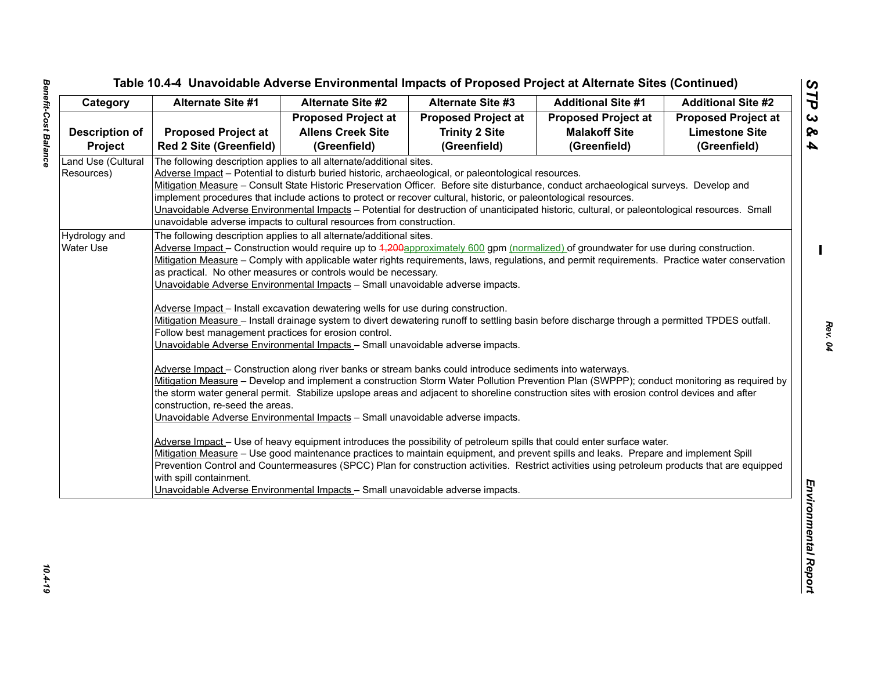| Category                                                              | <b>Alternate Site #1</b>                                                                                                                                                                                                                                                                                                                                                                                                                                                                       | <b>Alternate Site #2</b>   | <b>Alternate Site #3</b>   | <b>Additional Site #1</b>                                                                                                                                                                                                                                                                                                                                                                                                         | <b>Additional Site #2</b>  |
|-----------------------------------------------------------------------|------------------------------------------------------------------------------------------------------------------------------------------------------------------------------------------------------------------------------------------------------------------------------------------------------------------------------------------------------------------------------------------------------------------------------------------------------------------------------------------------|----------------------------|----------------------------|-----------------------------------------------------------------------------------------------------------------------------------------------------------------------------------------------------------------------------------------------------------------------------------------------------------------------------------------------------------------------------------------------------------------------------------|----------------------------|
|                                                                       |                                                                                                                                                                                                                                                                                                                                                                                                                                                                                                | <b>Proposed Project at</b> | <b>Proposed Project at</b> | <b>Proposed Project at</b>                                                                                                                                                                                                                                                                                                                                                                                                        | <b>Proposed Project at</b> |
| <b>Description of</b>                                                 | <b>Proposed Project at</b>                                                                                                                                                                                                                                                                                                                                                                                                                                                                     | <b>Allens Creek Site</b>   | <b>Trinity 2 Site</b>      | <b>Malakoff Site</b>                                                                                                                                                                                                                                                                                                                                                                                                              | <b>Limestone Site</b>      |
| <b>Project</b>                                                        | <b>Red 2 Site (Greenfield)</b>                                                                                                                                                                                                                                                                                                                                                                                                                                                                 | (Greenfield)               | (Greenfield)               | (Greenfield)                                                                                                                                                                                                                                                                                                                                                                                                                      | (Greenfield)               |
| Land Use (Cultural<br>Resources)<br>Hydrology and<br><b>Water Use</b> | The following description applies to all alternate/additional sites.<br>Adverse Impact - Potential to disturb buried historic, archaeological, or paleontological resources.<br>implement procedures that include actions to protect or recover cultural, historic, or paleontological resources.<br>unavoidable adverse impacts to cultural resources from construction.<br>The following description applies to all alternate/additional sites.                                              |                            |                            | Mitigation Measure - Consult State Historic Preservation Officer. Before site disturbance, conduct archaeological surveys. Develop and<br>Unavoidable Adverse Environmental Impacts - Potential for destruction of unanticipated historic, cultural, or paleontological resources. Small<br>Adverse Impact - Construction would require up to 4,200approximately 600 gpm (normalized) of groundwater for use during construction. |                            |
|                                                                       | as practical. No other measures or controls would be necessary.<br>Unavoidable Adverse Environmental Impacts - Small unavoidable adverse impacts.<br>Adverse Impact - Install excavation dewatering wells for use during construction.<br>Follow best management practices for erosion control.<br>Unavoidable Adverse Environmental Impacts - Small unavoidable adverse impacts.<br>Adverse Impact - Construction along river banks or stream banks could introduce sediments into waterways. |                            |                            | Mitigation Measure - Comply with applicable water rights requirements, laws, regulations, and permit requirements. Practice water conservation<br>Mitigation Measure - Install drainage system to divert dewatering runoff to settling basin before discharge through a permitted TPDES outfall.                                                                                                                                  |                            |
|                                                                       | the storm water general permit. Stabilize upslope areas and adjacent to shoreline construction sites with erosion control devices and after<br>construction, re-seed the areas.<br>Unavoidable Adverse Environmental Impacts - Small unavoidable adverse impacts.                                                                                                                                                                                                                              |                            |                            | Mitigation Measure - Develop and implement a construction Storm Water Pollution Prevention Plan (SWPPP); conduct monitoring as required by<br>Adverse Impact - Use of heavy equipment introduces the possibility of petroleum spills that could enter surface water.<br>Mitigation Measure - Use good maintenance practices to maintain equipment, and prevent spills and leaks. Prepare and implement Spill                      |                            |
|                                                                       | with spill containment.<br>Unavoidable Adverse Environmental Impacts - Small unavoidable adverse impacts.                                                                                                                                                                                                                                                                                                                                                                                      |                            |                            | Prevention Control and Countermeasures (SPCC) Plan for construction activities. Restrict activities using petroleum products that are equipped                                                                                                                                                                                                                                                                                    |                            |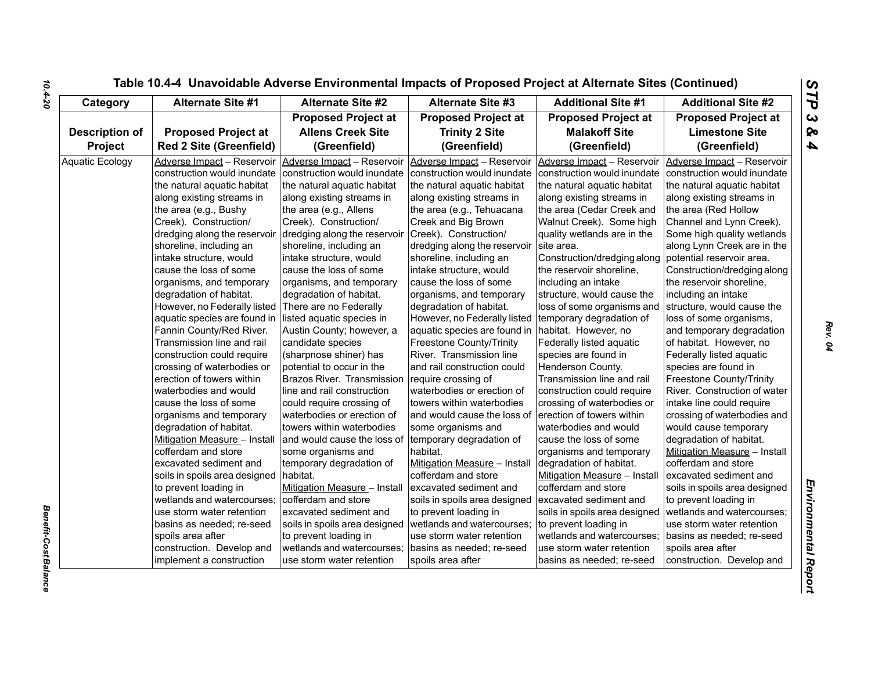| Category               | <b>Alternate Site #1</b>       | <b>Alternate Site #2</b>      | <b>Alternate Site #3</b>                          | <b>Additional Site #1</b>     | <b>Additional Site #2</b>     |
|------------------------|--------------------------------|-------------------------------|---------------------------------------------------|-------------------------------|-------------------------------|
|                        |                                | <b>Proposed Project at</b>    | <b>Proposed Project at</b>                        | <b>Proposed Project at</b>    | <b>Proposed Project at</b>    |
| <b>Description of</b>  | <b>Proposed Project at</b>     | <b>Allens Creek Site</b>      | <b>Trinity 2 Site</b>                             | <b>Malakoff Site</b>          | <b>Limestone Site</b>         |
| Project                | <b>Red 2 Site (Greenfield)</b> | (Greenfield)                  | (Greenfield)                                      | (Greenfield)                  | (Greenfield)                  |
| <b>Aquatic Ecology</b> | Adverse Impact - Reservoir     | Adverse Impact - Reservoir    | Adverse Impact - Reservoir                        | Adverse Impact - Reservoir    | Adverse Impact - Reservoir    |
|                        | construction would inundate    | construction would inundate   | construction would inundate                       | construction would inundate   | construction would inundate   |
|                        | the natural aquatic habitat    | the natural aquatic habitat   | the natural aquatic habitat                       | the natural aquatic habitat   | the natural aquatic habitat   |
|                        | along existing streams in      | along existing streams in     | along existing streams in                         | along existing streams in     | along existing streams in     |
|                        | the area (e.g., Bushy          | the area (e.g., Allens        | the area (e.g., Tehuacana                         | the area (Cedar Creek and     | the area (Red Hollow          |
|                        | Creek). Construction/          | Creek). Construction/         | Creek and Big Brown                               | Walnut Creek). Some high      | Channel and Lynn Creek).      |
|                        | dredging along the reservoir   | dredging along the reservoir  | Creek). Construction/                             | quality wetlands are in the   | Some high quality wetlands    |
|                        | shoreline, including an        | shoreline, including an       | dredging along the reservoir                      | site area.                    | along Lynn Creek are in the   |
|                        | intake structure, would        | intake structure, would       | shoreline, including an                           | Construction/dredging along   | potential reservoir area.     |
|                        | cause the loss of some         | cause the loss of some        | intake structure, would                           | the reservoir shoreline,      | Construction/dredging along   |
|                        | organisms, and temporary       | organisms, and temporary      | cause the loss of some                            | including an intake           | the reservoir shoreline,      |
|                        | degradation of habitat.        | degradation of habitat.       | organisms, and temporary                          | structure, would cause the    | including an intake           |
|                        | However, no Federally listed   | There are no Federally        | degradation of habitat.                           | loss of some organisms and    | structure, would cause the    |
|                        | aquatic species are found in   | listed aquatic species in     | However, no Federally listed                      | temporary degradation of      | loss of some organisms,       |
|                        | Fannin County/Red River.       | Austin County; however, a     | aquatic species are found in habitat. However, no |                               | and temporary degradation     |
|                        | Transmission line and rail     | candidate species             | <b>Freestone County/Trinity</b>                   | Federally listed aquatic      | of habitat. However, no       |
|                        | construction could require     | (sharpnose shiner) has        | River. Transmission line                          | species are found in          | Federally listed aquatic      |
|                        | crossing of waterbodies or     | potential to occur in the     | and rail construction could                       | Henderson County.             | species are found in          |
|                        | erection of towers within      | Brazos River. Transmission    | require crossing of                               | Transmission line and rail    | Freestone County/Trinity      |
|                        | waterbodies and would          | line and rail construction    | waterbodies or erection of                        | construction could require    | River. Construction of water  |
|                        | cause the loss of some         | could require crossing of     | towers within waterbodies                         | crossing of waterbodies or    | intake line could require     |
|                        | organisms and temporary        | waterbodies or erection of    | and would cause the loss of                       | erection of towers within     | crossing of waterbodies and   |
|                        | degradation of habitat.        | towers within waterbodies     | some organisms and                                | waterbodies and would         | would cause temporary         |
|                        | Mitigation Measure - Install   | and would cause the loss of   | temporary degradation of                          | cause the loss of some        | degradation of habitat.       |
|                        | cofferdam and store            | some organisms and            | habitat.                                          | organisms and temporary       | Mitigation Measure - Install  |
|                        | excavated sediment and         | temporary degradation of      | Mitigation Measure - Install                      | degradation of habitat.       | cofferdam and store           |
|                        | soils in spoils area designed  | habitat.                      | cofferdam and store                               | Mitigation Measure - Install  | excavated sediment and        |
|                        | to prevent loading in          | Mitigation Measure - Install  | excavated sediment and                            | cofferdam and store           | soils in spoils area designed |
|                        | wetlands and watercourses;     | cofferdam and store           | soils in spoils area designed                     | excavated sediment and        | to prevent loading in         |
|                        | use storm water retention      | excavated sediment and        | to prevent loading in                             | soils in spoils area designed | wetlands and watercourses;    |
|                        | basins as needed; re-seed      | soils in spoils area designed | wetlands and watercourses;                        | to prevent loading in         | use storm water retention     |
|                        | spoils area after              | to prevent loading in         | use storm water retention                         | wetlands and watercourses;    | basins as needed; re-seed     |
|                        | construction. Develop and      | wetlands and watercourses;    | basins as needed; re-seed                         | use storm water retention     | spoils area after             |
|                        | implement a construction       | use storm water retention     | spoils area after                                 | basins as needed; re-seed     | construction. Develop and     |

*Benefit-Cost Balance* 

**Benefit-Cost Balance**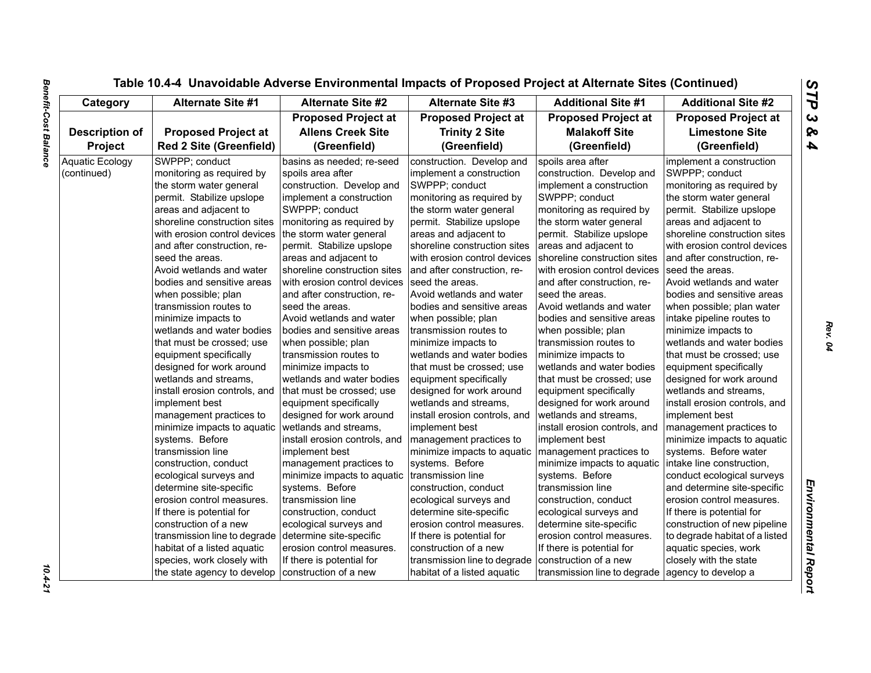| Category               | <b>Alternate Site #1</b>       | <b>Alternate Site #2</b>      | <b>Alternate Site #3</b>      | <b>Additional Site #1</b>     | <b>Additional Site #2</b>      |
|------------------------|--------------------------------|-------------------------------|-------------------------------|-------------------------------|--------------------------------|
|                        |                                | <b>Proposed Project at</b>    | <b>Proposed Project at</b>    | <b>Proposed Project at</b>    | <b>Proposed Project at</b>     |
| <b>Description of</b>  | <b>Proposed Project at</b>     | <b>Allens Creek Site</b>      | <b>Trinity 2 Site</b>         | <b>Malakoff Site</b>          | <b>Limestone Site</b>          |
| Project                | <b>Red 2 Site (Greenfield)</b> | (Greenfield)                  | (Greenfield)                  | (Greenfield)                  | (Greenfield)                   |
| <b>Aquatic Ecology</b> | SWPPP; conduct                 | basins as needed; re-seed     | construction. Develop and     | spoils area after             | implement a construction       |
| (continued)            | monitoring as required by      | spoils area after             | implement a construction      | construction. Develop and     | SWPPP; conduct                 |
|                        | the storm water general        | construction. Develop and     | SWPPP; conduct                | implement a construction      | monitoring as required by      |
|                        | permit. Stabilize upslope      | implement a construction      | monitoring as required by     | SWPPP; conduct                | the storm water general        |
|                        | areas and adjacent to          | SWPPP; conduct                | the storm water general       | monitoring as required by     | permit. Stabilize upslope      |
|                        | shoreline construction sites   | monitoring as required by     | permit. Stabilize upslope     | the storm water general       | areas and adjacent to          |
|                        | with erosion control devices   | the storm water general       | areas and adjacent to         | permit. Stabilize upslope     | shoreline construction sites   |
|                        | and after construction, re-    | permit. Stabilize upslope     | shoreline construction sites  | areas and adjacent to         | with erosion control devices   |
|                        | seed the areas.                | areas and adjacent to         | with erosion control devices  | shoreline construction sites  | and after construction, re-    |
|                        | Avoid wetlands and water       | shoreline construction sites  | and after construction, re-   | with erosion control devices  | seed the areas.                |
|                        | bodies and sensitive areas     | with erosion control devices  | seed the areas.               | and after construction, re-   | Avoid wetlands and water       |
|                        | when possible; plan            | and after construction, re-   | Avoid wetlands and water      | seed the areas.               | bodies and sensitive areas     |
|                        | transmission routes to         | seed the areas.               | bodies and sensitive areas    | Avoid wetlands and water      | when possible; plan water      |
|                        | minimize impacts to            | Avoid wetlands and water      | when possible; plan           | bodies and sensitive areas    | intake pipeline routes to      |
|                        | wetlands and water bodies      | bodies and sensitive areas    | transmission routes to        | when possible; plan           | minimize impacts to            |
|                        | that must be crossed: use      | when possible; plan           | minimize impacts to           | transmission routes to        | wetlands and water bodies      |
|                        | equipment specifically         | transmission routes to        | wetlands and water bodies     | minimize impacts to           | that must be crossed: use      |
|                        | designed for work around       | minimize impacts to           | that must be crossed; use     | wetlands and water bodies     | equipment specifically         |
|                        | wetlands and streams,          | wetlands and water bodies     | equipment specifically        | that must be crossed; use     | designed for work around       |
|                        | install erosion controls, and  | that must be crossed; use     | designed for work around      | equipment specifically        | wetlands and streams,          |
|                        | implement best                 | equipment specifically        | wetlands and streams.         | designed for work around      | install erosion controls, and  |
|                        | management practices to        | designed for work around      | install erosion controls, and | wetlands and streams,         | implement best                 |
|                        | minimize impacts to aquatic    | wetlands and streams,         | implement best                | install erosion controls, and | management practices to        |
|                        | systems. Before                | install erosion controls, and | management practices to       | implement best                | minimize impacts to aquatic    |
|                        | transmission line              | implement best                | minimize impacts to aquatic   | management practices to       | systems. Before water          |
|                        | construction, conduct          | management practices to       | systems. Before               | minimize impacts to aquatic   | intake line construction,      |
|                        | ecological surveys and         | minimize impacts to aquatic   | transmission line             | systems. Before               | conduct ecological surveys     |
|                        | determine site-specific        | systems. Before               | construction, conduct         | transmission line             | and determine site-specific    |
|                        | erosion control measures.      | transmission line             | ecological surveys and        | construction, conduct         | erosion control measures.      |
|                        | If there is potential for      | construction, conduct         | determine site-specific       | ecological surveys and        | If there is potential for      |
|                        | construction of a new          | ecological surveys and        | erosion control measures.     | determine site-specific       | construction of new pipeline   |
|                        | transmission line to degrade   | determine site-specific       | If there is potential for     | erosion control measures.     | to degrade habitat of a listed |
|                        | habitat of a listed aquatic    | erosion control measures.     | construction of a new         | If there is potential for     | aquatic species, work          |
|                        | species, work closely with     | If there is potential for     | transmission line to degrade  | construction of a new         | closely with the state         |
|                        | the state agency to develop    | construction of a new         | habitat of a listed aguatic   | transmission line to degrade  | agency to develop a            |

 $10.4 - 21$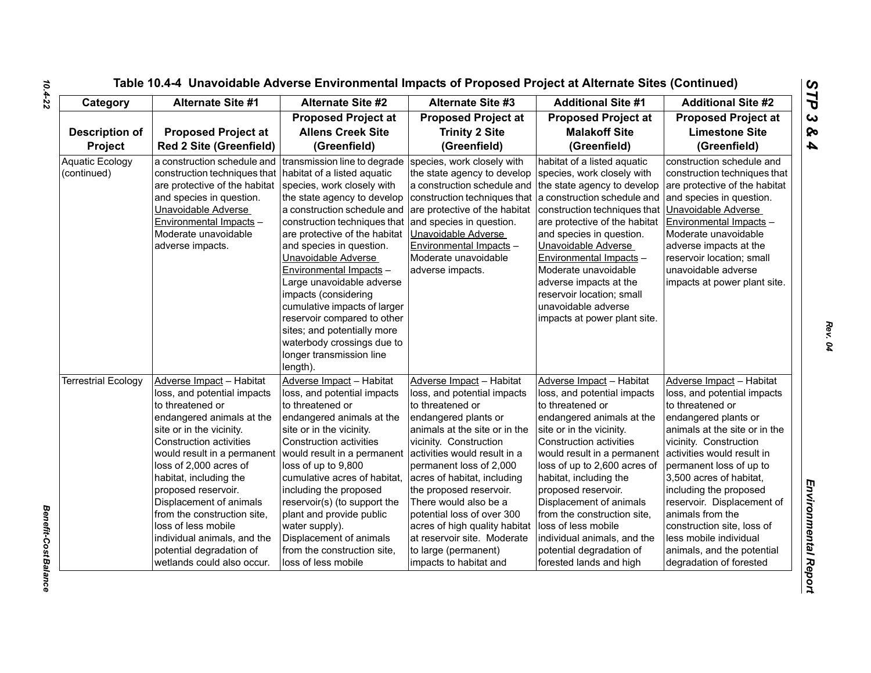| Category                              | <b>Alternate Site #1</b>                                                                                                                                                                                                                                                                                                                                                                                                                                   | <b>Alternate Site #2</b>                                                                                                                                                                                                                                                                                                                                                                                                                       | <b>Alternate Site #3</b>                                                                                                                                                                                                                                                                                                                                                                                                                                     | <b>Additional Site #1</b>                                                                                                                                                                                                                                                                                                                                                                                                                                     | <b>Additional Site #2</b>                                                                                                                                                                                                                                                                                                                                                                                                                       |
|---------------------------------------|------------------------------------------------------------------------------------------------------------------------------------------------------------------------------------------------------------------------------------------------------------------------------------------------------------------------------------------------------------------------------------------------------------------------------------------------------------|------------------------------------------------------------------------------------------------------------------------------------------------------------------------------------------------------------------------------------------------------------------------------------------------------------------------------------------------------------------------------------------------------------------------------------------------|--------------------------------------------------------------------------------------------------------------------------------------------------------------------------------------------------------------------------------------------------------------------------------------------------------------------------------------------------------------------------------------------------------------------------------------------------------------|---------------------------------------------------------------------------------------------------------------------------------------------------------------------------------------------------------------------------------------------------------------------------------------------------------------------------------------------------------------------------------------------------------------------------------------------------------------|-------------------------------------------------------------------------------------------------------------------------------------------------------------------------------------------------------------------------------------------------------------------------------------------------------------------------------------------------------------------------------------------------------------------------------------------------|
| <b>Description of</b><br>Project      | <b>Proposed Project at</b><br><b>Red 2 Site (Greenfield)</b>                                                                                                                                                                                                                                                                                                                                                                                               | <b>Proposed Project at</b><br><b>Allens Creek Site</b><br>(Greenfield)                                                                                                                                                                                                                                                                                                                                                                         | <b>Proposed Project at</b><br><b>Trinity 2 Site</b><br>(Greenfield)                                                                                                                                                                                                                                                                                                                                                                                          | <b>Proposed Project at</b><br><b>Malakoff Site</b><br>(Greenfield)                                                                                                                                                                                                                                                                                                                                                                                            | <b>Proposed Project at</b><br><b>Limestone Site</b><br>(Greenfield)                                                                                                                                                                                                                                                                                                                                                                             |
| <b>Aquatic Ecology</b><br>(continued) | a construction schedule and transmission line to degrade<br>construction techniques that   habitat of a listed aquatic<br>are protective of the habitat species, work closely with<br>and species in question.<br>Unavoidable Adverse<br>Environmental Impacts -<br>Moderate unavoidable<br>adverse impacts.                                                                                                                                               | the state agency to develop<br>a construction schedule and<br>construction techniques that<br>are protective of the habitat<br>and species in question.<br>Unavoidable Adverse<br>Environmental Impacts -<br>Large unavoidable adverse<br>impacts (considering<br>cumulative impacts of larger<br>reservoir compared to other<br>sites; and potentially more<br>waterbody crossings due to<br>longer transmission line<br>length).             | species, work closely with<br>the state agency to develop<br>a construction schedule and the state agency to develop<br>construction techniques that a construction schedule and<br>are protective of the habitat<br>and species in question.<br>Unavoidable Adverse<br>Environmental Impacts -<br>Moderate unavoidable<br>adverse impacts.                                                                                                                  | habitat of a listed aquatic<br>species, work closely with<br>construction techniques that<br>are protective of the habitat<br>and species in question.<br>Unavoidable Adverse<br>Environmental Impacts -<br>Moderate unavoidable<br>adverse impacts at the<br>reservoir location; small<br>unavoidable adverse<br>impacts at power plant site.                                                                                                                | construction schedule and<br>construction techniques that<br>are protective of the habitat<br>and species in question.<br>Unavoidable Adverse<br>Environmental Impacts -<br>Moderate unavoidable<br>adverse impacts at the<br>reservoir location; small<br>unavoidable adverse<br>impacts at power plant site.                                                                                                                                  |
| <b>Terrestrial Ecology</b>            | Adverse Impact - Habitat<br>loss, and potential impacts<br>to threatened or<br>endangered animals at the<br>site or in the vicinity.<br><b>Construction activities</b><br>would result in a permanent<br>loss of 2,000 acres of<br>habitat, including the<br>proposed reservoir.<br>Displacement of animals<br>from the construction site,<br>loss of less mobile<br>individual animals, and the<br>potential degradation of<br>wetlands could also occur. | Adverse Impact - Habitat<br>loss, and potential impacts<br>to threatened or<br>endangered animals at the<br>site or in the vicinity.<br>Construction activities<br>would result in a permanent<br>loss of up to 9,800<br>cumulative acres of habitat,<br>including the proposed<br>reservoir(s) (to support the<br>plant and provide public<br>water supply).<br>Displacement of animals<br>from the construction site,<br>loss of less mobile | Adverse Impact - Habitat<br>loss, and potential impacts<br>to threatened or<br>endangered plants or<br>animals at the site or in the<br>vicinity. Construction<br>activities would result in a<br>permanent loss of 2,000<br>acres of habitat, including<br>the proposed reservoir.<br>There would also be a<br>potential loss of over 300<br>acres of high quality habitat<br>at reservoir site. Moderate<br>to large (permanent)<br>impacts to habitat and | Adverse Impact - Habitat<br>loss, and potential impacts<br>to threatened or<br>endangered animals at the<br>site or in the vicinity.<br><b>Construction activities</b><br>would result in a permanent<br>loss of up to 2,600 acres of<br>habitat, including the<br>proposed reservoir.<br>Displacement of animals<br>from the construction site,<br>loss of less mobile<br>individual animals, and the<br>potential degradation of<br>forested lands and high | Adverse Impact - Habitat<br>loss, and potential impacts<br>to threatened or<br>endangered plants or<br>animals at the site or in the<br>vicinity. Construction<br>activities would result in<br>permanent loss of up to<br>3,500 acres of habitat,<br>including the proposed<br>reservoir. Displacement of<br>animals from the<br>construction site, loss of<br>less mobile individual<br>animals, and the potential<br>degradation of forested |

*Rev. 04*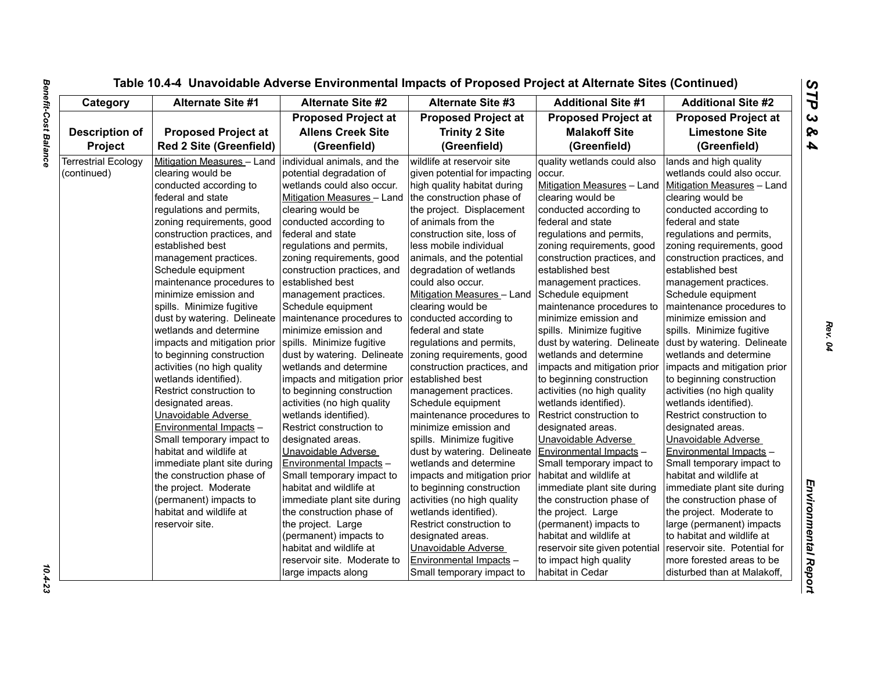| Category                   | Alternate Site #1                                        | <b>Alternate Site #2</b>     | <b>Alternate Site #3</b>      | <b>Additional Site #1</b>      | <b>Additional Site #2</b>     |
|----------------------------|----------------------------------------------------------|------------------------------|-------------------------------|--------------------------------|-------------------------------|
|                            |                                                          | <b>Proposed Project at</b>   | <b>Proposed Project at</b>    | <b>Proposed Project at</b>     | <b>Proposed Project at</b>    |
| <b>Description of</b>      | <b>Proposed Project at</b>                               | <b>Allens Creek Site</b>     | <b>Trinity 2 Site</b>         | <b>Malakoff Site</b>           | <b>Limestone Site</b>         |
| <b>Project</b>             | <b>Red 2 Site (Greenfield)</b>                           | (Greenfield)                 | (Greenfield)                  | (Greenfield)                   | (Greenfield)                  |
| <b>Terrestrial Ecology</b> | Mitigation Measures - Land   individual animals, and the |                              | wildlife at reservoir site    | quality wetlands could also    | lands and high quality        |
| (continued)                | clearing would be                                        | potential degradation of     | given potential for impacting | occur.                         | wetlands could also occur.    |
|                            | conducted according to                                   | wetlands could also occur.   | high quality habitat during   | Mitigation Measures - Land     | Mitigation Measures - Land    |
|                            | federal and state                                        | Mitigation Measures - Land   | the construction phase of     | clearing would be              | clearing would be             |
|                            | regulations and permits,                                 | clearing would be            | the project. Displacement     | conducted according to         | conducted according to        |
|                            | zoning requirements, good                                | conducted according to       | of animals from the           | federal and state              | federal and state             |
|                            | construction practices, and                              | federal and state            | construction site, loss of    | regulations and permits,       | regulations and permits,      |
|                            | established best                                         | regulations and permits,     | less mobile individual        | zoning requirements, good      | zoning requirements, good     |
|                            | management practices.                                    | zoning requirements, good    | animals, and the potential    | construction practices, and    | construction practices, and   |
|                            | Schedule equipment                                       | construction practices, and  | degradation of wetlands       | established best               | established best              |
|                            | maintenance procedures to                                | established best             | could also occur.             | management practices.          | management practices.         |
|                            | minimize emission and                                    | management practices.        | Mitigation Measures - Land    | Schedule equipment             | Schedule equipment            |
|                            | spills. Minimize fugitive                                | Schedule equipment           | clearing would be             | maintenance procedures to      | maintenance procedures to     |
|                            | dust by watering. Delineate                              | maintenance procedures to    | conducted according to        | minimize emission and          | minimize emission and         |
|                            | wetlands and determine                                   | minimize emission and        | federal and state             | spills. Minimize fugitive      | spills. Minimize fugitive     |
|                            | impacts and mitigation prior                             | spills. Minimize fugitive    | regulations and permits,      | dust by watering. Delineate    | dust by watering. Delineate   |
|                            | to beginning construction                                | dust by watering. Delineate  | zoning requirements, good     | wetlands and determine         | wetlands and determine        |
|                            | activities (no high quality                              | wetlands and determine       | construction practices, and   | impacts and mitigation prior   | impacts and mitigation prior  |
|                            | wetlands identified).                                    | impacts and mitigation prior | established best              | to beginning construction      | to beginning construction     |
|                            | Restrict construction to                                 | to beginning construction    | management practices.         | activities (no high quality    | activities (no high quality   |
|                            | designated areas.                                        | activities (no high quality  | Schedule equipment            | wetlands identified).          | wetlands identified).         |
|                            | Unavoidable Adverse                                      | wetlands identified).        | maintenance procedures to     | Restrict construction to       | Restrict construction to      |
|                            | Environmental Impacts -                                  | Restrict construction to     | minimize emission and         | designated areas.              | designated areas.             |
|                            | Small temporary impact to                                | designated areas.            | spills. Minimize fugitive     | Unavoidable Adverse            | Unavoidable Adverse           |
|                            | habitat and wildlife at                                  | Unavoidable Adverse          | dust by watering. Delineate   | Environmental Impacts -        | Environmental Impacts -       |
|                            | immediate plant site during                              | Environmental Impacts -      | wetlands and determine        | Small temporary impact to      | Small temporary impact to     |
|                            | the construction phase of                                | Small temporary impact to    | impacts and mitigation prior  | habitat and wildlife at        | habitat and wildlife at       |
|                            | the project. Moderate                                    | habitat and wildlife at      | to beginning construction     | immediate plant site during    | immediate plant site during   |
|                            | (permanent) impacts to                                   | immediate plant site during  | activities (no high quality   | the construction phase of      | the construction phase of     |
|                            | habitat and wildlife at                                  | the construction phase of    | wetlands identified).         | the project. Large             | the project. Moderate to      |
|                            | reservoir site.                                          | the project. Large           | Restrict construction to      | (permanent) impacts to         |                               |
|                            |                                                          |                              |                               |                                | large (permanent) impacts     |
|                            |                                                          | (permanent) impacts to       | designated areas.             | habitat and wildlife at        | to habitat and wildlife at    |
|                            |                                                          | habitat and wildlife at      | Unavoidable Adverse           | reservoir site given potential | reservoir site. Potential for |
|                            |                                                          | reservoir site. Moderate to  | Environmental Impacts -       | to impact high quality         | more forested areas to be     |
|                            |                                                          | large impacts along          | Small temporary impact to     | habitat in Cedar               | disturbed than at Malakoff,   |

10.4-23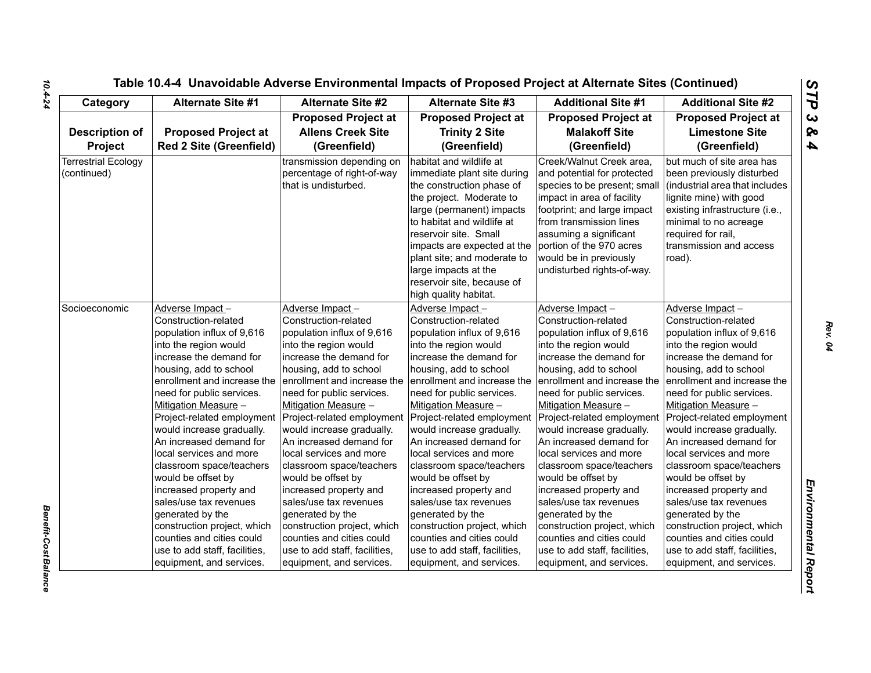| Socioeconomic | <u>Adverse Impa</u><br>Construction-<br>population inf<br>into the regior<br>increase the o<br>housing, add<br>enrollment an<br>need for publi<br><b>Mitigation Me</b><br>Project-relate<br>would increas<br>An increased<br>local services<br>classroom sp<br>would be offs<br>increased pro<br>sales/use tax<br>generated by<br>construction p<br>counties and<br>use to add sta<br>equipment, ar |
|---------------|-----------------------------------------------------------------------------------------------------------------------------------------------------------------------------------------------------------------------------------------------------------------------------------------------------------------------------------------------------------------------------------------------------|

| Category                                  | <b>Alternate Site #1</b>                                                                                                                                                                                                                                                                                                                                                                                                                                                                                                                                                                                    | <b>Alternate Site #2</b>                                                                                                                                                                                                                                                                                                                                                                                                                                                                                                                                                                                    | <b>Alternate Site #3</b>                                                                                                                                                                                                                                                                                                                                                                                                                                                                                                                                                                                    | <b>Additional Site #1</b>                                                                                                                                                                                                                                                                                                                                                                                                                                                                                                                                                                                   | <b>Additional Site #2</b>                                                                                                                                                                                                                                                                                                                                                                                                                                                                                                                                                                                   |
|-------------------------------------------|-------------------------------------------------------------------------------------------------------------------------------------------------------------------------------------------------------------------------------------------------------------------------------------------------------------------------------------------------------------------------------------------------------------------------------------------------------------------------------------------------------------------------------------------------------------------------------------------------------------|-------------------------------------------------------------------------------------------------------------------------------------------------------------------------------------------------------------------------------------------------------------------------------------------------------------------------------------------------------------------------------------------------------------------------------------------------------------------------------------------------------------------------------------------------------------------------------------------------------------|-------------------------------------------------------------------------------------------------------------------------------------------------------------------------------------------------------------------------------------------------------------------------------------------------------------------------------------------------------------------------------------------------------------------------------------------------------------------------------------------------------------------------------------------------------------------------------------------------------------|-------------------------------------------------------------------------------------------------------------------------------------------------------------------------------------------------------------------------------------------------------------------------------------------------------------------------------------------------------------------------------------------------------------------------------------------------------------------------------------------------------------------------------------------------------------------------------------------------------------|-------------------------------------------------------------------------------------------------------------------------------------------------------------------------------------------------------------------------------------------------------------------------------------------------------------------------------------------------------------------------------------------------------------------------------------------------------------------------------------------------------------------------------------------------------------------------------------------------------------|
|                                           |                                                                                                                                                                                                                                                                                                                                                                                                                                                                                                                                                                                                             | <b>Proposed Project at</b>                                                                                                                                                                                                                                                                                                                                                                                                                                                                                                                                                                                  | <b>Proposed Project at</b>                                                                                                                                                                                                                                                                                                                                                                                                                                                                                                                                                                                  | <b>Proposed Project at</b>                                                                                                                                                                                                                                                                                                                                                                                                                                                                                                                                                                                  | <b>Proposed Project at</b>                                                                                                                                                                                                                                                                                                                                                                                                                                                                                                                                                                                  |
| <b>Description of</b>                     | <b>Proposed Project at</b>                                                                                                                                                                                                                                                                                                                                                                                                                                                                                                                                                                                  | <b>Allens Creek Site</b>                                                                                                                                                                                                                                                                                                                                                                                                                                                                                                                                                                                    | <b>Trinity 2 Site</b>                                                                                                                                                                                                                                                                                                                                                                                                                                                                                                                                                                                       | <b>Malakoff Site</b>                                                                                                                                                                                                                                                                                                                                                                                                                                                                                                                                                                                        | <b>Limestone Site</b>                                                                                                                                                                                                                                                                                                                                                                                                                                                                                                                                                                                       |
| Project                                   | <b>Red 2 Site (Greenfield)</b>                                                                                                                                                                                                                                                                                                                                                                                                                                                                                                                                                                              | (Greenfield)                                                                                                                                                                                                                                                                                                                                                                                                                                                                                                                                                                                                | (Greenfield)                                                                                                                                                                                                                                                                                                                                                                                                                                                                                                                                                                                                | (Greenfield)                                                                                                                                                                                                                                                                                                                                                                                                                                                                                                                                                                                                | (Greenfield)                                                                                                                                                                                                                                                                                                                                                                                                                                                                                                                                                                                                |
| <b>Terrestrial Ecology</b><br>(continued) |                                                                                                                                                                                                                                                                                                                                                                                                                                                                                                                                                                                                             | transmission depending on<br>percentage of right-of-way<br>that is undisturbed.                                                                                                                                                                                                                                                                                                                                                                                                                                                                                                                             | habitat and wildlife at<br>immediate plant site during<br>the construction phase of<br>the project. Moderate to<br>large (permanent) impacts<br>to habitat and wildlife at<br>reservoir site. Small<br>impacts are expected at the<br>plant site; and moderate to<br>large impacts at the<br>reservoir site, because of<br>high quality habitat.                                                                                                                                                                                                                                                            | Creek/Walnut Creek area,<br>and potential for protected<br>species to be present; small<br>impact in area of facility<br>footprint; and large impact<br>from transmission lines<br>assuming a significant<br>portion of the 970 acres<br>would be in previously<br>undisturbed rights-of-way.                                                                                                                                                                                                                                                                                                               | but much of site area has<br>been previously disturbed<br>(industrial area that includes<br>lignite mine) with good<br>existing infrastructure (i.e.,<br>minimal to no acreage<br>required for rail.<br>transmission and access<br>road).                                                                                                                                                                                                                                                                                                                                                                   |
| Socioeconomic                             | Adverse Impact-<br>Construction-related<br>population influx of 9,616<br>into the region would<br>increase the demand for<br>housing, add to school<br>enrollment and increase the<br>need for public services.<br>Mitigation Measure -<br>Project-related employment<br>would increase gradually.<br>An increased demand for<br>local services and more<br>classroom space/teachers<br>would be offset by<br>increased property and<br>sales/use tax revenues<br>generated by the<br>construction project, which<br>counties and cities could<br>use to add staff, facilities,<br>equipment, and services. | Adverse Impact-<br>Construction-related<br>population influx of 9,616<br>into the region would<br>increase the demand for<br>housing, add to school<br>enrollment and increase the<br>need for public services.<br>Mitigation Measure -<br>Project-related employment<br>would increase gradually.<br>An increased demand for<br>local services and more<br>classroom space/teachers<br>would be offset by<br>increased property and<br>sales/use tax revenues<br>generated by the<br>construction project, which<br>counties and cities could<br>use to add staff, facilities,<br>equipment, and services. | Adverse Impact-<br>Construction-related<br>population influx of 9,616<br>into the region would<br>increase the demand for<br>housing, add to school<br>enrollment and increase the<br>need for public services.<br>Mitigation Measure -<br>Project-related employment<br>would increase gradually.<br>An increased demand for<br>local services and more<br>classroom space/teachers<br>would be offset by<br>increased property and<br>sales/use tax revenues<br>generated by the<br>construction project, which<br>counties and cities could<br>use to add staff, facilities,<br>equipment, and services. | Adverse Impact-<br>Construction-related<br>population influx of 9,616<br>into the region would<br>increase the demand for<br>housing, add to school<br>enrollment and increase the<br>need for public services.<br>Mitigation Measure -<br>Project-related employment<br>would increase gradually.<br>An increased demand for<br>local services and more<br>classroom space/teachers<br>would be offset by<br>increased property and<br>sales/use tax revenues<br>generated by the<br>construction project, which<br>counties and cities could<br>use to add staff, facilities,<br>equipment, and services. | Adverse Impact-<br>Construction-related<br>population influx of 9,616<br>into the region would<br>increase the demand for<br>housing, add to school<br>enrollment and increase the<br>need for public services.<br>Mitigation Measure -<br>Project-related employment<br>would increase gradually.<br>An increased demand for<br>local services and more<br>classroom space/teachers<br>would be offset by<br>increased property and<br>sales/use tax revenues<br>generated by the<br>construction project, which<br>counties and cities could<br>use to add staff, facilities,<br>equipment, and services. |

*10.4-24*

*Benefit-Cost Balance* 

Benefit-Cost Balance

*Rev. 04*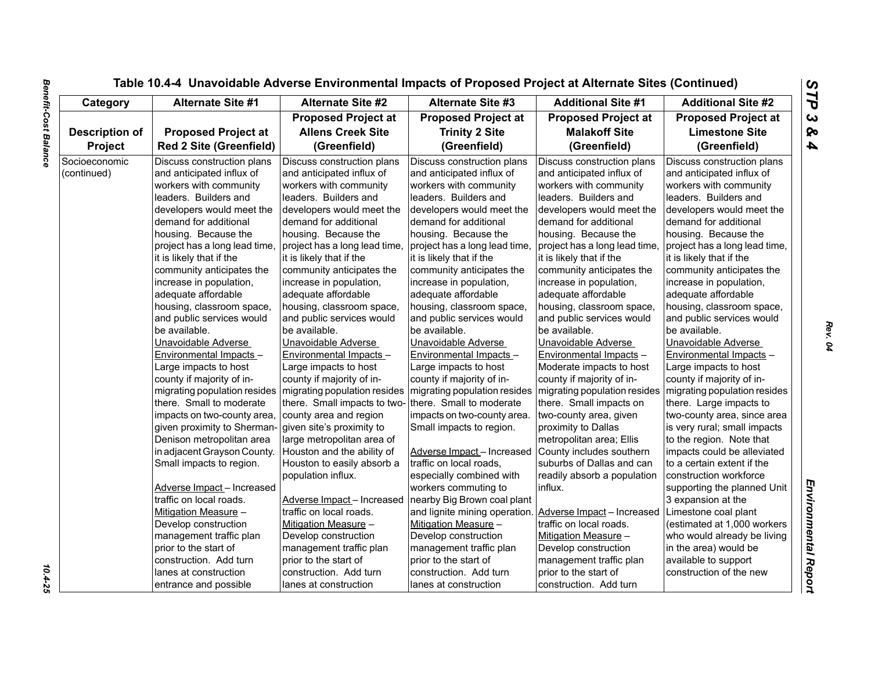|                       |                                |                               | Table 10.4-4 Unavoidable Adverse Environmental Impacts of Proposed Project at Alternate Sites (Continued) |                               |                               |  |
|-----------------------|--------------------------------|-------------------------------|-----------------------------------------------------------------------------------------------------------|-------------------------------|-------------------------------|--|
| Category              | Alternate Site #1              | <b>Alternate Site #2</b>      | <b>Alternate Site #3</b>                                                                                  | <b>Additional Site #1</b>     | <b>Additional Site #2</b>     |  |
|                       |                                | <b>Proposed Project at</b>    | <b>Proposed Project at</b>                                                                                | <b>Proposed Project at</b>    | <b>Proposed Project at</b>    |  |
| <b>Description of</b> | <b>Proposed Project at</b>     | <b>Allens Creek Site</b>      | <b>Trinity 2 Site</b>                                                                                     | <b>Malakoff Site</b>          | <b>Limestone Site</b>         |  |
| Project               | <b>Red 2 Site (Greenfield)</b> | (Greenfield)                  | (Greenfield)                                                                                              | (Greenfield)                  | (Greenfield)                  |  |
| Socioeconomic         | Discuss construction plans     | Discuss construction plans    | Discuss construction plans                                                                                | Discuss construction plans    | Discuss construction plans    |  |
| (continued)           | and anticipated influx of      | and anticipated influx of     | and anticipated influx of                                                                                 | and anticipated influx of     | and anticipated influx of     |  |
|                       | workers with community         | workers with community        | workers with community                                                                                    | workers with community        | workers with community        |  |
|                       | leaders. Builders and          | leaders. Builders and         | leaders. Builders and                                                                                     | leaders. Builders and         | leaders. Builders and         |  |
|                       | developers would meet the      | developers would meet the     | developers would meet the                                                                                 | developers would meet the     | developers would meet the     |  |
|                       | demand for additional          | demand for additional         | demand for additional                                                                                     | demand for additional         | demand for additional         |  |
|                       | housing. Because the           | housing. Because the          | housing. Because the                                                                                      | housing. Because the          | housing. Because the          |  |
|                       | project has a long lead time,  | project has a long lead time, | project has a long lead time,                                                                             | project has a long lead time, | project has a long lead time, |  |
|                       | it is likely that if the       | it is likely that if the      | it is likely that if the                                                                                  | it is likely that if the      | it is likely that if the      |  |
|                       | community anticipates the      | community anticipates the     | community anticipates the                                                                                 | community anticipates the     | community anticipates the     |  |
|                       | increase in population,        | increase in population,       | increase in population,                                                                                   | increase in population,       | increase in population,       |  |
|                       | adequate affordable            | adequate affordable           | adequate affordable                                                                                       | adequate affordable           | adequate affordable           |  |
|                       | housing, classroom space,      | housing, classroom space,     | housing, classroom space,                                                                                 | housing, classroom space,     | housing, classroom space,     |  |
|                       | and public services would      | and public services would     | and public services would                                                                                 | and public services would     | and public services would     |  |
|                       | be available.                  | be available.                 | be available.                                                                                             | be available.                 | be available.                 |  |
|                       | Unavoidable Adverse            | Unavoidable Adverse           | Unavoidable Adverse                                                                                       | Unavoidable Adverse           | Unavoidable Adverse           |  |
|                       | Environmental Impacts -        | Environmental Impacts -       | Environmental Impacts -                                                                                   | Environmental Impacts -       | Environmental Impacts -       |  |
|                       | Large impacts to host          | Large impacts to host         | Large impacts to host                                                                                     | Moderate impacts to host      | Large impacts to host         |  |
|                       | county if majority of in-      | county if majority of in-     | county if majority of in-                                                                                 | county if majority of in-     | county if majority of in-     |  |
|                       | migrating population resides   | migrating population resides  | migrating population resides                                                                              | migrating population resides  | migrating population resides  |  |
|                       | there. Small to moderate       | there. Small impacts to two-  | there. Small to moderate                                                                                  | there. Small impacts on       | there. Large impacts to       |  |
|                       | impacts on two-county area,    | county area and region        | impacts on two-county area.                                                                               | two-county area, given        | two-county area, since area   |  |
|                       | given proximity to Sherman-    | given site's proximity to     | Small impacts to region.                                                                                  | proximity to Dallas           | is very rural; small impacts  |  |
|                       | Denison metropolitan area      | large metropolitan area of    |                                                                                                           | metropolitan area; Ellis      | to the region. Note that      |  |
|                       | in adjacent Grayson County.    | Houston and the ability of    | Adverse Impact-Increased                                                                                  | County includes southern      | impacts could be alleviated   |  |
|                       | Small impacts to region.       | Houston to easily absorb a    | traffic on local roads,                                                                                   | suburbs of Dallas and can     | to a certain extent if the    |  |
|                       |                                | population influx.            | especially combined with                                                                                  | readily absorb a population   | construction workforce        |  |
|                       | Adverse Impact - Increased     |                               | workers commuting to                                                                                      | influx.                       | supporting the planned Unit   |  |
|                       | traffic on local roads.        | Adverse Impact - Increased    | nearby Big Brown coal plant                                                                               |                               | 3 expansion at the            |  |
|                       | Mitigation Measure -           | traffic on local roads.       | and lignite mining operation.                                                                             | Adverse Impact - Increased    | Limestone coal plant          |  |
|                       | Develop construction           | Mitigation Measure -          | Mitigation Measure -                                                                                      | traffic on local roads.       | (estimated at 1,000 workers   |  |
|                       | management traffic plan        | Develop construction          | Develop construction                                                                                      | Mitigation Measure -          | who would already be living   |  |
|                       | prior to the start of          | management traffic plan       | management traffic plan                                                                                   | Develop construction          | in the area) would be         |  |
|                       | construction. Add turn         | prior to the start of         | prior to the start of                                                                                     | management traffic plan       | available to support          |  |
|                       | lanes at construction          | construction. Add turn        | construction. Add turn                                                                                    | prior to the start of         | construction of the new       |  |
|                       | entrance and possible          | lanes at construction         | lanes at construction                                                                                     | construction. Add turn        |                               |  |

 $\frac{10.4 - 25}{10.4 - 25}$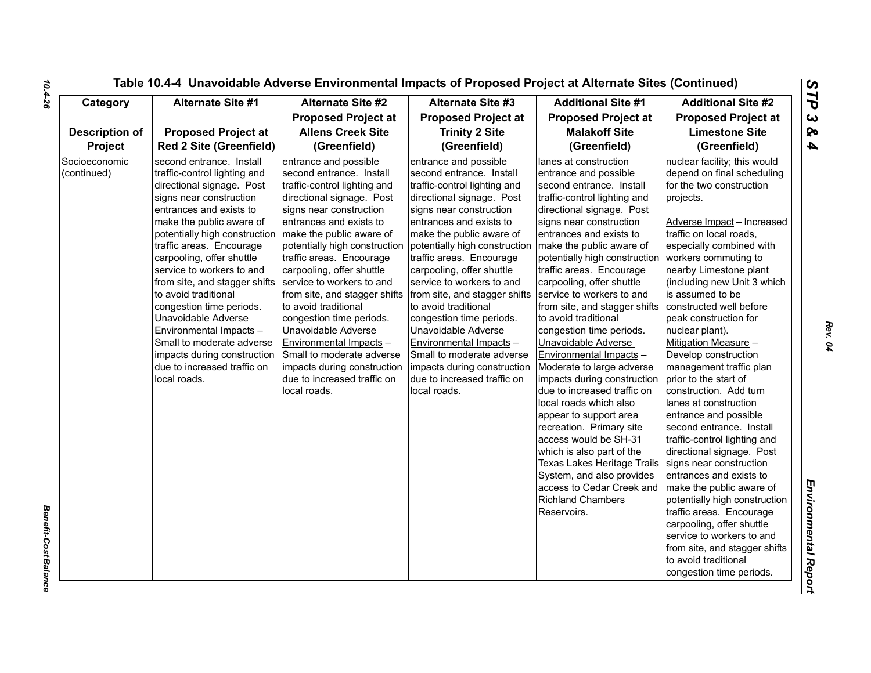| Category                     | <b>Alternate Site #1</b>                                                                                                                                                                                                                                                                                                                                                                                                                                                                                                                         | <b>Alternate Site #2</b>                                                                                                                                                                                                                                                                                                                                                                                                                                                                                                                                                  | <b>Alternate Site #3</b>                                                                                                                                                                                                                                                                                                                                                                                                                                                                                                                                                                             | <b>Additional Site #1</b>                                                                                                                                                                                                                                                                                                                                                                                                                                                                                                                                                                                                                                                                                                                                                                                                        | <b>Additional Site #2</b>                                                                                                                                                                                                                                                                                                                                                                                                                                                                                                                                                                                                                                                                                                                                                                                                                                                                                                                   |
|------------------------------|--------------------------------------------------------------------------------------------------------------------------------------------------------------------------------------------------------------------------------------------------------------------------------------------------------------------------------------------------------------------------------------------------------------------------------------------------------------------------------------------------------------------------------------------------|---------------------------------------------------------------------------------------------------------------------------------------------------------------------------------------------------------------------------------------------------------------------------------------------------------------------------------------------------------------------------------------------------------------------------------------------------------------------------------------------------------------------------------------------------------------------------|------------------------------------------------------------------------------------------------------------------------------------------------------------------------------------------------------------------------------------------------------------------------------------------------------------------------------------------------------------------------------------------------------------------------------------------------------------------------------------------------------------------------------------------------------------------------------------------------------|----------------------------------------------------------------------------------------------------------------------------------------------------------------------------------------------------------------------------------------------------------------------------------------------------------------------------------------------------------------------------------------------------------------------------------------------------------------------------------------------------------------------------------------------------------------------------------------------------------------------------------------------------------------------------------------------------------------------------------------------------------------------------------------------------------------------------------|---------------------------------------------------------------------------------------------------------------------------------------------------------------------------------------------------------------------------------------------------------------------------------------------------------------------------------------------------------------------------------------------------------------------------------------------------------------------------------------------------------------------------------------------------------------------------------------------------------------------------------------------------------------------------------------------------------------------------------------------------------------------------------------------------------------------------------------------------------------------------------------------------------------------------------------------|
|                              |                                                                                                                                                                                                                                                                                                                                                                                                                                                                                                                                                  | <b>Proposed Project at</b>                                                                                                                                                                                                                                                                                                                                                                                                                                                                                                                                                | <b>Proposed Project at</b>                                                                                                                                                                                                                                                                                                                                                                                                                                                                                                                                                                           | <b>Proposed Project at</b>                                                                                                                                                                                                                                                                                                                                                                                                                                                                                                                                                                                                                                                                                                                                                                                                       | <b>Proposed Project at</b>                                                                                                                                                                                                                                                                                                                                                                                                                                                                                                                                                                                                                                                                                                                                                                                                                                                                                                                  |
| <b>Description of</b>        | <b>Proposed Project at</b>                                                                                                                                                                                                                                                                                                                                                                                                                                                                                                                       | <b>Allens Creek Site</b>                                                                                                                                                                                                                                                                                                                                                                                                                                                                                                                                                  | <b>Trinity 2 Site</b>                                                                                                                                                                                                                                                                                                                                                                                                                                                                                                                                                                                | <b>Malakoff Site</b>                                                                                                                                                                                                                                                                                                                                                                                                                                                                                                                                                                                                                                                                                                                                                                                                             | <b>Limestone Site</b>                                                                                                                                                                                                                                                                                                                                                                                                                                                                                                                                                                                                                                                                                                                                                                                                                                                                                                                       |
| <b>Project</b>               | <b>Red 2 Site (Greenfield)</b>                                                                                                                                                                                                                                                                                                                                                                                                                                                                                                                   | (Greenfield)                                                                                                                                                                                                                                                                                                                                                                                                                                                                                                                                                              | (Greenfield)                                                                                                                                                                                                                                                                                                                                                                                                                                                                                                                                                                                         | (Greenfield)                                                                                                                                                                                                                                                                                                                                                                                                                                                                                                                                                                                                                                                                                                                                                                                                                     | (Greenfield)                                                                                                                                                                                                                                                                                                                                                                                                                                                                                                                                                                                                                                                                                                                                                                                                                                                                                                                                |
| Socioeconomic<br>(continued) | second entrance. Install<br>traffic-control lighting and<br>directional signage. Post<br>signs near construction<br>entrances and exists to<br>make the public aware of<br>potentially high construction<br>traffic areas. Encourage<br>carpooling, offer shuttle<br>service to workers to and<br>from site, and stagger shifts<br>to avoid traditional<br>congestion time periods.<br>Unavoidable Adverse<br>Environmental Impacts -<br>Small to moderate adverse<br>impacts during construction<br>due to increased traffic on<br>local roads. | entrance and possible<br>second entrance. Install<br>traffic-control lighting and<br>directional signage. Post<br>signs near construction<br>entrances and exists to<br>make the public aware of<br>potentially high construction<br>traffic areas. Encourage<br>carpooling, offer shuttle<br>service to workers to and<br>from site, and stagger shifts<br>to avoid traditional<br>congestion time periods.<br>Unavoidable Adverse<br>Environmental Impacts -<br>Small to moderate adverse<br>impacts during construction<br>due to increased traffic on<br>local roads. | entrance and possible<br>second entrance. Install<br>traffic-control lighting and<br>directional signage. Post<br>signs near construction<br>entrances and exists to<br>make the public aware of<br>potentially high construction   make the public aware of<br>traffic areas. Encourage<br>carpooling, offer shuttle<br>service to workers to and<br>from site, and stagger shifts<br>to avoid traditional<br>congestion time periods.<br>Unavoidable Adverse<br>Environmental Impacts -<br>Small to moderate adverse<br>impacts during construction<br>due to increased traffic on<br>local roads. | lanes at construction<br>entrance and possible<br>second entrance. Install<br>traffic-control lighting and<br>directional signage. Post<br>signs near construction<br>entrances and exists to<br>potentially high construction<br>traffic areas. Encourage<br>carpooling, offer shuttle<br>service to workers to and<br>from site, and stagger shifts<br>to avoid traditional<br>congestion time periods.<br>Unavoidable Adverse<br>Environmental Impacts -<br>Moderate to large adverse<br>impacts during construction<br>due to increased traffic on<br>local roads which also<br>appear to support area<br>recreation. Primary site<br>access would be SH-31<br>which is also part of the<br>Texas Lakes Heritage Trails<br>System, and also provides<br>access to Cedar Creek and<br><b>Richland Chambers</b><br>Reservoirs. | nuclear facility; this would<br>depend on final scheduling<br>for the two construction<br>projects.<br>Adverse Impact - Increased<br>traffic on local roads,<br>especially combined with<br>workers commuting to<br>nearby Limestone plant<br>(including new Unit 3 which<br>is assumed to be<br>constructed well before<br>peak construction for<br>nuclear plant).<br>Mitigation Measure -<br>Develop construction<br>management traffic plan<br>prior to the start of<br>construction. Add turn<br>lanes at construction<br>entrance and possible<br>second entrance. Install<br>traffic-control lighting and<br>directional signage. Post<br>signs near construction<br>entrances and exists to<br>make the public aware of<br>potentially high construction<br>traffic areas. Encourage<br>carpooling, offer shuttle<br>service to workers to and<br>from site, and stagger shifts<br>to avoid traditional<br>congestion time periods. |

*Benefit-Cost Balance* 

**Benefit-Cost Balance** 

*Rev. 04*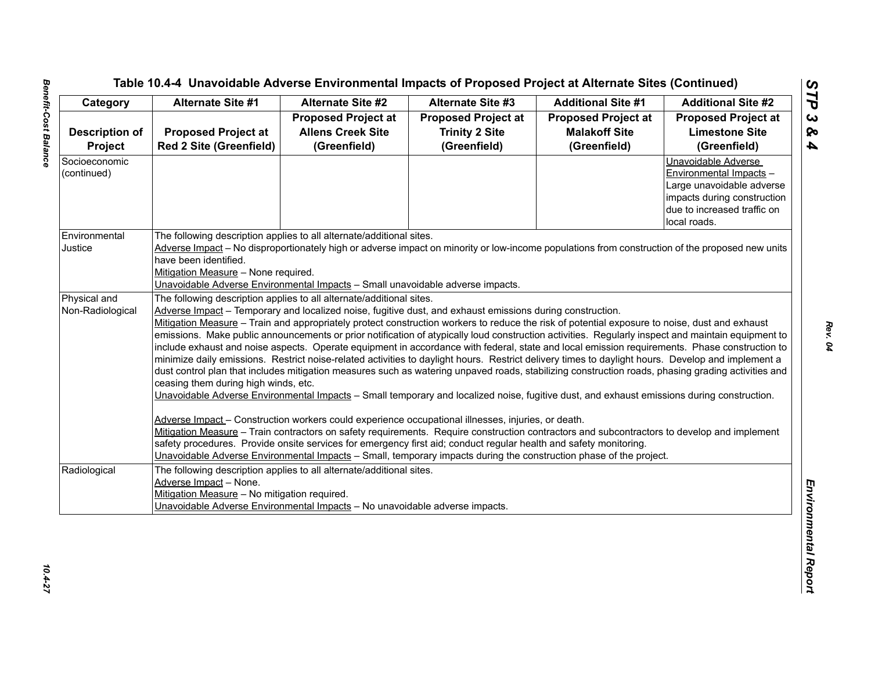|                       | Alternate Site #1                                                                                                                                  | <b>Alternate Site #2</b><br><b>Proposed Project at</b>                                                                                     | <b>Alternate Site #3</b>                                                                                           | <b>Additional Site #1</b>  | <b>Additional Site #2</b><br><b>Proposed Project at</b> |  |  |  |
|-----------------------|----------------------------------------------------------------------------------------------------------------------------------------------------|--------------------------------------------------------------------------------------------------------------------------------------------|--------------------------------------------------------------------------------------------------------------------|----------------------------|---------------------------------------------------------|--|--|--|
|                       |                                                                                                                                                    |                                                                                                                                            | <b>Proposed Project at</b>                                                                                         | <b>Proposed Project at</b> |                                                         |  |  |  |
| <b>Description of</b> | <b>Proposed Project at</b>                                                                                                                         | <b>Allens Creek Site</b>                                                                                                                   | <b>Trinity 2 Site</b>                                                                                              | <b>Malakoff Site</b>       | <b>Limestone Site</b>                                   |  |  |  |
| Project               | <b>Red 2 Site (Greenfield)</b>                                                                                                                     | (Greenfield)                                                                                                                               | (Greenfield)                                                                                                       | (Greenfield)               | (Greenfield)                                            |  |  |  |
| Socioeconomic         |                                                                                                                                                    |                                                                                                                                            |                                                                                                                    |                            | Unavoidable Adverse                                     |  |  |  |
| (continued)           |                                                                                                                                                    |                                                                                                                                            |                                                                                                                    |                            | Environmental Impacts -                                 |  |  |  |
|                       |                                                                                                                                                    |                                                                                                                                            |                                                                                                                    |                            | Large unavoidable adverse                               |  |  |  |
|                       |                                                                                                                                                    |                                                                                                                                            |                                                                                                                    |                            | impacts during construction                             |  |  |  |
|                       |                                                                                                                                                    |                                                                                                                                            |                                                                                                                    |                            | due to increased traffic on                             |  |  |  |
|                       |                                                                                                                                                    |                                                                                                                                            |                                                                                                                    |                            | local roads.                                            |  |  |  |
| Environmental         | The following description applies to all alternate/additional sites.                                                                               |                                                                                                                                            |                                                                                                                    |                            |                                                         |  |  |  |
| Justice               | Adverse Impact - No disproportionately high or adverse impact on minority or low-income populations from construction of the proposed new units    |                                                                                                                                            |                                                                                                                    |                            |                                                         |  |  |  |
|                       | have been identified.                                                                                                                              |                                                                                                                                            |                                                                                                                    |                            |                                                         |  |  |  |
|                       | Mitigation Measure - None required.                                                                                                                |                                                                                                                                            |                                                                                                                    |                            |                                                         |  |  |  |
|                       |                                                                                                                                                    | Unavoidable Adverse Environmental Impacts - Small unavoidable adverse impacts.                                                             |                                                                                                                    |                            |                                                         |  |  |  |
| Physical and          | The following description applies to all alternate/additional sites.                                                                               |                                                                                                                                            |                                                                                                                    |                            |                                                         |  |  |  |
| Non-Radiological      | Adverse Impact – Temporary and localized noise, fugitive dust, and exhaust emissions during construction.                                          |                                                                                                                                            |                                                                                                                    |                            |                                                         |  |  |  |
|                       | Mitigation Measure - Train and appropriately protect construction workers to reduce the risk of potential exposure to noise, dust and exhaust      |                                                                                                                                            |                                                                                                                    |                            |                                                         |  |  |  |
|                       | emissions. Make public announcements or prior notification of atypically loud construction activities. Regularly inspect and maintain equipment to |                                                                                                                                            |                                                                                                                    |                            |                                                         |  |  |  |
|                       | include exhaust and noise aspects. Operate equipment in accordance with federal, state and local emission requirements. Phase construction to      |                                                                                                                                            |                                                                                                                    |                            |                                                         |  |  |  |
|                       | minimize daily emissions. Restrict noise-related activities to daylight hours. Restrict delivery times to daylight hours. Develop and implement a  |                                                                                                                                            |                                                                                                                    |                            |                                                         |  |  |  |
|                       | dust control plan that includes mitigation measures such as watering unpaved roads, stabilizing construction roads, phasing grading activities and |                                                                                                                                            |                                                                                                                    |                            |                                                         |  |  |  |
|                       | ceasing them during high winds, etc.                                                                                                               |                                                                                                                                            |                                                                                                                    |                            |                                                         |  |  |  |
|                       |                                                                                                                                                    | Unavoidable Adverse Environmental Impacts - Small temporary and localized noise, fugitive dust, and exhaust emissions during construction. |                                                                                                                    |                            |                                                         |  |  |  |
|                       |                                                                                                                                                    |                                                                                                                                            |                                                                                                                    |                            |                                                         |  |  |  |
|                       | Adverse Impact - Construction workers could experience occupational illnesses, injuries, or death.                                                 |                                                                                                                                            |                                                                                                                    |                            |                                                         |  |  |  |
|                       | Mitigation Measure - Train contractors on safety requirements. Require construction contractors and subcontractors to develop and implement        |                                                                                                                                            |                                                                                                                    |                            |                                                         |  |  |  |
|                       | safety procedures. Provide onsite services for emergency first aid; conduct regular health and safety monitoring.                                  |                                                                                                                                            |                                                                                                                    |                            |                                                         |  |  |  |
|                       |                                                                                                                                                    |                                                                                                                                            | Unavoidable Adverse Environmental Impacts - Small, temporary impacts during the construction phase of the project. |                            |                                                         |  |  |  |
| Radiological          | The following description applies to all alternate/additional sites.                                                                               |                                                                                                                                            |                                                                                                                    |                            |                                                         |  |  |  |
|                       | Adverse Impact - None.                                                                                                                             |                                                                                                                                            |                                                                                                                    |                            |                                                         |  |  |  |
|                       | Mitigation Measure - No mitigation required.                                                                                                       |                                                                                                                                            |                                                                                                                    |                            |                                                         |  |  |  |
|                       |                                                                                                                                                    | Unavoidable Adverse Environmental Impacts - No unavoidable adverse impacts.                                                                |                                                                                                                    |                            |                                                         |  |  |  |
|                       |                                                                                                                                                    |                                                                                                                                            |                                                                                                                    |                            |                                                         |  |  |  |
|                       |                                                                                                                                                    |                                                                                                                                            |                                                                                                                    |                            |                                                         |  |  |  |
|                       |                                                                                                                                                    |                                                                                                                                            |                                                                                                                    |                            |                                                         |  |  |  |
|                       |                                                                                                                                                    |                                                                                                                                            |                                                                                                                    |                            |                                                         |  |  |  |
|                       |                                                                                                                                                    |                                                                                                                                            |                                                                                                                    |                            |                                                         |  |  |  |
|                       |                                                                                                                                                    |                                                                                                                                            |                                                                                                                    |                            |                                                         |  |  |  |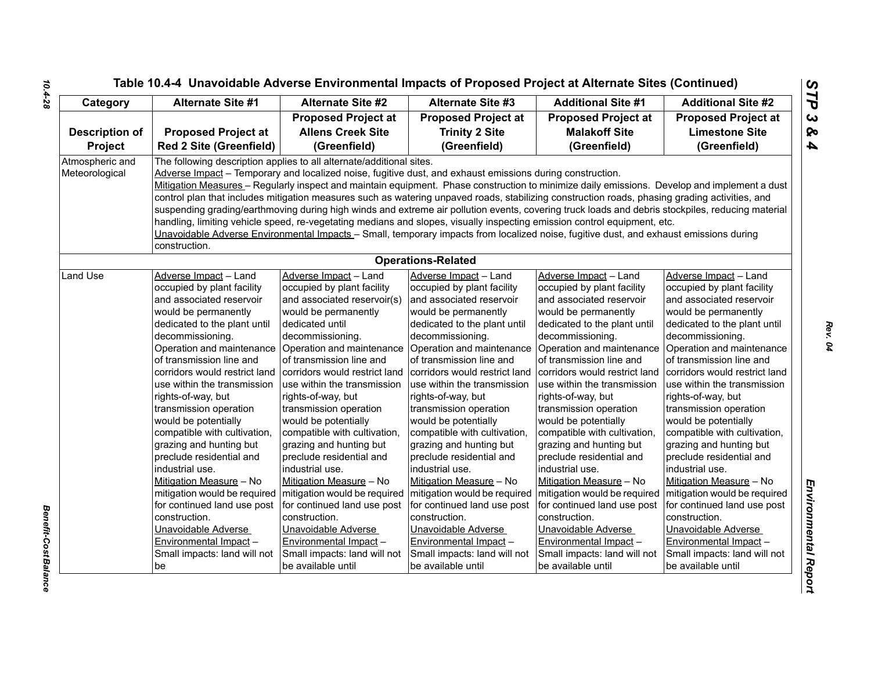| Category        | <b>Alternate Site #1</b>                                                                                                                         | Alternate Site #2<br><b>Proposed Project at</b>                      | <b>Alternate Site #3</b>                                                                                  | <b>Additional Site #1</b>                                                                                                                      | <b>Additional Site #2</b><br><b>Proposed Project at</b> |  |  |  |
|-----------------|--------------------------------------------------------------------------------------------------------------------------------------------------|----------------------------------------------------------------------|-----------------------------------------------------------------------------------------------------------|------------------------------------------------------------------------------------------------------------------------------------------------|---------------------------------------------------------|--|--|--|
|                 |                                                                                                                                                  |                                                                      | <b>Proposed Project at</b>                                                                                | <b>Proposed Project at</b>                                                                                                                     |                                                         |  |  |  |
| Description of  | <b>Proposed Project at</b>                                                                                                                       | <b>Allens Creek Site</b>                                             | <b>Trinity 2 Site</b>                                                                                     | <b>Malakoff Site</b>                                                                                                                           | <b>Limestone Site</b>                                   |  |  |  |
| Project         | <b>Red 2 Site (Greenfield)</b>                                                                                                                   | (Greenfield)                                                         | (Greenfield)                                                                                              | (Greenfield)                                                                                                                                   | (Greenfield)                                            |  |  |  |
| Atmospheric and |                                                                                                                                                  | The following description applies to all alternate/additional sites. |                                                                                                           |                                                                                                                                                |                                                         |  |  |  |
| Meteorological  |                                                                                                                                                  |                                                                      | Adverse Impact - Temporary and localized noise, fugitive dust, and exhaust emissions during construction. |                                                                                                                                                |                                                         |  |  |  |
|                 |                                                                                                                                                  |                                                                      |                                                                                                           | Mitigation Measures - Regularly inspect and maintain equipment. Phase construction to minimize daily emissions. Develop and implement a dust   |                                                         |  |  |  |
|                 |                                                                                                                                                  |                                                                      |                                                                                                           | control plan that includes mitigation measures such as watering unpaved roads, stabilizing construction roads, phasing grading activities, and |                                                         |  |  |  |
|                 | suspending grading/earthmoving during high winds and extreme air pollution events, covering truck loads and debris stockpiles, reducing material |                                                                      |                                                                                                           |                                                                                                                                                |                                                         |  |  |  |
|                 | handling, limiting vehicle speed, re-vegetating medians and slopes, visually inspecting emission control equipment, etc.                         |                                                                      |                                                                                                           |                                                                                                                                                |                                                         |  |  |  |
|                 |                                                                                                                                                  |                                                                      |                                                                                                           | Unavoidable Adverse Environmental Impacts - Small, temporary impacts from localized noise, fugitive dust, and exhaust emissions during         |                                                         |  |  |  |
|                 | construction.                                                                                                                                    |                                                                      |                                                                                                           |                                                                                                                                                |                                                         |  |  |  |
|                 |                                                                                                                                                  |                                                                      | <b>Operations-Related</b>                                                                                 |                                                                                                                                                |                                                         |  |  |  |
| Land Use        | Adverse Impact - Land                                                                                                                            | Adverse Impact - Land                                                | Adverse Impact - Land                                                                                     | Adverse Impact - Land                                                                                                                          | Adverse Impact - Land                                   |  |  |  |
|                 | occupied by plant facility                                                                                                                       | occupied by plant facility                                           | occupied by plant facility                                                                                | occupied by plant facility                                                                                                                     | occupied by plant facility                              |  |  |  |
|                 | and associated reservoir                                                                                                                         | and associated reservoir(s)                                          | and associated reservoir                                                                                  | and associated reservoir                                                                                                                       | and associated reservoir                                |  |  |  |
|                 | would be permanently                                                                                                                             | would be permanently                                                 | would be permanently                                                                                      | would be permanently                                                                                                                           | would be permanently                                    |  |  |  |
|                 | dedicated to the plant until                                                                                                                     | dedicated until                                                      | dedicated to the plant until                                                                              | dedicated to the plant until                                                                                                                   | dedicated to the plant until                            |  |  |  |
|                 | decommissioning.                                                                                                                                 | decommissioning.                                                     | decommissioning.                                                                                          | decommissioning.                                                                                                                               | decommissioning.                                        |  |  |  |
|                 | Operation and maintenance                                                                                                                        | Operation and maintenance                                            |                                                                                                           | Operation and maintenance   Operation and maintenance                                                                                          | Operation and maintenance                               |  |  |  |
|                 | of transmission line and                                                                                                                         | of transmission line and                                             | of transmission line and                                                                                  | of transmission line and                                                                                                                       | of transmission line and                                |  |  |  |
|                 | corridors would restrict land                                                                                                                    | corridors would restrict land                                        | corridors would restrict land                                                                             | corridors would restrict land                                                                                                                  | corridors would restrict land                           |  |  |  |
|                 | use within the transmission<br>rights-of-way, but                                                                                                | use within the transmission<br>rights-of-way, but                    | use within the transmission<br>rights-of-way, but                                                         | use within the transmission                                                                                                                    | use within the transmission<br>rights-of-way, but       |  |  |  |
|                 | transmission operation                                                                                                                           | transmission operation                                               | transmission operation                                                                                    | rights-of-way, but<br>transmission operation                                                                                                   | transmission operation                                  |  |  |  |
|                 | would be potentially                                                                                                                             | would be potentially                                                 | would be potentially                                                                                      | would be potentially                                                                                                                           | would be potentially                                    |  |  |  |
|                 | compatible with cultivation,                                                                                                                     | compatible with cultivation,                                         | compatible with cultivation,                                                                              | compatible with cultivation,                                                                                                                   | compatible with cultivation,                            |  |  |  |
|                 | grazing and hunting but                                                                                                                          | grazing and hunting but                                              | grazing and hunting but                                                                                   | grazing and hunting but                                                                                                                        | grazing and hunting but                                 |  |  |  |
|                 | preclude residential and                                                                                                                         | preclude residential and                                             | preclude residential and                                                                                  | preclude residential and                                                                                                                       | preclude residential and                                |  |  |  |
|                 | industrial use.                                                                                                                                  | industrial use.                                                      | industrial use.                                                                                           | industrial use.                                                                                                                                | industrial use.                                         |  |  |  |
|                 | Mitigation Measure - No                                                                                                                          | Mitigation Measure - No                                              | Mitigation Measure - No                                                                                   | Mitigation Measure - No                                                                                                                        | Mitigation Measure - No                                 |  |  |  |
|                 | mitigation would be required                                                                                                                     | mitigation would be required                                         | mitigation would be required                                                                              | mitigation would be required                                                                                                                   | mitigation would be required                            |  |  |  |
|                 | for continued land use post                                                                                                                      | for continued land use post                                          | for continued land use post                                                                               | for continued land use post                                                                                                                    | for continued land use post                             |  |  |  |
|                 | construction.                                                                                                                                    | construction.                                                        | construction.                                                                                             | construction.                                                                                                                                  | construction.                                           |  |  |  |
|                 | Unavoidable Adverse                                                                                                                              | Unavoidable Adverse                                                  | Unavoidable Adverse                                                                                       | Unavoidable Adverse                                                                                                                            | Unavoidable Adverse                                     |  |  |  |
|                 | Environmental Impact-                                                                                                                            | Environmental Impact -                                               | Environmental Impact -                                                                                    | Environmental Impact-                                                                                                                          | Environmental Impact -                                  |  |  |  |
|                 | Small impacts: land will not                                                                                                                     | Small impacts: land will not                                         | Small impacts: land will not                                                                              | Small impacts: land will not                                                                                                                   | Small impacts: land will not                            |  |  |  |
|                 | be                                                                                                                                               | be available until                                                   | be available until                                                                                        | be available until                                                                                                                             | be available until                                      |  |  |  |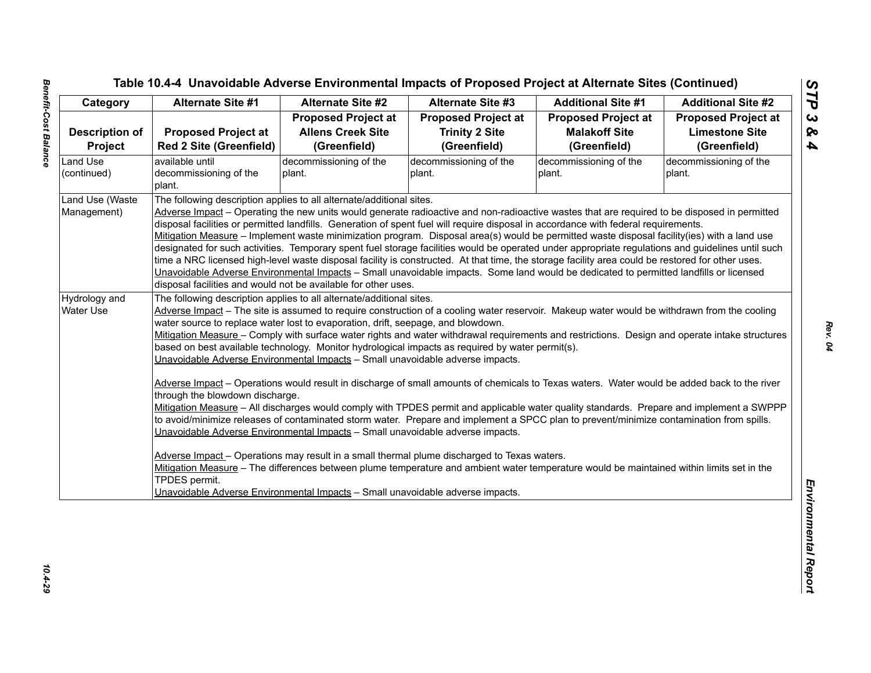| <b>Proposed Project at</b><br><b>Red 2 Site (Greenfield)</b><br>available until<br>decommissioning of the<br>plant. | <b>Proposed Project at</b><br><b>Allens Creek Site</b><br>(Greenfield)<br>decommissioning of the<br>plant. | <b>Proposed Project at</b><br><b>Trinity 2 Site</b><br>(Greenfield)<br>decommissioning of the                                                | <b>Proposed Project at</b><br><b>Malakoff Site</b><br>(Greenfield)<br>decommissioning of the                                                                                                                                                                                                                                                                                                   | <b>Proposed Project at</b><br><b>Limestone Site</b><br>(Greenfield)<br>decommissioning of the                                                                                                                                                                                                                                                                                                                                                                                                                                                                                                                                                                                                                                                                                                                                                                                                                                                                                                                                                                                                                                                                                                                                                                                                                                                                                                                                                                                                                                                                                                                                                                                                                                                                                                                                                                                                                   |  |  |
|---------------------------------------------------------------------------------------------------------------------|------------------------------------------------------------------------------------------------------------|----------------------------------------------------------------------------------------------------------------------------------------------|------------------------------------------------------------------------------------------------------------------------------------------------------------------------------------------------------------------------------------------------------------------------------------------------------------------------------------------------------------------------------------------------|-----------------------------------------------------------------------------------------------------------------------------------------------------------------------------------------------------------------------------------------------------------------------------------------------------------------------------------------------------------------------------------------------------------------------------------------------------------------------------------------------------------------------------------------------------------------------------------------------------------------------------------------------------------------------------------------------------------------------------------------------------------------------------------------------------------------------------------------------------------------------------------------------------------------------------------------------------------------------------------------------------------------------------------------------------------------------------------------------------------------------------------------------------------------------------------------------------------------------------------------------------------------------------------------------------------------------------------------------------------------------------------------------------------------------------------------------------------------------------------------------------------------------------------------------------------------------------------------------------------------------------------------------------------------------------------------------------------------------------------------------------------------------------------------------------------------------------------------------------------------------------------------------------------------|--|--|
|                                                                                                                     |                                                                                                            |                                                                                                                                              |                                                                                                                                                                                                                                                                                                                                                                                                |                                                                                                                                                                                                                                                                                                                                                                                                                                                                                                                                                                                                                                                                                                                                                                                                                                                                                                                                                                                                                                                                                                                                                                                                                                                                                                                                                                                                                                                                                                                                                                                                                                                                                                                                                                                                                                                                                                                 |  |  |
|                                                                                                                     |                                                                                                            |                                                                                                                                              |                                                                                                                                                                                                                                                                                                                                                                                                |                                                                                                                                                                                                                                                                                                                                                                                                                                                                                                                                                                                                                                                                                                                                                                                                                                                                                                                                                                                                                                                                                                                                                                                                                                                                                                                                                                                                                                                                                                                                                                                                                                                                                                                                                                                                                                                                                                                 |  |  |
|                                                                                                                     |                                                                                                            |                                                                                                                                              |                                                                                                                                                                                                                                                                                                                                                                                                |                                                                                                                                                                                                                                                                                                                                                                                                                                                                                                                                                                                                                                                                                                                                                                                                                                                                                                                                                                                                                                                                                                                                                                                                                                                                                                                                                                                                                                                                                                                                                                                                                                                                                                                                                                                                                                                                                                                 |  |  |
|                                                                                                                     |                                                                                                            |                                                                                                                                              |                                                                                                                                                                                                                                                                                                                                                                                                |                                                                                                                                                                                                                                                                                                                                                                                                                                                                                                                                                                                                                                                                                                                                                                                                                                                                                                                                                                                                                                                                                                                                                                                                                                                                                                                                                                                                                                                                                                                                                                                                                                                                                                                                                                                                                                                                                                                 |  |  |
|                                                                                                                     |                                                                                                            | plant.                                                                                                                                       | plant.                                                                                                                                                                                                                                                                                                                                                                                         | plant.                                                                                                                                                                                                                                                                                                                                                                                                                                                                                                                                                                                                                                                                                                                                                                                                                                                                                                                                                                                                                                                                                                                                                                                                                                                                                                                                                                                                                                                                                                                                                                                                                                                                                                                                                                                                                                                                                                          |  |  |
|                                                                                                                     |                                                                                                            |                                                                                                                                              |                                                                                                                                                                                                                                                                                                                                                                                                |                                                                                                                                                                                                                                                                                                                                                                                                                                                                                                                                                                                                                                                                                                                                                                                                                                                                                                                                                                                                                                                                                                                                                                                                                                                                                                                                                                                                                                                                                                                                                                                                                                                                                                                                                                                                                                                                                                                 |  |  |
|                                                                                                                     | The following description applies to all alternate/additional sites.                                       |                                                                                                                                              |                                                                                                                                                                                                                                                                                                                                                                                                |                                                                                                                                                                                                                                                                                                                                                                                                                                                                                                                                                                                                                                                                                                                                                                                                                                                                                                                                                                                                                                                                                                                                                                                                                                                                                                                                                                                                                                                                                                                                                                                                                                                                                                                                                                                                                                                                                                                 |  |  |
|                                                                                                                     |                                                                                                            | Adverse Impact - Operating the new units would generate radioactive and non-radioactive wastes that are required to be disposed in permitted |                                                                                                                                                                                                                                                                                                                                                                                                |                                                                                                                                                                                                                                                                                                                                                                                                                                                                                                                                                                                                                                                                                                                                                                                                                                                                                                                                                                                                                                                                                                                                                                                                                                                                                                                                                                                                                                                                                                                                                                                                                                                                                                                                                                                                                                                                                                                 |  |  |
|                                                                                                                     |                                                                                                            |                                                                                                                                              |                                                                                                                                                                                                                                                                                                                                                                                                |                                                                                                                                                                                                                                                                                                                                                                                                                                                                                                                                                                                                                                                                                                                                                                                                                                                                                                                                                                                                                                                                                                                                                                                                                                                                                                                                                                                                                                                                                                                                                                                                                                                                                                                                                                                                                                                                                                                 |  |  |
|                                                                                                                     |                                                                                                            |                                                                                                                                              |                                                                                                                                                                                                                                                                                                                                                                                                |                                                                                                                                                                                                                                                                                                                                                                                                                                                                                                                                                                                                                                                                                                                                                                                                                                                                                                                                                                                                                                                                                                                                                                                                                                                                                                                                                                                                                                                                                                                                                                                                                                                                                                                                                                                                                                                                                                                 |  |  |
|                                                                                                                     |                                                                                                            |                                                                                                                                              |                                                                                                                                                                                                                                                                                                                                                                                                |                                                                                                                                                                                                                                                                                                                                                                                                                                                                                                                                                                                                                                                                                                                                                                                                                                                                                                                                                                                                                                                                                                                                                                                                                                                                                                                                                                                                                                                                                                                                                                                                                                                                                                                                                                                                                                                                                                                 |  |  |
|                                                                                                                     |                                                                                                            |                                                                                                                                              |                                                                                                                                                                                                                                                                                                                                                                                                |                                                                                                                                                                                                                                                                                                                                                                                                                                                                                                                                                                                                                                                                                                                                                                                                                                                                                                                                                                                                                                                                                                                                                                                                                                                                                                                                                                                                                                                                                                                                                                                                                                                                                                                                                                                                                                                                                                                 |  |  |
|                                                                                                                     |                                                                                                            |                                                                                                                                              |                                                                                                                                                                                                                                                                                                                                                                                                |                                                                                                                                                                                                                                                                                                                                                                                                                                                                                                                                                                                                                                                                                                                                                                                                                                                                                                                                                                                                                                                                                                                                                                                                                                                                                                                                                                                                                                                                                                                                                                                                                                                                                                                                                                                                                                                                                                                 |  |  |
|                                                                                                                     |                                                                                                            |                                                                                                                                              |                                                                                                                                                                                                                                                                                                                                                                                                |                                                                                                                                                                                                                                                                                                                                                                                                                                                                                                                                                                                                                                                                                                                                                                                                                                                                                                                                                                                                                                                                                                                                                                                                                                                                                                                                                                                                                                                                                                                                                                                                                                                                                                                                                                                                                                                                                                                 |  |  |
|                                                                                                                     |                                                                                                            |                                                                                                                                              |                                                                                                                                                                                                                                                                                                                                                                                                |                                                                                                                                                                                                                                                                                                                                                                                                                                                                                                                                                                                                                                                                                                                                                                                                                                                                                                                                                                                                                                                                                                                                                                                                                                                                                                                                                                                                                                                                                                                                                                                                                                                                                                                                                                                                                                                                                                                 |  |  |
|                                                                                                                     |                                                                                                            |                                                                                                                                              |                                                                                                                                                                                                                                                                                                                                                                                                |                                                                                                                                                                                                                                                                                                                                                                                                                                                                                                                                                                                                                                                                                                                                                                                                                                                                                                                                                                                                                                                                                                                                                                                                                                                                                                                                                                                                                                                                                                                                                                                                                                                                                                                                                                                                                                                                                                                 |  |  |
|                                                                                                                     |                                                                                                            |                                                                                                                                              |                                                                                                                                                                                                                                                                                                                                                                                                |                                                                                                                                                                                                                                                                                                                                                                                                                                                                                                                                                                                                                                                                                                                                                                                                                                                                                                                                                                                                                                                                                                                                                                                                                                                                                                                                                                                                                                                                                                                                                                                                                                                                                                                                                                                                                                                                                                                 |  |  |
|                                                                                                                     |                                                                                                            |                                                                                                                                              |                                                                                                                                                                                                                                                                                                                                                                                                |                                                                                                                                                                                                                                                                                                                                                                                                                                                                                                                                                                                                                                                                                                                                                                                                                                                                                                                                                                                                                                                                                                                                                                                                                                                                                                                                                                                                                                                                                                                                                                                                                                                                                                                                                                                                                                                                                                                 |  |  |
|                                                                                                                     |                                                                                                            |                                                                                                                                              |                                                                                                                                                                                                                                                                                                                                                                                                |                                                                                                                                                                                                                                                                                                                                                                                                                                                                                                                                                                                                                                                                                                                                                                                                                                                                                                                                                                                                                                                                                                                                                                                                                                                                                                                                                                                                                                                                                                                                                                                                                                                                                                                                                                                                                                                                                                                 |  |  |
|                                                                                                                     |                                                                                                            |                                                                                                                                              |                                                                                                                                                                                                                                                                                                                                                                                                |                                                                                                                                                                                                                                                                                                                                                                                                                                                                                                                                                                                                                                                                                                                                                                                                                                                                                                                                                                                                                                                                                                                                                                                                                                                                                                                                                                                                                                                                                                                                                                                                                                                                                                                                                                                                                                                                                                                 |  |  |
|                                                                                                                     |                                                                                                            |                                                                                                                                              |                                                                                                                                                                                                                                                                                                                                                                                                |                                                                                                                                                                                                                                                                                                                                                                                                                                                                                                                                                                                                                                                                                                                                                                                                                                                                                                                                                                                                                                                                                                                                                                                                                                                                                                                                                                                                                                                                                                                                                                                                                                                                                                                                                                                                                                                                                                                 |  |  |
|                                                                                                                     |                                                                                                            |                                                                                                                                              |                                                                                                                                                                                                                                                                                                                                                                                                |                                                                                                                                                                                                                                                                                                                                                                                                                                                                                                                                                                                                                                                                                                                                                                                                                                                                                                                                                                                                                                                                                                                                                                                                                                                                                                                                                                                                                                                                                                                                                                                                                                                                                                                                                                                                                                                                                                                 |  |  |
|                                                                                                                     |                                                                                                            |                                                                                                                                              |                                                                                                                                                                                                                                                                                                                                                                                                |                                                                                                                                                                                                                                                                                                                                                                                                                                                                                                                                                                                                                                                                                                                                                                                                                                                                                                                                                                                                                                                                                                                                                                                                                                                                                                                                                                                                                                                                                                                                                                                                                                                                                                                                                                                                                                                                                                                 |  |  |
|                                                                                                                     |                                                                                                            |                                                                                                                                              |                                                                                                                                                                                                                                                                                                                                                                                                |                                                                                                                                                                                                                                                                                                                                                                                                                                                                                                                                                                                                                                                                                                                                                                                                                                                                                                                                                                                                                                                                                                                                                                                                                                                                                                                                                                                                                                                                                                                                                                                                                                                                                                                                                                                                                                                                                                                 |  |  |
|                                                                                                                     |                                                                                                            |                                                                                                                                              |                                                                                                                                                                                                                                                                                                                                                                                                |                                                                                                                                                                                                                                                                                                                                                                                                                                                                                                                                                                                                                                                                                                                                                                                                                                                                                                                                                                                                                                                                                                                                                                                                                                                                                                                                                                                                                                                                                                                                                                                                                                                                                                                                                                                                                                                                                                                 |  |  |
|                                                                                                                     |                                                                                                            |                                                                                                                                              |                                                                                                                                                                                                                                                                                                                                                                                                |                                                                                                                                                                                                                                                                                                                                                                                                                                                                                                                                                                                                                                                                                                                                                                                                                                                                                                                                                                                                                                                                                                                                                                                                                                                                                                                                                                                                                                                                                                                                                                                                                                                                                                                                                                                                                                                                                                                 |  |  |
|                                                                                                                     |                                                                                                            |                                                                                                                                              |                                                                                                                                                                                                                                                                                                                                                                                                |                                                                                                                                                                                                                                                                                                                                                                                                                                                                                                                                                                                                                                                                                                                                                                                                                                                                                                                                                                                                                                                                                                                                                                                                                                                                                                                                                                                                                                                                                                                                                                                                                                                                                                                                                                                                                                                                                                                 |  |  |
| TPDES permit.                                                                                                       |                                                                                                            |                                                                                                                                              |                                                                                                                                                                                                                                                                                                                                                                                                |                                                                                                                                                                                                                                                                                                                                                                                                                                                                                                                                                                                                                                                                                                                                                                                                                                                                                                                                                                                                                                                                                                                                                                                                                                                                                                                                                                                                                                                                                                                                                                                                                                                                                                                                                                                                                                                                                                                 |  |  |
|                                                                                                                     |                                                                                                            |                                                                                                                                              |                                                                                                                                                                                                                                                                                                                                                                                                |                                                                                                                                                                                                                                                                                                                                                                                                                                                                                                                                                                                                                                                                                                                                                                                                                                                                                                                                                                                                                                                                                                                                                                                                                                                                                                                                                                                                                                                                                                                                                                                                                                                                                                                                                                                                                                                                                                                 |  |  |
|                                                                                                                     |                                                                                                            | through the blowdown discharge.                                                                                                              | disposal facilities and would not be available for other uses.<br>The following description applies to all alternate/additional sites.<br>water source to replace water lost to evaporation, drift, seepage, and blowdown.<br>Unavoidable Adverse Environmental Impacts - Small unavoidable adverse impacts.<br>Unavoidable Adverse Environmental Impacts - Small unavoidable adverse impacts. | disposal facilities or permitted landfills. Generation of spent fuel will require disposal in accordance with federal requirements.<br>Mitigation Measure - Implement waste minimization program. Disposal area(s) would be permitted waste disposal facility(ies) with a land use<br>designated for such activities. Temporary spent fuel storage facilities would be operated under appropriate regulations and guidelines until such<br>time a NRC licensed high-level waste disposal facility is constructed. At that time, the storage facility area could be restored for other uses.<br>Unavoidable Adverse Environmental Impacts - Small unavoidable impacts. Some land would be dedicated to permitted landfills or licensed<br>Adverse Impact - The site is assumed to require construction of a cooling water reservoir. Makeup water would be withdrawn from the cooling<br>Mitigation Measure - Comply with surface water rights and water withdrawal requirements and restrictions. Design and operate intake structures<br>based on best available technology. Monitor hydrological impacts as required by water permit(s).<br>Adverse Impact - Operations would result in discharge of small amounts of chemicals to Texas waters. Water would be added back to the river<br>Mitigation Measure - All discharges would comply with TPDES permit and applicable water quality standards. Prepare and implement a SWPPP<br>to avoid/minimize releases of contaminated storm water. Prepare and implement a SPCC plan to prevent/minimize contamination from spills.<br>Adverse Impact - Operations may result in a small thermal plume discharged to Texas waters.<br>Mitigation Measure - The differences between plume temperature and ambient water temperature would be maintained within limits set in the<br>Unavoidable Adverse Environmental Impacts - Small unavoidable adverse impacts. |  |  |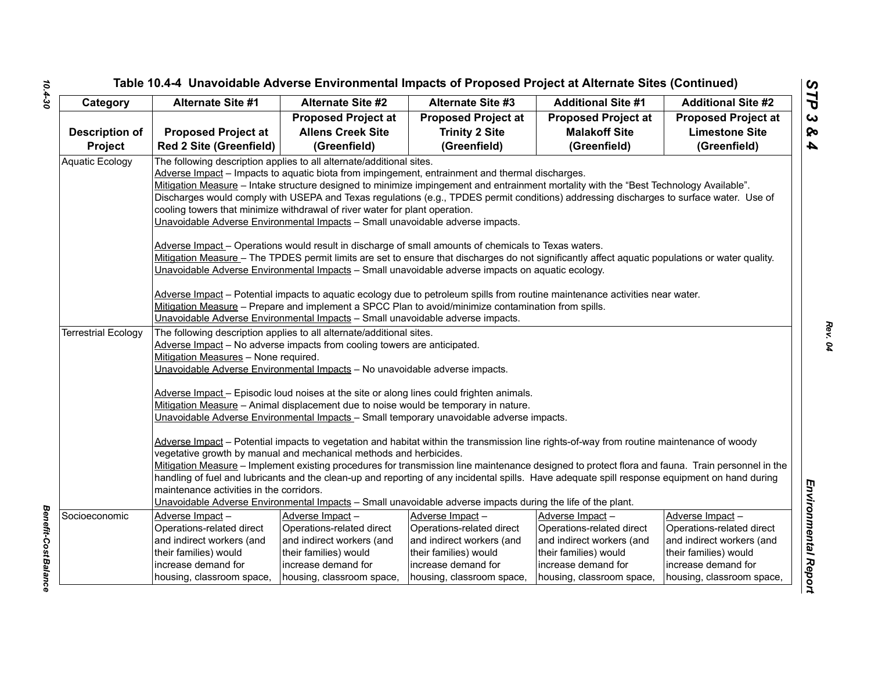# *STP 3 & 4* Tenetial Case of University Contribution and the Case of Proposed Project at Alternation Since 2<br>
Case of Alternation Since 2<br>
Case of Alternation Since 2<br>
Case of Alternation Since 2<br>
Case of Alternation Since 2<br>
Concerns

*Benefit-Cost Balance* 

Benefit-Cost Balance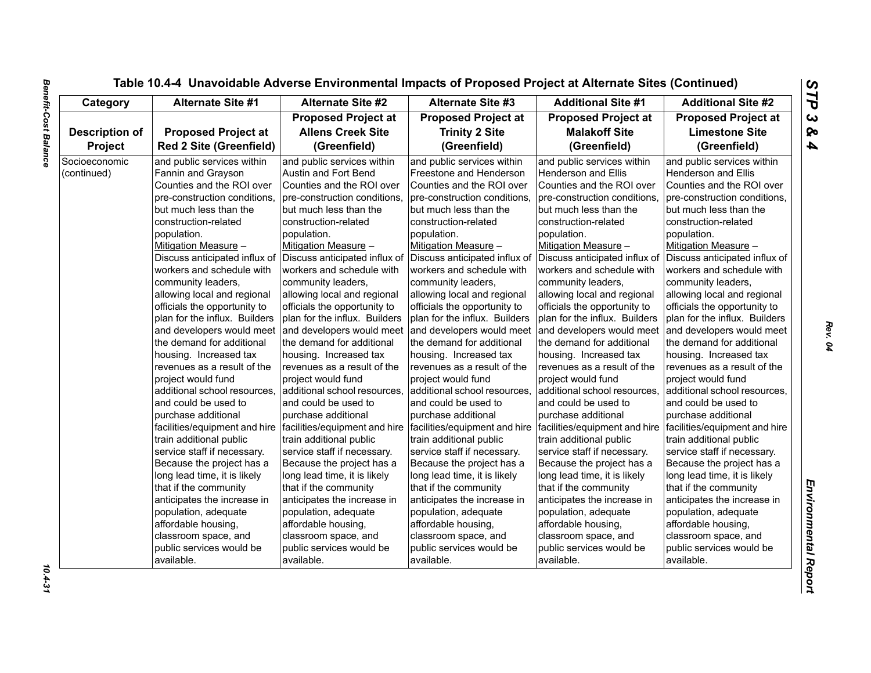| Category              | <b>Alternate Site #1</b>       | <b>Alternate Site #2</b>                                                                      | <b>Alternate Site #3</b>      | <b>Additional Site #1</b>     | <b>Additional Site #2</b>     |
|-----------------------|--------------------------------|-----------------------------------------------------------------------------------------------|-------------------------------|-------------------------------|-------------------------------|
|                       |                                | <b>Proposed Project at</b>                                                                    | <b>Proposed Project at</b>    | <b>Proposed Project at</b>    | <b>Proposed Project at</b>    |
| <b>Description of</b> | <b>Proposed Project at</b>     | <b>Allens Creek Site</b>                                                                      | <b>Trinity 2 Site</b>         | <b>Malakoff Site</b>          | <b>Limestone Site</b>         |
| Project               | <b>Red 2 Site (Greenfield)</b> | (Greenfield)                                                                                  | (Greenfield)                  | (Greenfield)                  | (Greenfield)                  |
| Socioeconomic         | and public services within     | and public services within                                                                    | and public services within    | and public services within    | and public services within    |
| (continued)           | Fannin and Grayson             | Austin and Fort Bend                                                                          | Freestone and Henderson       | Henderson and Ellis           | <b>Henderson and Ellis</b>    |
|                       | Counties and the ROI over      | Counties and the ROI over                                                                     | Counties and the ROI over     | Counties and the ROI over     | Counties and the ROI over     |
|                       | pre-construction conditions,   | pre-construction conditions,                                                                  | pre-construction conditions,  | pre-construction conditions,  | pre-construction conditions,  |
|                       | but much less than the         | but much less than the                                                                        | but much less than the        | but much less than the        | but much less than the        |
|                       | construction-related           | construction-related                                                                          | construction-related          | construction-related          | construction-related          |
|                       | population.                    | population.                                                                                   | population.                   | population.                   | population.                   |
|                       | Mitigation Measure -           | Mitigation Measure -                                                                          | Mitigation Measure -          | Mitigation Measure -          | Mitigation Measure -          |
|                       | Discuss anticipated influx of  | Discuss anticipated influx of                                                                 | Discuss anticipated influx of | Discuss anticipated influx of | Discuss anticipated influx of |
|                       | workers and schedule with      | workers and schedule with                                                                     | workers and schedule with     | workers and schedule with     | workers and schedule with     |
|                       | community leaders,             | community leaders,                                                                            | community leaders,            | community leaders,            | community leaders,            |
|                       | allowing local and regional    | allowing local and regional                                                                   | allowing local and regional   | allowing local and regional   | allowing local and regional   |
|                       | officials the opportunity to   | officials the opportunity to                                                                  | officials the opportunity to  | officials the opportunity to  | officials the opportunity to  |
|                       | plan for the influx. Builders  | plan for the influx. Builders                                                                 | plan for the influx. Builders | plan for the influx. Builders | plan for the influx. Builders |
|                       | and developers would meet      | and developers would meet                                                                     | and developers would meet     | and developers would meet     | and developers would meet     |
|                       | the demand for additional      | the demand for additional                                                                     | the demand for additional     | the demand for additional     | the demand for additional     |
|                       | housing. Increased tax         | housing. Increased tax                                                                        | housing. Increased tax        | housing. Increased tax        | housing. Increased tax        |
|                       | revenues as a result of the    | revenues as a result of the                                                                   | revenues as a result of the   | revenues as a result of the   | revenues as a result of the   |
|                       | project would fund             | project would fund                                                                            | project would fund            | project would fund            | project would fund            |
|                       | additional school resources,   | additional school resources,                                                                  | additional school resources,  | additional school resources,  | additional school resources,  |
|                       | and could be used to           | and could be used to                                                                          | and could be used to          | and could be used to          | and could be used to          |
|                       | purchase additional            | purchase additional                                                                           | purchase additional           | purchase additional           | purchase additional           |
|                       |                                | facilities/equipment and hire   facilities/equipment and hire   facilities/equipment and hire |                               | facilities/equipment and hire | facilities/equipment and hire |
|                       | train additional public        | train additional public                                                                       | train additional public       | train additional public       | train additional public       |
|                       | service staff if necessary.    | service staff if necessary.                                                                   | service staff if necessary.   | service staff if necessary.   | service staff if necessary.   |
|                       | Because the project has a      | Because the project has a                                                                     | Because the project has a     | Because the project has a     | Because the project has a     |
|                       | long lead time, it is likely   | long lead time, it is likely                                                                  | long lead time, it is likely  | long lead time, it is likely  | long lead time, it is likely  |
|                       | that if the community          | that if the community                                                                         | that if the community         | that if the community         | that if the community         |
|                       | anticipates the increase in    | anticipates the increase in                                                                   | anticipates the increase in   | anticipates the increase in   | anticipates the increase in   |
|                       | population, adequate           | population, adequate                                                                          | population, adequate          | population, adequate          | population, adequate          |
|                       | affordable housing,            | affordable housing,                                                                           | affordable housing,           | affordable housing,           | affordable housing,           |
|                       | classroom space, and           | classroom space, and                                                                          | classroom space, and          | classroom space, and          | classroom space, and          |
|                       | public services would be       | public services would be                                                                      | public services would be      | public services would be      | public services would be      |
|                       | available.                     | available.                                                                                    | available.                    | available.                    | available.                    |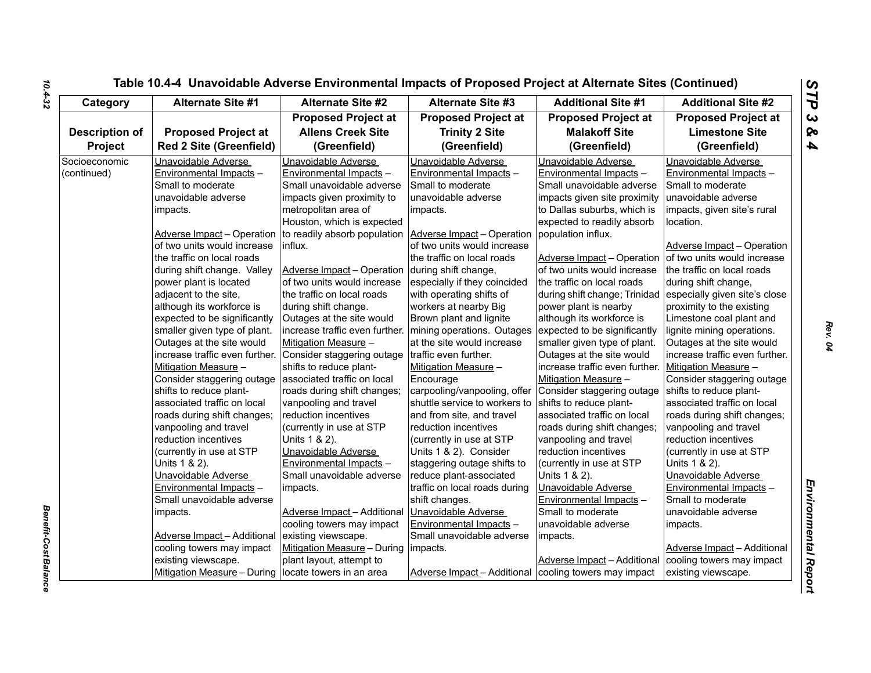| Category              | <b>Alternate Site #1</b>           | <b>Alternate Site #2</b>                                  | <b>Alternate Site #3</b>      | <b>Additional Site #1</b>      | <b>Additional Site #2</b>          |
|-----------------------|------------------------------------|-----------------------------------------------------------|-------------------------------|--------------------------------|------------------------------------|
|                       |                                    | <b>Proposed Project at</b>                                | <b>Proposed Project at</b>    | <b>Proposed Project at</b>     | <b>Proposed Project at</b>         |
| <b>Description of</b> | <b>Proposed Project at</b>         | <b>Allens Creek Site</b>                                  | <b>Trinity 2 Site</b>         | <b>Malakoff Site</b>           | <b>Limestone Site</b>              |
| Project               | <b>Red 2 Site (Greenfield)</b>     | (Greenfield)                                              | (Greenfield)                  | (Greenfield)                   | (Greenfield)                       |
| Socioeconomic         | Unavoidable Adverse                | Unavoidable Adverse                                       | Unavoidable Adverse           | Unavoidable Adverse            | Unavoidable Adverse                |
| (continued)           | Environmental Impacts -            | Environmental Impacts -                                   | Environmental Impacts -       | Environmental Impacts -        | Environmental Impacts -            |
|                       | Small to moderate                  | Small unavoidable adverse                                 | Small to moderate             | Small unavoidable adverse      | Small to moderate                  |
|                       | unavoidable adverse                | impacts given proximity to                                | unavoidable adverse           | impacts given site proximity   | unavoidable adverse                |
|                       | impacts.                           | metropolitan area of                                      | impacts.                      | to Dallas suburbs, which is    | impacts, given site's rural        |
|                       |                                    | Houston, which is expected                                |                               | expected to readily absorb     | location.                          |
|                       | <b>Adverse Impact - Operation</b>  | to readily absorb population   Adverse Impact - Operation |                               | population influx.             |                                    |
|                       | of two units would increase        | influx.                                                   | of two units would increase   |                                | Adverse Impact - Operation         |
|                       | the traffic on local roads         |                                                           | the traffic on local roads    | Adverse Impact - Operation     | of two units would increase        |
|                       | during shift change. Valley        | Adverse Impact - Operation                                | during shift change,          | of two units would increase    | the traffic on local roads         |
|                       | power plant is located             | of two units would increase                               | especially if they coincided  | the traffic on local roads     | during shift change,               |
|                       | adjacent to the site,              | the traffic on local roads                                | with operating shifts of      | during shift change; Trinidad  | especially given site's close      |
|                       | although its workforce is          | during shift change.                                      | workers at nearby Big         | power plant is nearby          | proximity to the existing          |
|                       | expected to be significantly       | Outages at the site would                                 | Brown plant and lignite       | although its workforce is      | Limestone coal plant and           |
|                       | smaller given type of plant.       | increase traffic even further. mining operations. Outages |                               | expected to be significantly   | lignite mining operations.         |
|                       | Outages at the site would          | Mitigation Measure -                                      | at the site would increase    | smaller given type of plant.   | Outages at the site would          |
|                       | increase traffic even further.     | Consider staggering outage                                | traffic even further.         | Outages at the site would      | increase traffic even further.     |
|                       | Mitigation Measure -               | shifts to reduce plant-                                   | Mitigation Measure -          | increase traffic even further. | Mitigation Measure -               |
|                       | Consider staggering outage         | associated traffic on local                               | Encourage                     | Mitigation Measure -           | Consider staggering outage         |
|                       | shifts to reduce plant-            | roads during shift changes;                               | carpooling/vanpooling, offer  | Consider staggering outage     | shifts to reduce plant-            |
|                       | associated traffic on local        | vanpooling and travel                                     | shuttle service to workers to | shifts to reduce plant-        | associated traffic on local        |
|                       | roads during shift changes;        | reduction incentives                                      | and from site, and travel     | associated traffic on local    | roads during shift changes;        |
|                       | vanpooling and travel              | (currently in use at STP                                  | reduction incentives          | roads during shift changes;    | vanpooling and travel              |
|                       | reduction incentives               | Units 1 & 2).                                             | (currently in use at STP      | vanpooling and travel          | reduction incentives               |
|                       | (currently in use at STP           | Unavoidable Adverse                                       | Units 1 & 2). Consider        | reduction incentives           | (currently in use at STP           |
|                       | Units 1 & 2).                      | Environmental Impacts -                                   | staggering outage shifts to   | (currently in use at STP       | Units 1 & 2).                      |
|                       | Unavoidable Adverse                | Small unavoidable adverse                                 | reduce plant-associated       | Units 1 & 2).                  | Unavoidable Adverse                |
|                       | Environmental Impacts -            | impacts.                                                  | traffic on local roads during | Unavoidable Adverse            | Environmental Impacts -            |
|                       | Small unavoidable adverse          |                                                           | shift changes.                | Environmental Impacts -        | Small to moderate                  |
|                       | impacts.                           | Adverse Impact-Additional                                 | Unavoidable Adverse           | Small to moderate              | unavoidable adverse                |
|                       |                                    | cooling towers may impact                                 | Environmental Impacts -       | unavoidable adverse            | impacts.                           |
|                       | <b>Adverse Impact - Additional</b> | existing viewscape.                                       | Small unavoidable adverse     | impacts.                       |                                    |
|                       | cooling towers may impact          | Mitigation Measure - During   impacts.                    |                               |                                | <b>Adverse Impact - Additional</b> |
|                       | existing viewscape.                | plant layout, attempt to                                  |                               | Adverse Impact - Additional    | cooling towers may impact          |
|                       | Mitigation Measure - During        | locate towers in an area                                  | Adverse Impact - Additional   | cooling towers may impact      | existing viewscape.                |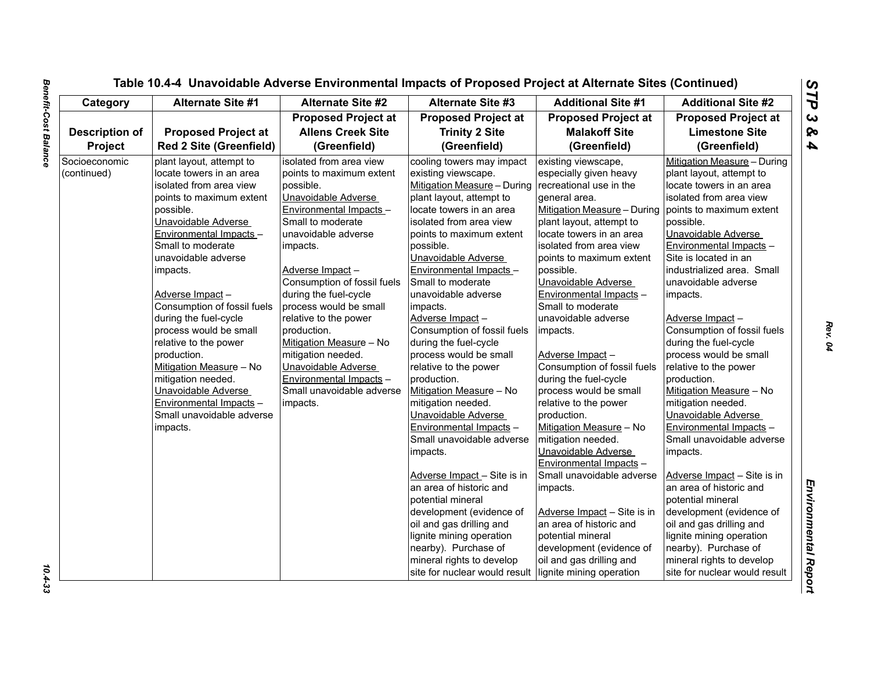| Category              | <b>Alternate Site #1</b>       | Alternate Site #2           | <b>Alternate Site #3</b>      | <b>Additional Site #1</b>   | <b>Additional Site #2</b>     |
|-----------------------|--------------------------------|-----------------------------|-------------------------------|-----------------------------|-------------------------------|
|                       |                                | <b>Proposed Project at</b>  | <b>Proposed Project at</b>    | <b>Proposed Project at</b>  | <b>Proposed Project at</b>    |
| <b>Description of</b> | <b>Proposed Project at</b>     | <b>Allens Creek Site</b>    | <b>Trinity 2 Site</b>         | <b>Malakoff Site</b>        | <b>Limestone Site</b>         |
| Project               | <b>Red 2 Site (Greenfield)</b> | (Greenfield)                | (Greenfield)                  | (Greenfield)                | (Greenfield)                  |
| Socioeconomic         | plant layout, attempt to       | isolated from area view     | cooling towers may impact     | existing viewscape,         | Mitigation Measure - During   |
| (continued)           | locate towers in an area       | points to maximum extent    | existing viewscape.           | especially given heavy      | plant layout, attempt to      |
|                       | isolated from area view        | possible.                   | Mitigation Measure - During   | recreational use in the     | locate towers in an area      |
|                       | points to maximum extent       | Unavoidable Adverse         | plant layout, attempt to      | general area.               | isolated from area view       |
|                       | possible.                      | Environmental Impacts -     | locate towers in an area      | Mitigation Measure - During | points to maximum extent      |
|                       | Unavoidable Adverse            | Small to moderate           | isolated from area view       | plant layout, attempt to    | possible.                     |
|                       | Environmental Impacts -        | unavoidable adverse         | points to maximum extent      | locate towers in an area    | Unavoidable Adverse           |
|                       | Small to moderate              | impacts.                    | possible.                     | isolated from area view     | Environmental Impacts -       |
|                       | unavoidable adverse            |                             | Unavoidable Adverse           | points to maximum extent    | Site is located in an         |
|                       | impacts.                       | Adverse Impact-             | Environmental Impacts -       | possible.                   | industrialized area. Small    |
|                       |                                | Consumption of fossil fuels | Small to moderate             | Unavoidable Adverse         | unavoidable adverse           |
|                       | Adverse Impact-                | during the fuel-cycle       | unavoidable adverse           | Environmental Impacts -     | impacts.                      |
|                       | Consumption of fossil fuels    | process would be small      | impacts.                      | Small to moderate           |                               |
|                       | during the fuel-cycle          | relative to the power       | Adverse Impact-               | unavoidable adverse         | Adverse Impact-               |
|                       | process would be small         | production.                 | Consumption of fossil fuels   | impacts.                    | Consumption of fossil fuels   |
|                       | relative to the power          | Mitigation Measure - No     | during the fuel-cycle         |                             | during the fuel-cycle         |
|                       | production.                    | mitigation needed.          | process would be small        | Adverse Impact-             | process would be small        |
|                       | Mitigation Measure - No        | Unavoidable Adverse         | relative to the power         | Consumption of fossil fuels | relative to the power         |
|                       | mitigation needed.             | Environmental Impacts -     | production.                   | during the fuel-cycle       | production.                   |
|                       | Unavoidable Adverse            | Small unavoidable adverse   | Mitigation Measure - No       | process would be small      | Mitigation Measure - No       |
|                       | Environmental Impacts -        | impacts.                    | mitigation needed.            | relative to the power       | mitigation needed.            |
|                       | Small unavoidable adverse      |                             | Unavoidable Adverse           | production.                 | Unavoidable Adverse           |
|                       | impacts.                       |                             | Environmental Impacts -       | Mitigation Measure - No     | Environmental Impacts -       |
|                       |                                |                             | Small unavoidable adverse     | mitigation needed.          | Small unavoidable adverse     |
|                       |                                |                             | impacts.                      | Unavoidable Adverse         | impacts.                      |
|                       |                                |                             |                               | Environmental Impacts -     |                               |
|                       |                                |                             | Adverse Impact - Site is in   | Small unavoidable adverse   | Adverse Impact - Site is in   |
|                       |                                |                             | an area of historic and       | impacts.                    | an area of historic and       |
|                       |                                |                             | potential mineral             |                             | potential mineral             |
|                       |                                |                             | development (evidence of      | Adverse Impact - Site is in | development (evidence of      |
|                       |                                |                             | oil and gas drilling and      | an area of historic and     | oil and gas drilling and      |
|                       |                                |                             | lignite mining operation      | potential mineral           | lignite mining operation      |
|                       |                                |                             | nearby). Purchase of          | development (evidence of    | nearby). Purchase of          |
|                       |                                |                             | mineral rights to develop     | oil and gas drilling and    | mineral rights to develop     |
|                       |                                |                             | site for nuclear would result | lignite mining operation    | site for nuclear would result |

 $10.4 - 33$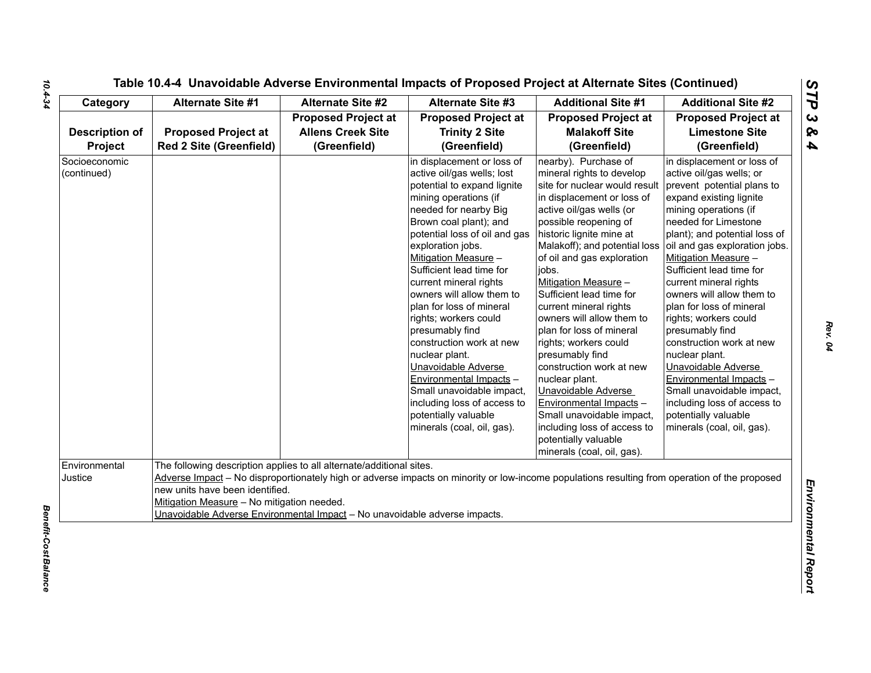| Category                         | <b>Alternate Site #1</b>                                                                                                                                                                                                                                                                                                                                                             | <b>Alternate Site #2</b>                                               | <b>Alternate Site #3</b>                                                                                                                                                                                                                                                                                                                                                                                                                                                                                                                                                                                                       | <b>Additional Site #1</b>                                                                                                                                                                                                                                                                                                                                                                                                                                                                                                                                                                                                                                                      | <b>Additional Site #2</b>                                                                                                                                                                                                                                                                                                                                                                                                                                                                                                                                                                                                               |  |
|----------------------------------|--------------------------------------------------------------------------------------------------------------------------------------------------------------------------------------------------------------------------------------------------------------------------------------------------------------------------------------------------------------------------------------|------------------------------------------------------------------------|--------------------------------------------------------------------------------------------------------------------------------------------------------------------------------------------------------------------------------------------------------------------------------------------------------------------------------------------------------------------------------------------------------------------------------------------------------------------------------------------------------------------------------------------------------------------------------------------------------------------------------|--------------------------------------------------------------------------------------------------------------------------------------------------------------------------------------------------------------------------------------------------------------------------------------------------------------------------------------------------------------------------------------------------------------------------------------------------------------------------------------------------------------------------------------------------------------------------------------------------------------------------------------------------------------------------------|-----------------------------------------------------------------------------------------------------------------------------------------------------------------------------------------------------------------------------------------------------------------------------------------------------------------------------------------------------------------------------------------------------------------------------------------------------------------------------------------------------------------------------------------------------------------------------------------------------------------------------------------|--|
| <b>Description of</b><br>Project | <b>Proposed Project at</b><br><b>Red 2 Site (Greenfield)</b>                                                                                                                                                                                                                                                                                                                         | <b>Proposed Project at</b><br><b>Allens Creek Site</b><br>(Greenfield) | <b>Proposed Project at</b><br><b>Trinity 2 Site</b><br>(Greenfield)                                                                                                                                                                                                                                                                                                                                                                                                                                                                                                                                                            | <b>Proposed Project at</b><br><b>Malakoff Site</b><br>(Greenfield)                                                                                                                                                                                                                                                                                                                                                                                                                                                                                                                                                                                                             | <b>Proposed Project at</b><br><b>Limestone Site</b><br>(Greenfield)                                                                                                                                                                                                                                                                                                                                                                                                                                                                                                                                                                     |  |
| Socioeconomic<br>(continued)     |                                                                                                                                                                                                                                                                                                                                                                                      |                                                                        | in displacement or loss of<br>active oil/gas wells; lost<br>potential to expand lignite<br>mining operations (if<br>needed for nearby Big<br>Brown coal plant); and<br>potential loss of oil and gas<br>exploration jobs.<br>Mitigation Measure -<br>Sufficient lead time for<br>current mineral rights<br>owners will allow them to<br>plan for loss of mineral<br>rights; workers could<br>presumably find<br>construction work at new<br>nuclear plant.<br>Unavoidable Adverse<br>Environmental Impacts -<br>Small unavoidable impact,<br>including loss of access to<br>potentially valuable<br>minerals (coal, oil, gas). | nearby). Purchase of<br>mineral rights to develop<br>site for nuclear would result<br>in displacement or loss of<br>active oil/gas wells (or<br>possible reopening of<br>historic lignite mine at<br>Malakoff); and potential loss<br>of oil and gas exploration<br>jobs.<br>Mitigation Measure -<br>Sufficient lead time for<br>current mineral rights<br>owners will allow them to<br>plan for loss of mineral<br>rights; workers could<br>presumably find<br>construction work at new<br>nuclear plant.<br>Unavoidable Adverse<br>Environmental Impacts -<br>Small unavoidable impact,<br>including loss of access to<br>potentially valuable<br>minerals (coal, oil, gas). | in displacement or loss of<br>active oil/gas wells; or<br>prevent potential plans to<br>expand existing lignite<br>mining operations (if<br>needed for Limestone<br>plant); and potential loss of<br>oil and gas exploration jobs.<br>Mitigation Measure -<br>Sufficient lead time for<br>current mineral rights<br>owners will allow them to<br>plan for loss of mineral<br>rights; workers could<br>presumably find<br>construction work at new<br>nuclear plant.<br>Unavoidable Adverse<br>Environmental Impacts -<br>Small unavoidable impact,<br>including loss of access to<br>potentially valuable<br>minerals (coal, oil, gas). |  |
| Environmental<br>Justice         | The following description applies to all alternate/additional sites.<br>Adverse Impact - No disproportionately high or adverse impacts on minority or low-income populations resulting from operation of the proposed<br>new units have been identified.<br>Mitigation Measure - No mitigation needed.<br>Unavoidable Adverse Environmental Impact - No unavoidable adverse impacts. |                                                                        |                                                                                                                                                                                                                                                                                                                                                                                                                                                                                                                                                                                                                                |                                                                                                                                                                                                                                                                                                                                                                                                                                                                                                                                                                                                                                                                                |                                                                                                                                                                                                                                                                                                                                                                                                                                                                                                                                                                                                                                         |  |

*Rev. 04*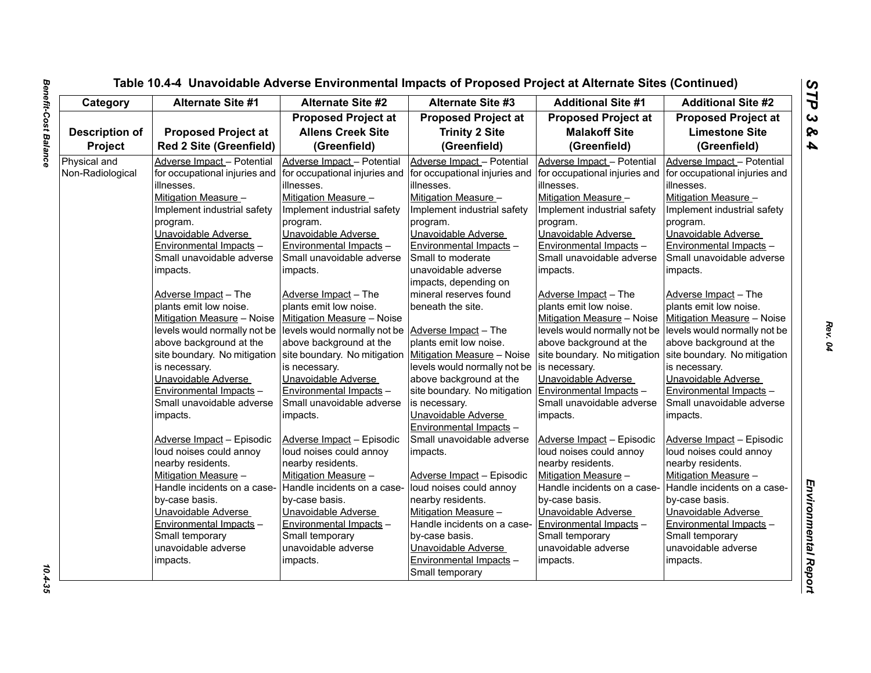| Category              | <b>Alternate Site #1</b>       | <b>Alternate Site #2</b>      | <b>Alternate Site #3</b>      | <b>Additional Site #1</b>     | <b>Additional Site #2</b>     |
|-----------------------|--------------------------------|-------------------------------|-------------------------------|-------------------------------|-------------------------------|
|                       |                                | <b>Proposed Project at</b>    | <b>Proposed Project at</b>    | <b>Proposed Project at</b>    | <b>Proposed Project at</b>    |
| <b>Description of</b> | <b>Proposed Project at</b>     | <b>Allens Creek Site</b>      | <b>Trinity 2 Site</b>         | <b>Malakoff Site</b>          | <b>Limestone Site</b>         |
| Project               | <b>Red 2 Site (Greenfield)</b> | (Greenfield)                  | (Greenfield)                  | (Greenfield)                  | (Greenfield)                  |
| Physical and          | Adverse Impact - Potential     | Adverse Impact - Potential    | Adverse Impact - Potential    | Adverse Impact - Potential    | Adverse Impact - Potential    |
| Non-Radiological      | for occupational injuries and  | for occupational injuries and | for occupational injuries and | for occupational injuries and | for occupational injuries and |
|                       | illnesses.                     | illnesses.                    | illnesses.                    | illnesses.                    | illnesses.                    |
|                       | Mitigation Measure -           | Mitigation Measure -          | Mitigation Measure -          | Mitigation Measure -          | Mitigation Measure -          |
|                       | Implement industrial safety    | Implement industrial safety   | Implement industrial safety   | Implement industrial safety   | Implement industrial safety   |
|                       | program.                       | program.                      | program.                      | program.                      | program.                      |
|                       | Unavoidable Adverse            | Unavoidable Adverse           | Unavoidable Adverse           | Unavoidable Adverse           | Unavoidable Adverse           |
|                       | Environmental Impacts -        | Environmental Impacts -       | Environmental Impacts -       | Environmental Impacts -       | Environmental Impacts -       |
|                       | Small unavoidable adverse      | Small unavoidable adverse     | Small to moderate             | Small unavoidable adverse     | Small unavoidable adverse     |
|                       | impacts.                       | impacts.                      | unavoidable adverse           | impacts.                      | impacts.                      |
|                       |                                |                               | impacts, depending on         |                               |                               |
|                       | Adverse Impact - The           | Adverse Impact - The          | mineral reserves found        | Adverse Impact - The          | Adverse Impact - The          |
|                       | plants emit low noise.         | plants emit low noise.        | beneath the site.             | plants emit low noise.        | plants emit low noise.        |
|                       | Mitigation Measure - Noise     | Mitigation Measure - Noise    |                               | Mitigation Measure - Noise    | Mitigation Measure - Noise    |
|                       | levels would normally not be   | levels would normally not be  | Adverse Impact - The          | levels would normally not be  | levels would normally not be  |
|                       | above background at the        | above background at the       | plants emit low noise.        | above background at the       | above background at the       |
|                       | site boundary. No mitigation   | site boundary. No mitigation  | Mitigation Measure - Noise    | site boundary. No mitigation  | site boundary. No mitigation  |
|                       | is necessary.                  | is necessary.                 | levels would normally not be  | is necessary.                 | is necessary.                 |
|                       | Unavoidable Adverse            | Unavoidable Adverse           | above background at the       | Unavoidable Adverse           | Unavoidable Adverse           |
|                       | Environmental Impacts -        | Environmental Impacts -       | site boundary. No mitigation  | Environmental Impacts -       | Environmental Impacts -       |
|                       | Small unavoidable adverse      | Small unavoidable adverse     | is necessary.                 | Small unavoidable adverse     | Small unavoidable adverse     |
|                       | impacts.                       | impacts.                      | Unavoidable Adverse           | impacts.                      | impacts.                      |
|                       |                                |                               | Environmental Impacts -       |                               |                               |
|                       | Adverse Impact - Episodic      | Adverse Impact - Episodic     | Small unavoidable adverse     | Adverse Impact - Episodic     | Adverse Impact - Episodic     |
|                       | loud noises could annoy        | loud noises could annoy       | impacts.                      | loud noises could annoy       | loud noises could annoy       |
|                       | nearby residents.              | nearby residents.             |                               | nearby residents.             | nearby residents.             |
|                       | Mitigation Measure -           | Mitigation Measure -          | Adverse Impact - Episodic     | Mitigation Measure -          | Mitigation Measure -          |
|                       | Handle incidents on a case-    | Handle incidents on a case-   | loud noises could annoy       | Handle incidents on a case-   | Handle incidents on a case-   |
|                       | by-case basis.                 | by-case basis.                | nearby residents.             | by-case basis.                | by-case basis.                |
|                       | Unavoidable Adverse            | Unavoidable Adverse           | Mitigation Measure -          | Unavoidable Adverse           | Unavoidable Adverse           |
|                       | Environmental Impacts -        | Environmental Impacts -       | Handle incidents on a case-   | Environmental Impacts -       | Environmental Impacts -       |
|                       | Small temporary                | Small temporary               | by-case basis.                | Small temporary               | Small temporary               |
|                       | unavoidable adverse            | unavoidable adverse           | Unavoidable Adverse           | unavoidable adverse           | unavoidable adverse           |
|                       | impacts.                       | impacts.                      | Environmental Impacts -       | impacts.                      | impacts.                      |
|                       |                                |                               | Small temporary               |                               |                               |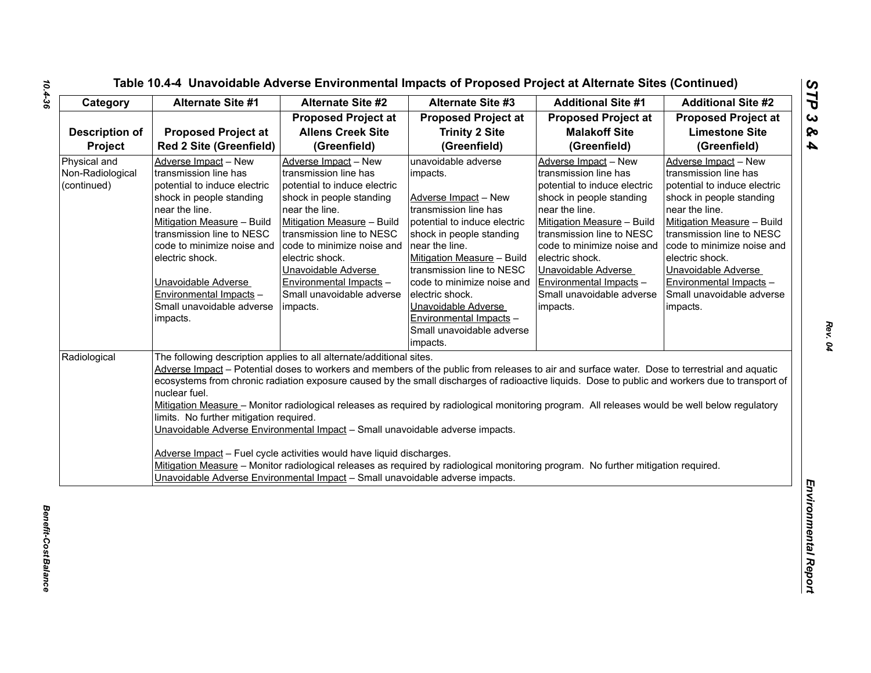| Category                                        | Alternate Site #1                                                                                                                                                                                                                                                                                                                                                                                                                                                                                                                                                                                                                                                                                                                                                                                                                                                                                                                                                       | <b>Alternate Site #2</b>                                                                                                                                                                                                                                                                                                           | <b>Alternate Site #3</b>                                                                                                                                                                                                                                                                                                                                              | <b>Additional Site #1</b>                                                                                                                                                                                                                                                                                                          | <b>Additional Site #2</b>                                                                                                                                                                                                                                                                                                          |  |
|-------------------------------------------------|-------------------------------------------------------------------------------------------------------------------------------------------------------------------------------------------------------------------------------------------------------------------------------------------------------------------------------------------------------------------------------------------------------------------------------------------------------------------------------------------------------------------------------------------------------------------------------------------------------------------------------------------------------------------------------------------------------------------------------------------------------------------------------------------------------------------------------------------------------------------------------------------------------------------------------------------------------------------------|------------------------------------------------------------------------------------------------------------------------------------------------------------------------------------------------------------------------------------------------------------------------------------------------------------------------------------|-----------------------------------------------------------------------------------------------------------------------------------------------------------------------------------------------------------------------------------------------------------------------------------------------------------------------------------------------------------------------|------------------------------------------------------------------------------------------------------------------------------------------------------------------------------------------------------------------------------------------------------------------------------------------------------------------------------------|------------------------------------------------------------------------------------------------------------------------------------------------------------------------------------------------------------------------------------------------------------------------------------------------------------------------------------|--|
|                                                 |                                                                                                                                                                                                                                                                                                                                                                                                                                                                                                                                                                                                                                                                                                                                                                                                                                                                                                                                                                         | <b>Proposed Project at</b>                                                                                                                                                                                                                                                                                                         | <b>Proposed Project at</b>                                                                                                                                                                                                                                                                                                                                            | <b>Proposed Project at</b>                                                                                                                                                                                                                                                                                                         | <b>Proposed Project at</b>                                                                                                                                                                                                                                                                                                         |  |
| <b>Description of</b>                           | <b>Proposed Project at</b>                                                                                                                                                                                                                                                                                                                                                                                                                                                                                                                                                                                                                                                                                                                                                                                                                                                                                                                                              | <b>Allens Creek Site</b>                                                                                                                                                                                                                                                                                                           | <b>Trinity 2 Site</b>                                                                                                                                                                                                                                                                                                                                                 | <b>Malakoff Site</b>                                                                                                                                                                                                                                                                                                               | <b>Limestone Site</b>                                                                                                                                                                                                                                                                                                              |  |
| Project                                         | Red 2 Site (Greenfield)                                                                                                                                                                                                                                                                                                                                                                                                                                                                                                                                                                                                                                                                                                                                                                                                                                                                                                                                                 | (Greenfield)                                                                                                                                                                                                                                                                                                                       | (Greenfield)                                                                                                                                                                                                                                                                                                                                                          | (Greenfield)                                                                                                                                                                                                                                                                                                                       | (Greenfield)                                                                                                                                                                                                                                                                                                                       |  |
| Physical and<br>Non-Radiological<br>(continued) | Adverse Impact - New<br>transmission line has<br>potential to induce electric<br>shock in people standing<br>near the line.<br>Mitigation Measure - Build<br>transmission line to NESC<br>code to minimize noise and<br>electric shock.<br>Unavoidable Adverse<br>Environmental Impacts -<br>Small unavoidable adverse<br>impacts.                                                                                                                                                                                                                                                                                                                                                                                                                                                                                                                                                                                                                                      | Adverse Impact - New<br>transmission line has<br>potential to induce electric<br>shock in people standing<br>near the line.<br>Mitigation Measure - Build<br>transmission line to NESC<br>code to minimize noise and<br>electric shock.<br>Unavoidable Adverse<br>Environmental Impacts -<br>Small unavoidable adverse<br>impacts. | unavoidable adverse<br>impacts.<br>Adverse Impact - New<br>transmission line has<br>potential to induce electric<br>shock in people standing<br>near the line.<br>Mitigation Measure - Build<br>transmission line to NESC<br>code to minimize noise and<br>electric shock.<br>Unavoidable Adverse<br>Environmental Impacts -<br>Small unavoidable adverse<br>impacts. | Adverse Impact - New<br>transmission line has<br>potential to induce electric<br>shock in people standing<br>near the line.<br>Mitigation Measure - Build<br>transmission line to NESC<br>code to minimize noise and<br>electric shock.<br>Unavoidable Adverse<br>Environmental Impacts -<br>Small unavoidable adverse<br>impacts. | Adverse Impact - New<br>transmission line has<br>potential to induce electric<br>shock in people standing<br>near the line.<br>Mitigation Measure - Build<br>transmission line to NESC<br>code to minimize noise and<br>electric shock.<br>Unavoidable Adverse<br>Environmental Impacts -<br>Small unavoidable adverse<br>impacts. |  |
| Radiological                                    | The following description applies to all alternate/additional sites.<br>Adverse Impact - Potential doses to workers and members of the public from releases to air and surface water. Dose to terrestrial and aquatic<br>ecosystems from chronic radiation exposure caused by the small discharges of radioactive liquids. Dose to public and workers due to transport of<br>nuclear fuel.<br>Mitigation Measure - Monitor radiological releases as required by radiological monitoring program. All releases would be well below regulatory<br>limits. No further mitigation required.<br>Unavoidable Adverse Environmental Impact - Small unavoidable adverse impacts.<br>Adverse Impact - Fuel cycle activities would have liquid discharges.<br>Mitigation Measure - Monitor radiological releases as required by radiological monitoring program. No further mitigation required.<br>Unavoidable Adverse Environmental Impact - Small unavoidable adverse impacts. |                                                                                                                                                                                                                                                                                                                                    |                                                                                                                                                                                                                                                                                                                                                                       |                                                                                                                                                                                                                                                                                                                                    |                                                                                                                                                                                                                                                                                                                                    |  |

*Rev. 04*